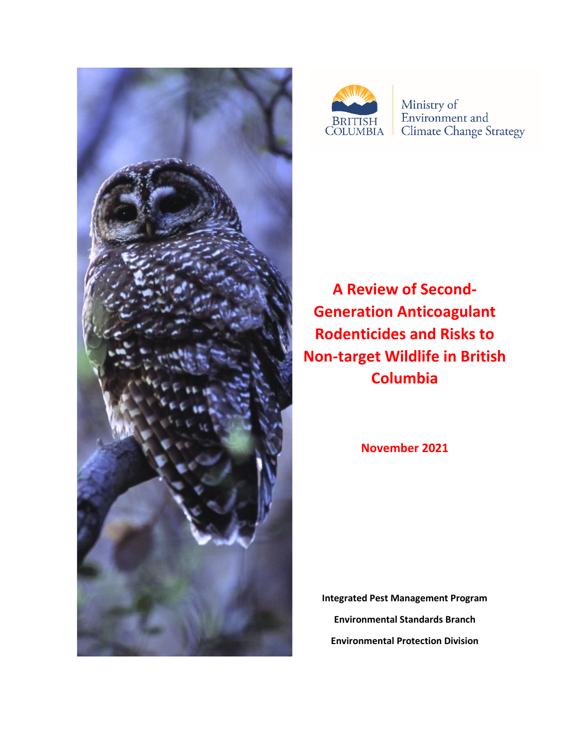



Ministry of Environment and **Climate Change Strategy** 

**A Review of Second-Generation Anticoagulant Rodenticides and Risks to Non-target Wildlife in British Columbia**

**November 2021**

**Integrated Pest Management Program Environmental Standards Branch Environmental Protection Division**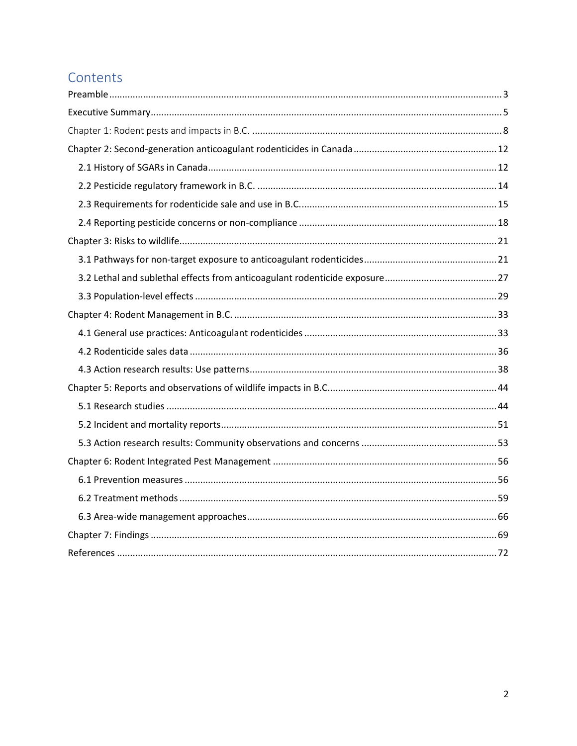# Contents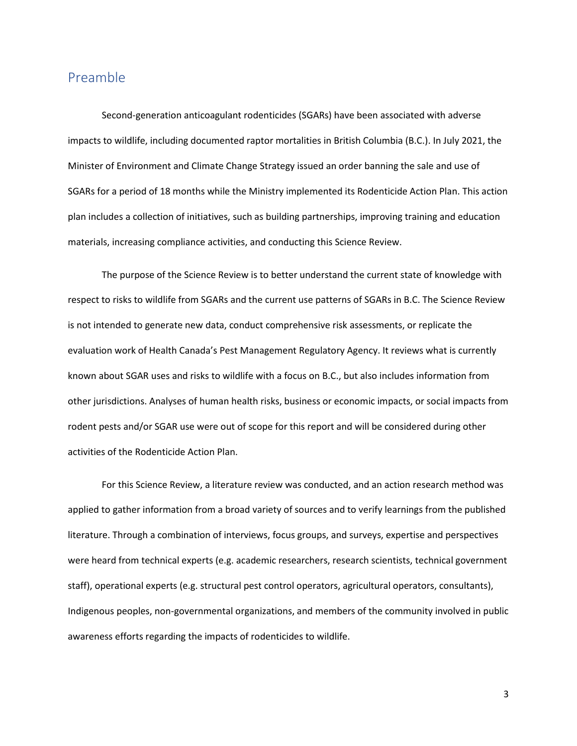## <span id="page-2-0"></span>Preamble

Second-generation anticoagulant rodenticides (SGARs) have been associated with adverse impacts to wildlife, including documented raptor mortalities in British Columbia (B.C.). In July 2021, the Minister of Environment and Climate Change Strategy issued an order banning the sale and use of SGARs for a period of 18 months while the Ministry implemented its Rodenticide Action Plan. This action plan includes a collection of initiatives, such as building partnerships, improving training and education materials, increasing compliance activities, and conducting this Science Review.

The purpose of the Science Review is to better understand the current state of knowledge with respect to risks to wildlife from SGARs and the current use patterns of SGARs in B.C. The Science Review is not intended to generate new data, conduct comprehensive risk assessments, or replicate the evaluation work of Health Canada's Pest Management Regulatory Agency. It reviews what is currently known about SGAR uses and risks to wildlife with a focus on B.C., but also includes information from other jurisdictions. Analyses of human health risks, business or economic impacts, or social impacts from rodent pests and/or SGAR use were out of scope for this report and will be considered during other activities of the Rodenticide Action Plan.

For this Science Review, a literature review was conducted, and an action research method was applied to gather information from a broad variety of sources and to verify learnings from the published literature. Through a combination of interviews, focus groups, and surveys, expertise and perspectives were heard from technical experts (e.g. academic researchers, research scientists, technical government staff), operational experts (e.g. structural pest control operators, agricultural operators, consultants), Indigenous peoples, non-governmental organizations, and members of the community involved in public awareness efforts regarding the impacts of rodenticides to wildlife.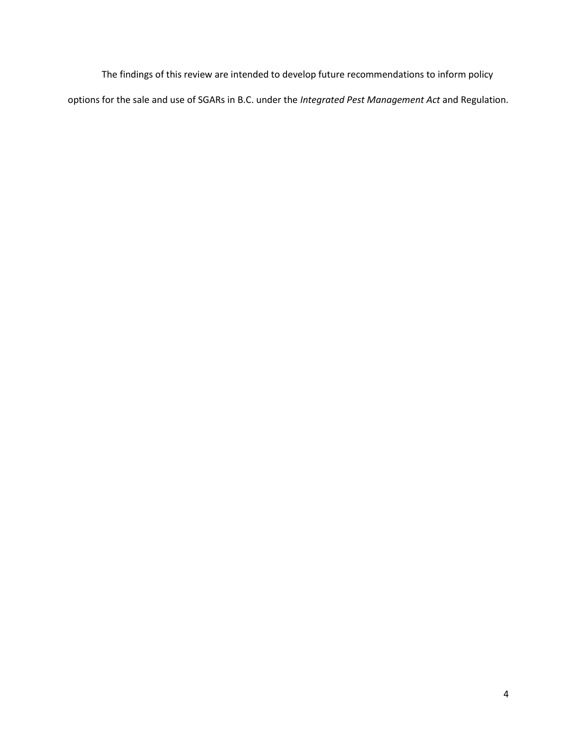The findings of this review are intended to develop future recommendations to inform policy options for the sale and use of SGARs in B.C. under the *Integrated Pest Management Act* and Regulation.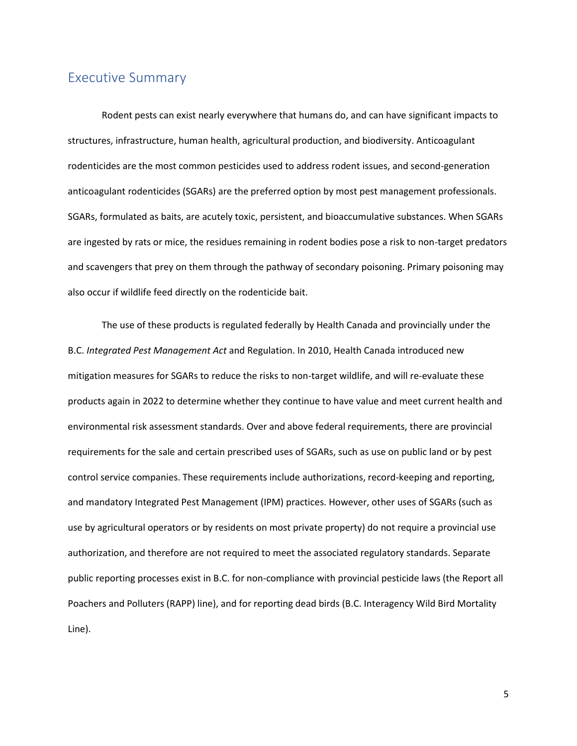## <span id="page-4-0"></span>Executive Summary

Rodent pests can exist nearly everywhere that humans do, and can have significant impacts to structures, infrastructure, human health, agricultural production, and biodiversity. Anticoagulant rodenticides are the most common pesticides used to address rodent issues, and second-generation anticoagulant rodenticides (SGARs) are the preferred option by most pest management professionals. SGARs, formulated as baits, are acutely toxic, persistent, and bioaccumulative substances. When SGARs are ingested by rats or mice, the residues remaining in rodent bodies pose a risk to non-target predators and scavengers that prey on them through the pathway of secondary poisoning. Primary poisoning may also occur if wildlife feed directly on the rodenticide bait.

The use of these products is regulated federally by Health Canada and provincially under the B.C. *Integrated Pest Management Act* and Regulation. In 2010, Health Canada introduced new mitigation measures for SGARs to reduce the risks to non-target wildlife, and will re-evaluate these products again in 2022 to determine whether they continue to have value and meet current health and environmental risk assessment standards. Over and above federal requirements, there are provincial requirements for the sale and certain prescribed uses of SGARs, such as use on public land or by pest control service companies. These requirements include authorizations, record-keeping and reporting, and mandatory Integrated Pest Management (IPM) practices. However, other uses of SGARs (such as use by agricultural operators or by residents on most private property) do not require a provincial use authorization, and therefore are not required to meet the associated regulatory standards. Separate public reporting processes exist in B.C. for non-compliance with provincial pesticide laws (the Report all Poachers and Polluters (RAPP) line), and for reporting dead birds (B.C. Interagency Wild Bird Mortality Line).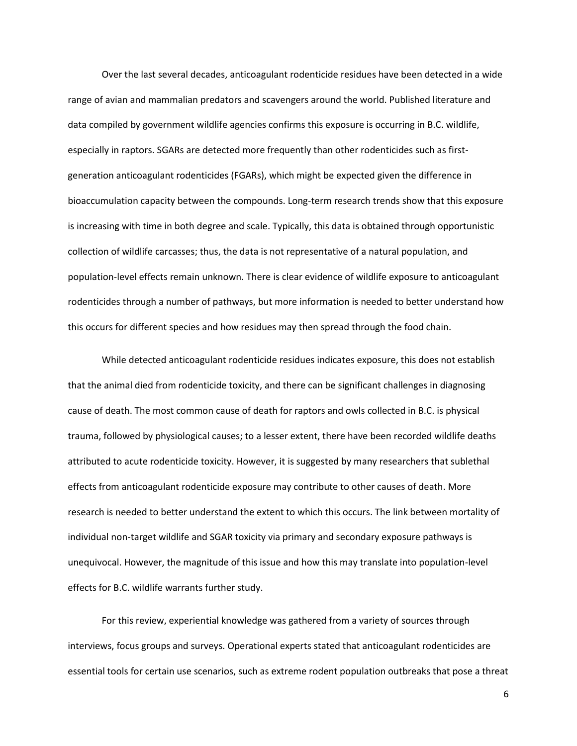Over the last several decades, anticoagulant rodenticide residues have been detected in a wide range of avian and mammalian predators and scavengers around the world. Published literature and data compiled by government wildlife agencies confirms this exposure is occurring in B.C. wildlife, especially in raptors. SGARs are detected more frequently than other rodenticides such as firstgeneration anticoagulant rodenticides (FGARs), which might be expected given the difference in bioaccumulation capacity between the compounds. Long-term research trends show that this exposure is increasing with time in both degree and scale. Typically, this data is obtained through opportunistic collection of wildlife carcasses; thus, the data is not representative of a natural population, and population-level effects remain unknown. There is clear evidence of wildlife exposure to anticoagulant rodenticides through a number of pathways, but more information is needed to better understand how this occurs for different species and how residues may then spread through the food chain.

While detected anticoagulant rodenticide residues indicates exposure, this does not establish that the animal died from rodenticide toxicity, and there can be significant challenges in diagnosing cause of death. The most common cause of death for raptors and owls collected in B.C. is physical trauma, followed by physiological causes; to a lesser extent, there have been recorded wildlife deaths attributed to acute rodenticide toxicity. However, it is suggested by many researchers that sublethal effects from anticoagulant rodenticide exposure may contribute to other causes of death. More research is needed to better understand the extent to which this occurs. The link between mortality of individual non-target wildlife and SGAR toxicity via primary and secondary exposure pathways is unequivocal. However, the magnitude of this issue and how this may translate into population-level effects for B.C. wildlife warrants further study.

For this review, experiential knowledge was gathered from a variety of sources through interviews, focus groups and surveys. Operational experts stated that anticoagulant rodenticides are essential tools for certain use scenarios, such as extreme rodent population outbreaks that pose a threat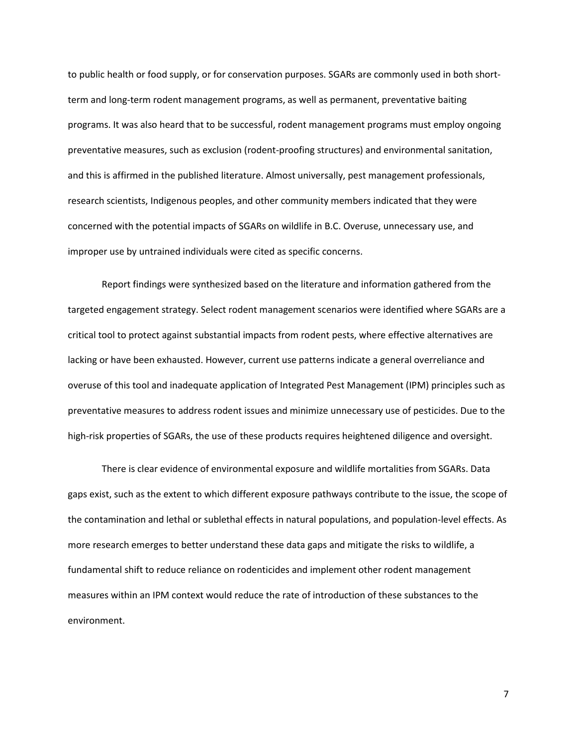to public health or food supply, or for conservation purposes. SGARs are commonly used in both shortterm and long-term rodent management programs, as well as permanent, preventative baiting programs. It was also heard that to be successful, rodent management programs must employ ongoing preventative measures, such as exclusion (rodent-proofing structures) and environmental sanitation, and this is affirmed in the published literature. Almost universally, pest management professionals, research scientists, Indigenous peoples, and other community members indicated that they were concerned with the potential impacts of SGARs on wildlife in B.C. Overuse, unnecessary use, and improper use by untrained individuals were cited as specific concerns.

Report findings were synthesized based on the literature and information gathered from the targeted engagement strategy. Select rodent management scenarios were identified where SGARs are a critical tool to protect against substantial impacts from rodent pests, where effective alternatives are lacking or have been exhausted. However, current use patterns indicate a general overreliance and overuse of this tool and inadequate application of Integrated Pest Management (IPM) principles such as preventative measures to address rodent issues and minimize unnecessary use of pesticides. Due to the high-risk properties of SGARs, the use of these products requires heightened diligence and oversight.

There is clear evidence of environmental exposure and wildlife mortalities from SGARs. Data gaps exist, such as the extent to which different exposure pathways contribute to the issue, the scope of the contamination and lethal or sublethal effects in natural populations, and population-level effects. As more research emerges to better understand these data gaps and mitigate the risks to wildlife, a fundamental shift to reduce reliance on rodenticides and implement other rodent management measures within an IPM context would reduce the rate of introduction of these substances to the environment.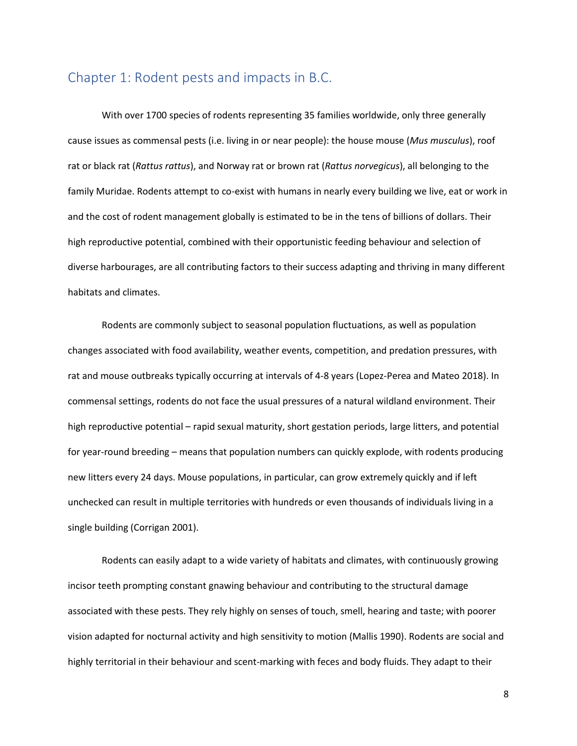## <span id="page-7-0"></span>Chapter 1: Rodent pests and impacts in B.C.

With over 1700 species of rodents representing 35 families worldwide, only three generally cause issues as commensal pests (i.e. living in or near people): the house mouse (*Mus musculus*), roof rat or black rat (*Rattus rattus*), and Norway rat or brown rat (*Rattus norvegicus*), all belonging to the family Muridae. Rodents attempt to co-exist with humans in nearly every building we live, eat or work in and the cost of rodent management globally is estimated to be in the tens of billions of dollars. Their high reproductive potential, combined with their opportunistic feeding behaviour and selection of diverse harbourages, are all contributing factors to their success adapting and thriving in many different habitats and climates.

Rodents are commonly subject to seasonal population fluctuations, as well as population changes associated with food availability, weather events, competition, and predation pressures, with rat and mouse outbreaks typically occurring at intervals of 4-8 years (Lopez-Perea and Mateo 2018). In commensal settings, rodents do not face the usual pressures of a natural wildland environment. Their high reproductive potential – rapid sexual maturity, short gestation periods, large litters, and potential for year-round breeding – means that population numbers can quickly explode, with rodents producing new litters every 24 days. Mouse populations, in particular, can grow extremely quickly and if left unchecked can result in multiple territories with hundreds or even thousands of individuals living in a single building (Corrigan 2001).

Rodents can easily adapt to a wide variety of habitats and climates, with continuously growing incisor teeth prompting constant gnawing behaviour and contributing to the structural damage associated with these pests. They rely highly on senses of touch, smell, hearing and taste; with poorer vision adapted for nocturnal activity and high sensitivity to motion (Mallis 1990). Rodents are social and highly territorial in their behaviour and scent-marking with feces and body fluids. They adapt to their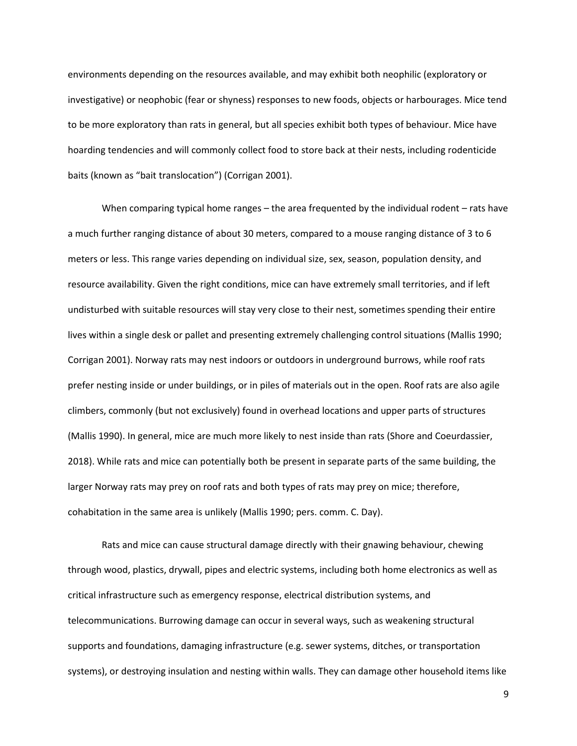environments depending on the resources available, and may exhibit both neophilic (exploratory or investigative) or neophobic (fear or shyness) responses to new foods, objects or harbourages. Mice tend to be more exploratory than rats in general, but all species exhibit both types of behaviour. Mice have hoarding tendencies and will commonly collect food to store back at their nests, including rodenticide baits (known as "bait translocation") (Corrigan 2001).

When comparing typical home ranges – the area frequented by the individual rodent – rats have a much further ranging distance of about 30 meters, compared to a mouse ranging distance of 3 to 6 meters or less. This range varies depending on individual size, sex, season, population density, and resource availability. Given the right conditions, mice can have extremely small territories, and if left undisturbed with suitable resources will stay very close to their nest, sometimes spending their entire lives within a single desk or pallet and presenting extremely challenging control situations (Mallis 1990; Corrigan 2001). Norway rats may nest indoors or outdoors in underground burrows, while roof rats prefer nesting inside or under buildings, or in piles of materials out in the open. Roof rats are also agile climbers, commonly (but not exclusively) found in overhead locations and upper parts of structures (Mallis 1990). In general, mice are much more likely to nest inside than rats (Shore and Coeurdassier, 2018). While rats and mice can potentially both be present in separate parts of the same building, the larger Norway rats may prey on roof rats and both types of rats may prey on mice; therefore, cohabitation in the same area is unlikely (Mallis 1990; pers. comm. C. Day).

Rats and mice can cause structural damage directly with their gnawing behaviour, chewing through wood, plastics, drywall, pipes and electric systems, including both home electronics as well as critical infrastructure such as emergency response, electrical distribution systems, and telecommunications. Burrowing damage can occur in several ways, such as weakening structural supports and foundations, damaging infrastructure (e.g. sewer systems, ditches, or transportation systems), or destroying insulation and nesting within walls. They can damage other household items like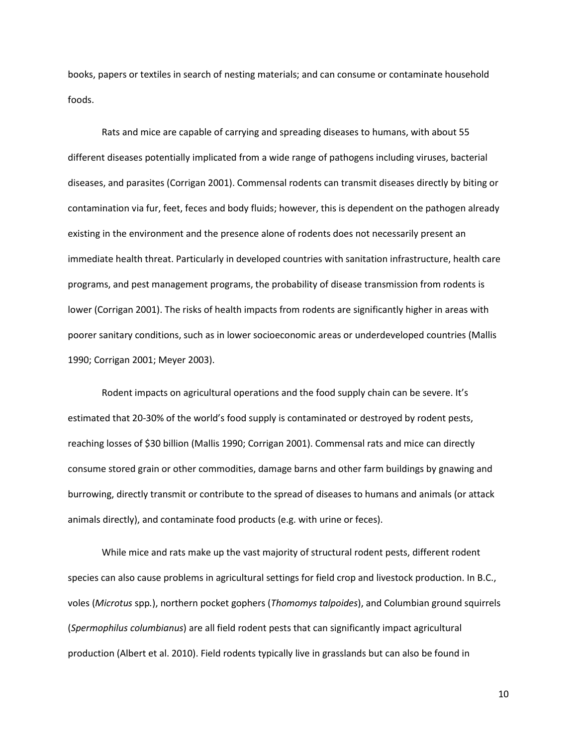books, papers or textiles in search of nesting materials; and can consume or contaminate household foods.

Rats and mice are capable of carrying and spreading diseases to humans, with about 55 different diseases potentially implicated from a wide range of pathogens including viruses, bacterial diseases, and parasites (Corrigan 2001). Commensal rodents can transmit diseases directly by biting or contamination via fur, feet, feces and body fluids; however, this is dependent on the pathogen already existing in the environment and the presence alone of rodents does not necessarily present an immediate health threat. Particularly in developed countries with sanitation infrastructure, health care programs, and pest management programs, the probability of disease transmission from rodents is lower (Corrigan 2001). The risks of health impacts from rodents are significantly higher in areas with poorer sanitary conditions, such as in lower socioeconomic areas or underdeveloped countries (Mallis 1990; Corrigan 2001; Meyer 2003).

Rodent impacts on agricultural operations and the food supply chain can be severe. It's estimated that 20-30% of the world's food supply is contaminated or destroyed by rodent pests, reaching losses of \$30 billion (Mallis 1990; Corrigan 2001). Commensal rats and mice can directly consume stored grain or other commodities, damage barns and other farm buildings by gnawing and burrowing, directly transmit or contribute to the spread of diseases to humans and animals (or attack animals directly), and contaminate food products (e.g. with urine or feces).

While mice and rats make up the vast majority of structural rodent pests, different rodent species can also cause problems in agricultural settings for field crop and livestock production. In B.C., voles (*Microtus* spp*.*), northern pocket gophers (*Thomomys talpoides*), and Columbian ground squirrels (*Spermophilus columbianus*) are all field rodent pests that can significantly impact agricultural production (Albert et al. 2010). Field rodents typically live in grasslands but can also be found in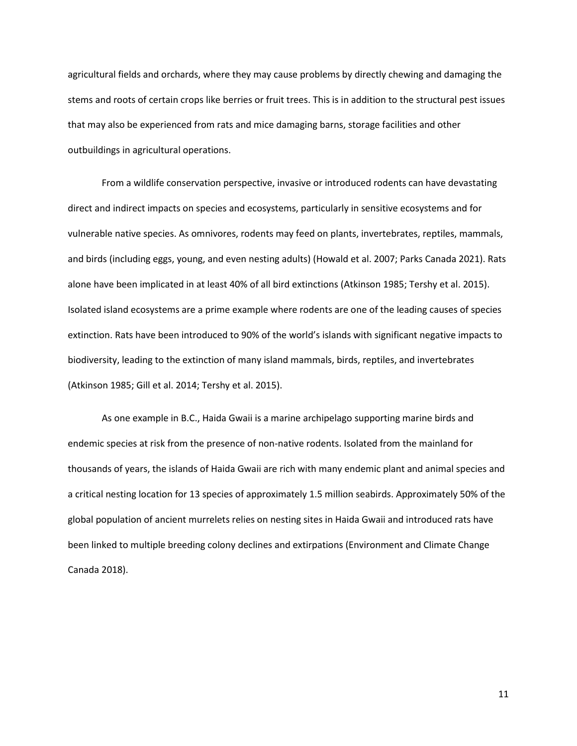agricultural fields and orchards, where they may cause problems by directly chewing and damaging the stems and roots of certain crops like berries or fruit trees. This is in addition to the structural pest issues that may also be experienced from rats and mice damaging barns, storage facilities and other outbuildings in agricultural operations.

From a wildlife conservation perspective, invasive or introduced rodents can have devastating direct and indirect impacts on species and ecosystems, particularly in sensitive ecosystems and for vulnerable native species. As omnivores, rodents may feed on plants, invertebrates, reptiles, mammals, and birds (including eggs, young, and even nesting adults) (Howald et al. 2007; Parks Canada 2021). Rats alone have been implicated in at least 40% of all bird extinctions (Atkinson 1985; Tershy et al. 2015). Isolated island ecosystems are a prime example where rodents are one of the leading causes of species extinction. Rats have been introduced to 90% of the world's islands with significant negative impacts to biodiversity, leading to the extinction of many island mammals, birds, reptiles, and invertebrates (Atkinson 1985; Gill et al. 2014; Tershy et al. 2015).

As one example in B.C., Haida Gwaii is a marine archipelago supporting marine birds and endemic species at risk from the presence of non-native rodents. Isolated from the mainland for thousands of years, the islands of Haida Gwaii are rich with many endemic plant and animal species and a critical nesting location for 13 species of approximately 1.5 million seabirds. Approximately 50% of the global population of ancient murrelets relies on nesting sites in Haida Gwaii and introduced rats have been linked to multiple breeding colony declines and extirpations (Environment and Climate Change Canada 2018).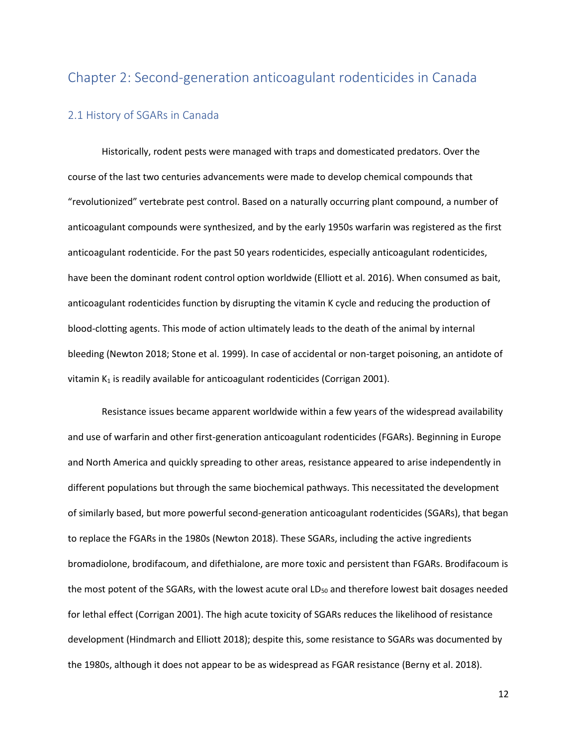## <span id="page-11-0"></span>Chapter 2: Second-generation anticoagulant rodenticides in Canada

## <span id="page-11-1"></span>2.1 History of SGARs in Canada

Historically, rodent pests were managed with traps and domesticated predators. Over the course of the last two centuries advancements were made to develop chemical compounds that "revolutionized" vertebrate pest control. Based on a naturally occurring plant compound, a number of anticoagulant compounds were synthesized, and by the early 1950s warfarin was registered as the first anticoagulant rodenticide. For the past 50 years rodenticides, especially anticoagulant rodenticides, have been the dominant rodent control option worldwide (Elliott et al. 2016). When consumed as bait, anticoagulant rodenticides function by disrupting the vitamin K cycle and reducing the production of blood-clotting agents. This mode of action ultimately leads to the death of the animal by internal bleeding (Newton 2018; Stone et al. 1999). In case of accidental or non-target poisoning, an antidote of vitamin  $K_1$  is readily available for anticoagulant rodenticides (Corrigan 2001).

Resistance issues became apparent worldwide within a few years of the widespread availability and use of warfarin and other first-generation anticoagulant rodenticides (FGARs). Beginning in Europe and North America and quickly spreading to other areas, resistance appeared to arise independently in different populations but through the same biochemical pathways. This necessitated the development of similarly based, but more powerful second-generation anticoagulant rodenticides (SGARs), that began to replace the FGARs in the 1980s (Newton 2018). These SGARs, including the active ingredients bromadiolone, brodifacoum, and difethialone, are more toxic and persistent than FGARs. Brodifacoum is the most potent of the SGARs, with the lowest acute oral LD<sub>50</sub> and therefore lowest bait dosages needed for lethal effect (Corrigan 2001). The high acute toxicity of SGARs reduces the likelihood of resistance development (Hindmarch and Elliott 2018); despite this, some resistance to SGARs was documented by the 1980s, although it does not appear to be as widespread as FGAR resistance (Berny et al. 2018).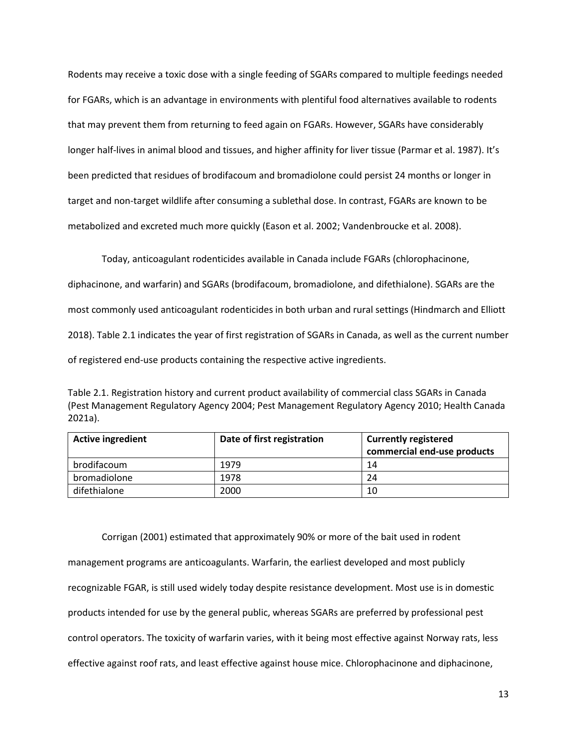Rodents may receive a toxic dose with a single feeding of SGARs compared to multiple feedings needed for FGARs, which is an advantage in environments with plentiful food alternatives available to rodents that may prevent them from returning to feed again on FGARs. However, SGARs have considerably longer half-lives in animal blood and tissues, and higher affinity for liver tissue (Parmar et al. 1987). It's been predicted that residues of brodifacoum and bromadiolone could persist 24 months or longer in target and non-target wildlife after consuming a sublethal dose. In contrast, FGARs are known to be metabolized and excreted much more quickly (Eason et al. 2002; Vandenbroucke et al. 2008).

Today, anticoagulant rodenticides available in Canada include FGARs (chlorophacinone, diphacinone, and warfarin) and SGARs (brodifacoum, bromadiolone, and difethialone). SGARs are the most commonly used anticoagulant rodenticides in both urban and rural settings (Hindmarch and Elliott 2018). Table 2.1 indicates the year of first registration of SGARs in Canada, as well as the current number of registered end-use products containing the respective active ingredients.

Table 2.1. Registration history and current product availability of commercial class SGARs in Canada (Pest Management Regulatory Agency 2004; Pest Management Regulatory Agency 2010; Health Canada 2021a).

| <b>Active ingredient</b> | Date of first registration | <b>Currently registered</b><br>commercial end-use products |
|--------------------------|----------------------------|------------------------------------------------------------|
|                          |                            |                                                            |
| brodifacoum              | 1979                       | 14                                                         |
| bromadiolone             | 1978                       | 24                                                         |
| difethialone             | 2000                       | 10                                                         |

Corrigan (2001) estimated that approximately 90% or more of the bait used in rodent management programs are anticoagulants. Warfarin, the earliest developed and most publicly recognizable FGAR, is still used widely today despite resistance development. Most use is in domestic products intended for use by the general public, whereas SGARs are preferred by professional pest control operators. The toxicity of warfarin varies, with it being most effective against Norway rats, less effective against roof rats, and least effective against house mice. Chlorophacinone and diphacinone,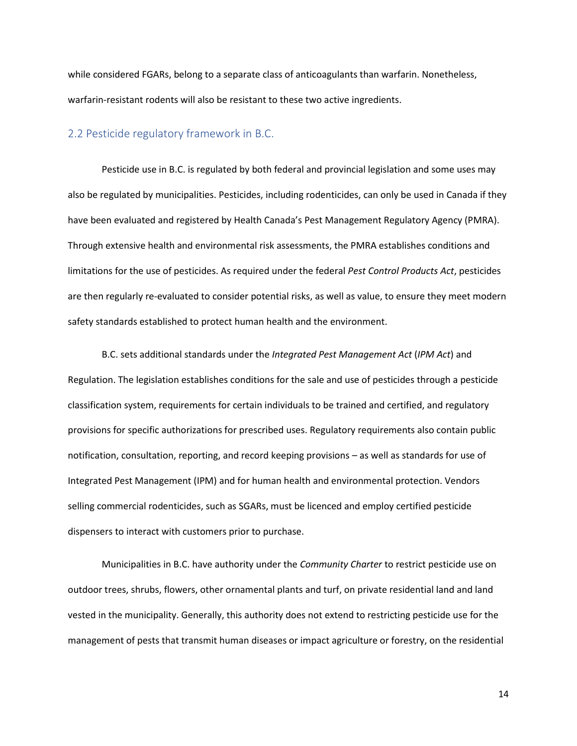while considered FGARs, belong to a separate class of anticoagulants than warfarin. Nonetheless, warfarin-resistant rodents will also be resistant to these two active ingredients.

## <span id="page-13-0"></span>2.2 Pesticide regulatory framework in B.C.

Pesticide use in B.C. is regulated by both federal and provincial legislation and some uses may also be regulated by municipalities. Pesticides, including rodenticides, can only be used in Canada if they have been evaluated and registered by Health Canada's Pest Management Regulatory Agency (PMRA). Through extensive health and environmental risk assessments, the PMRA establishes conditions and limitations for the use of pesticides. As required under the federal *Pest Control Products Act*, pesticides are then regularly re-evaluated to consider potential risks, as well as value, to ensure they meet modern safety standards established to protect human health and the environment.

B.C. sets additional standards under the *Integrated Pest Management Act* (*IPM Act*) and Regulation. The legislation establishes conditions for the sale and use of pesticides through a pesticide classification system, requirements for certain individuals to be trained and certified, and regulatory provisions for specific authorizations for prescribed uses. Regulatory requirements also contain public notification, consultation, reporting, and record keeping provisions – as well as standards for use of Integrated Pest Management (IPM) and for human health and environmental protection. Vendors selling commercial rodenticides, such as SGARs, must be licenced and employ certified pesticide dispensers to interact with customers prior to purchase.

Municipalities in B.C. have authority under the *Community Charter* to restrict pesticide use on outdoor trees, shrubs, flowers, other ornamental plants and turf, on private residential land and land vested in the municipality. Generally, this authority does not extend to restricting pesticide use for the management of pests that transmit human diseases or impact agriculture or forestry, on the residential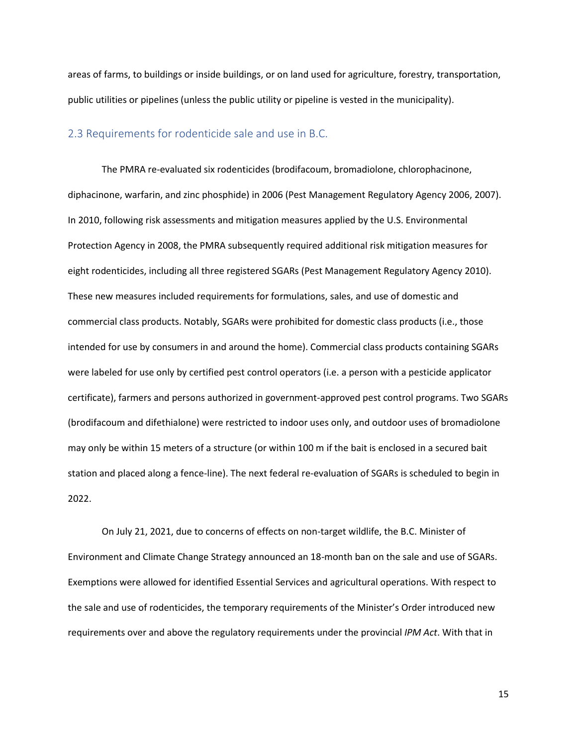areas of farms, to buildings or inside buildings, or on land used for agriculture, forestry, transportation, public utilities or pipelines (unless the public utility or pipeline is vested in the municipality).

### <span id="page-14-0"></span>2.3 Requirements for rodenticide sale and use in B.C.

The PMRA re-evaluated six rodenticides (brodifacoum, bromadiolone, chlorophacinone, diphacinone, warfarin, and zinc phosphide) in 2006 (Pest Management Regulatory Agency 2006, 2007). In 2010, following risk assessments and mitigation measures applied by the U.S. Environmental Protection Agency in 2008, the PMRA subsequently required additional risk mitigation measures for eight rodenticides, including all three registered SGARs (Pest Management Regulatory Agency 2010). These new measures included requirements for formulations, sales, and use of domestic and commercial class products. Notably, SGARs were prohibited for domestic class products (i.e., those intended for use by consumers in and around the home). Commercial class products containing SGARs were labeled for use only by certified pest control operators (i.e. a person with a pesticide applicator certificate), farmers and persons authorized in government-approved pest control programs. Two SGARs (brodifacoum and difethialone) were restricted to indoor uses only, and outdoor uses of bromadiolone may only be within 15 meters of a structure (or within 100 m if the bait is enclosed in a secured bait station and placed along a fence-line). The next federal re-evaluation of SGARs is scheduled to begin in 2022.

On July 21, 2021, due to concerns of effects on non-target wildlife, the B.C. Minister of Environment and Climate Change Strategy announced an 18-month ban on the sale and use of SGARs. Exemptions were allowed for identified Essential Services and agricultural operations. With respect to the sale and use of rodenticides, the temporary requirements of the Minister's Order introduced new requirements over and above the regulatory requirements under the provincial *IPM Act*. With that in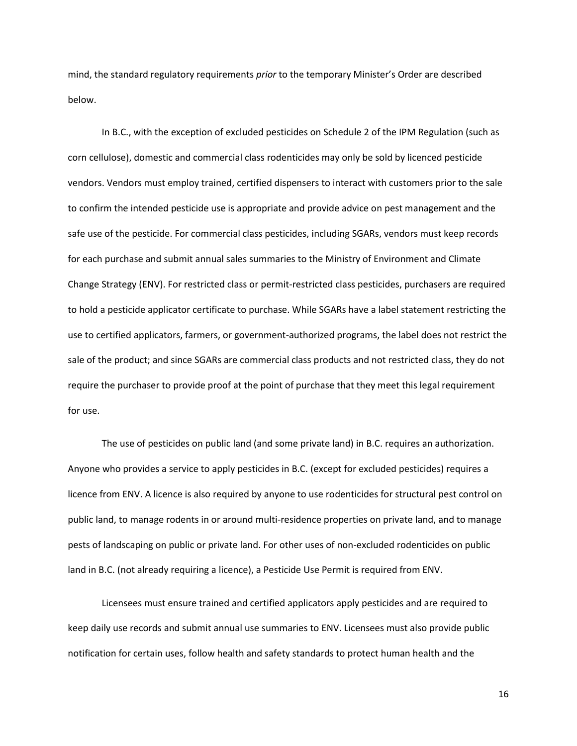mind, the standard regulatory requirements *prior* to the temporary Minister's Order are described below.

In B.C., with the exception of excluded pesticides on Schedule 2 of the IPM Regulation (such as corn cellulose), domestic and commercial class rodenticides may only be sold by licenced pesticide vendors. Vendors must employ trained, certified dispensers to interact with customers prior to the sale to confirm the intended pesticide use is appropriate and provide advice on pest management and the safe use of the pesticide. For commercial class pesticides, including SGARs, vendors must keep records for each purchase and submit annual sales summaries to the Ministry of Environment and Climate Change Strategy (ENV). For restricted class or permit-restricted class pesticides, purchasers are required to hold a pesticide applicator certificate to purchase. While SGARs have a label statement restricting the use to certified applicators, farmers, or government-authorized programs, the label does not restrict the sale of the product; and since SGARs are commercial class products and not restricted class, they do not require the purchaser to provide proof at the point of purchase that they meet this legal requirement for use.

The use of pesticides on public land (and some private land) in B.C. requires an authorization. Anyone who provides a service to apply pesticides in B.C. (except for excluded pesticides) requires a licence from ENV. A licence is also required by anyone to use rodenticides for structural pest control on public land, to manage rodents in or around multi-residence properties on private land, and to manage pests of landscaping on public or private land. For other uses of non-excluded rodenticides on public land in B.C. (not already requiring a licence), a Pesticide Use Permit is required from ENV.

Licensees must ensure trained and certified applicators apply pesticides and are required to keep daily use records and submit annual use summaries to ENV. Licensees must also provide public notification for certain uses, follow health and safety standards to protect human health and the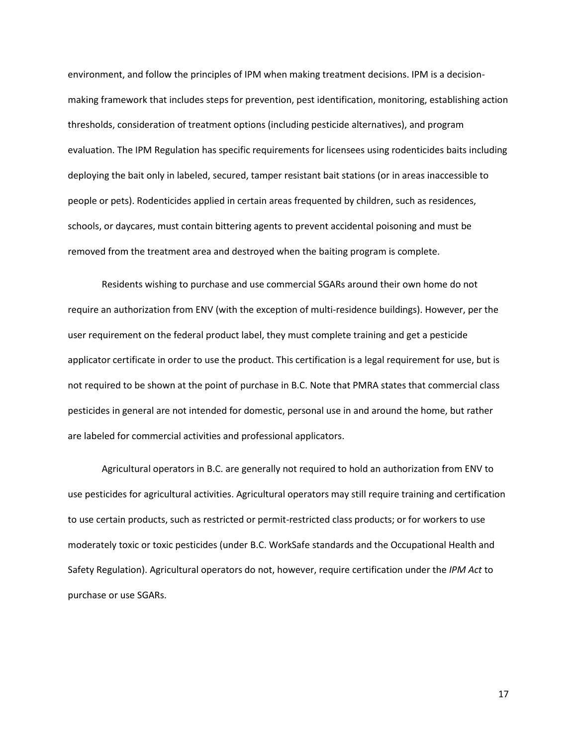environment, and follow the principles of IPM when making treatment decisions. IPM is a decisionmaking framework that includes steps for prevention, pest identification, monitoring, establishing action thresholds, consideration of treatment options (including pesticide alternatives), and program evaluation. The IPM Regulation has specific requirements for licensees using rodenticides baits including deploying the bait only in labeled, secured, tamper resistant bait stations (or in areas inaccessible to people or pets). Rodenticides applied in certain areas frequented by children, such as residences, schools, or daycares, must contain bittering agents to prevent accidental poisoning and must be removed from the treatment area and destroyed when the baiting program is complete.

Residents wishing to purchase and use commercial SGARs around their own home do not require an authorization from ENV (with the exception of multi-residence buildings). However, per the user requirement on the federal product label, they must complete training and get a pesticide applicator certificate in order to use the product. This certification is a legal requirement for use, but is not required to be shown at the point of purchase in B.C. Note that PMRA states that commercial class pesticides in general are not intended for domestic, personal use in and around the home, but rather are labeled for commercial activities and professional applicators.

Agricultural operators in B.C. are generally not required to hold an authorization from ENV to use pesticides for agricultural activities. Agricultural operators may still require training and certification to use certain products, such as restricted or permit-restricted class products; or for workers to use moderately toxic or toxic pesticides (under B.C. WorkSafe standards and the Occupational Health and Safety Regulation). Agricultural operators do not, however, require certification under the *IPM Act* to purchase or use SGARs.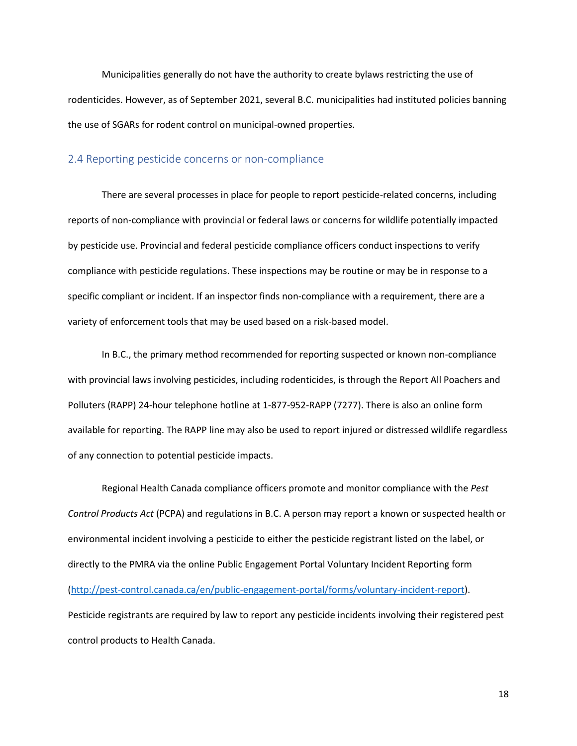Municipalities generally do not have the authority to create bylaws restricting the use of rodenticides. However, as of September 2021, several B.C. municipalities had instituted policies banning the use of SGARs for rodent control on municipal-owned properties.

#### <span id="page-17-0"></span>2.4 Reporting pesticide concerns or non-compliance

There are several processes in place for people to report pesticide-related concerns, including reports of non-compliance with provincial or federal laws or concerns for wildlife potentially impacted by pesticide use. Provincial and federal pesticide compliance officers conduct inspections to verify compliance with pesticide regulations. These inspections may be routine or may be in response to a specific compliant or incident. If an inspector finds non-compliance with a requirement, there are a variety of enforcement tools that may be used based on a risk-based model.

In B.C., the primary method recommended for reporting suspected or known non-compliance with provincial laws involving pesticides, including rodenticides, is through the Report All Poachers and Polluters (RAPP) 24-hour telephone hotline at 1-877-952-RAPP (7277). There is also an online form available for reporting. The RAPP line may also be used to report injured or distressed wildlife regardless of any connection to potential pesticide impacts.

Regional Health Canada compliance officers promote and monitor compliance with the *Pest Control Products Act* (PCPA) and regulations in B.C. A person may report a known or suspected health or environmental incident involving a pesticide to either the pesticide registrant listed on the label, or directly to the PMRA via the online Public Engagement Portal Voluntary Incident Reporting form [\(http://pest-control.canada.ca/en/public-engagement-portal/forms/voluntary-incident-report\)](http://pest-control.canada.ca/en/public-engagement-portal/forms/voluntary-incident-report). Pesticide registrants are required by law to report any pesticide incidents involving their registered pest control products to Health Canada.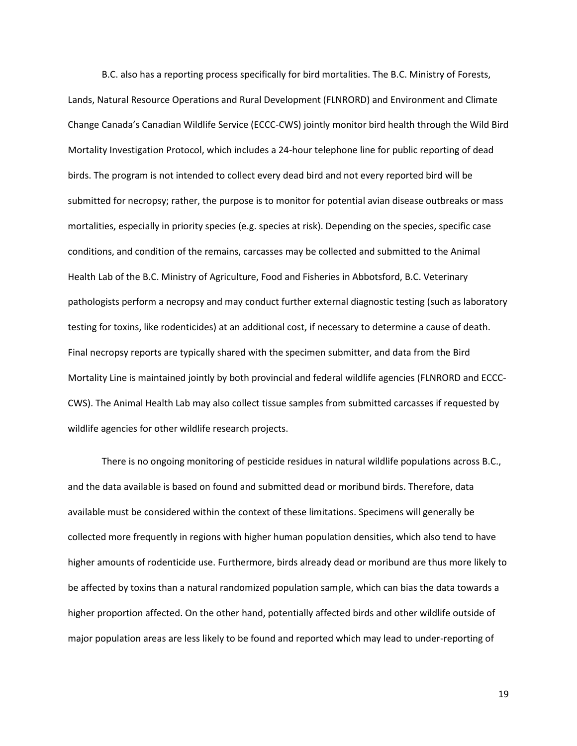B.C. also has a reporting process specifically for bird mortalities. The B.C. Ministry of Forests, Lands, Natural Resource Operations and Rural Development (FLNRORD) and Environment and Climate Change Canada's Canadian Wildlife Service (ECCC-CWS) jointly monitor bird health through the Wild Bird Mortality Investigation Protocol, which includes a 24-hour telephone line for public reporting of dead birds. The program is not intended to collect every dead bird and not every reported bird will be submitted for necropsy; rather, the purpose is to monitor for potential avian disease outbreaks or mass mortalities, especially in priority species (e.g. species at risk). Depending on the species, specific case conditions, and condition of the remains, carcasses may be collected and submitted to the Animal Health Lab of the B.C. Ministry of Agriculture, Food and Fisheries in Abbotsford, B.C. Veterinary pathologists perform a necropsy and may conduct further external diagnostic testing (such as laboratory testing for toxins, like rodenticides) at an additional cost, if necessary to determine a cause of death. Final necropsy reports are typically shared with the specimen submitter, and data from the Bird Mortality Line is maintained jointly by both provincial and federal wildlife agencies (FLNRORD and ECCC-CWS). The Animal Health Lab may also collect tissue samples from submitted carcasses if requested by wildlife agencies for other wildlife research projects.

There is no ongoing monitoring of pesticide residues in natural wildlife populations across B.C., and the data available is based on found and submitted dead or moribund birds. Therefore, data available must be considered within the context of these limitations. Specimens will generally be collected more frequently in regions with higher human population densities, which also tend to have higher amounts of rodenticide use. Furthermore, birds already dead or moribund are thus more likely to be affected by toxins than a natural randomized population sample, which can bias the data towards a higher proportion affected. On the other hand, potentially affected birds and other wildlife outside of major population areas are less likely to be found and reported which may lead to under-reporting of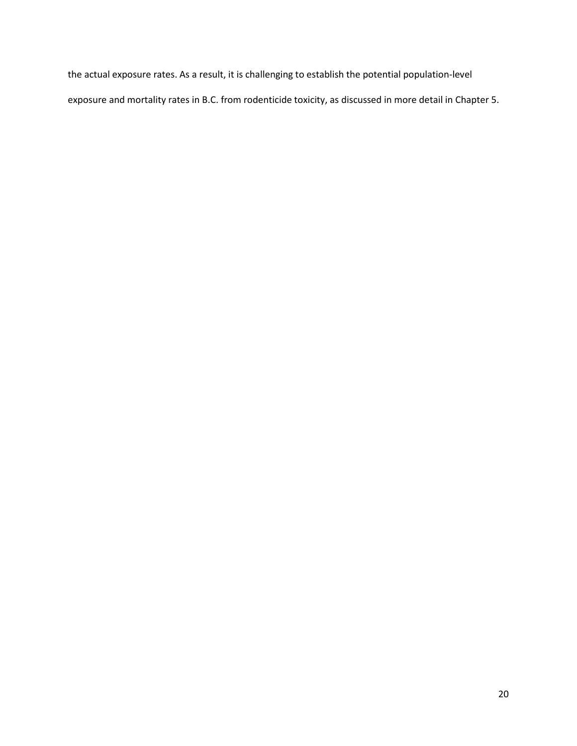the actual exposure rates. As a result, it is challenging to establish the potential population-level exposure and mortality rates in B.C. from rodenticide toxicity, as discussed in more detail in Chapter 5.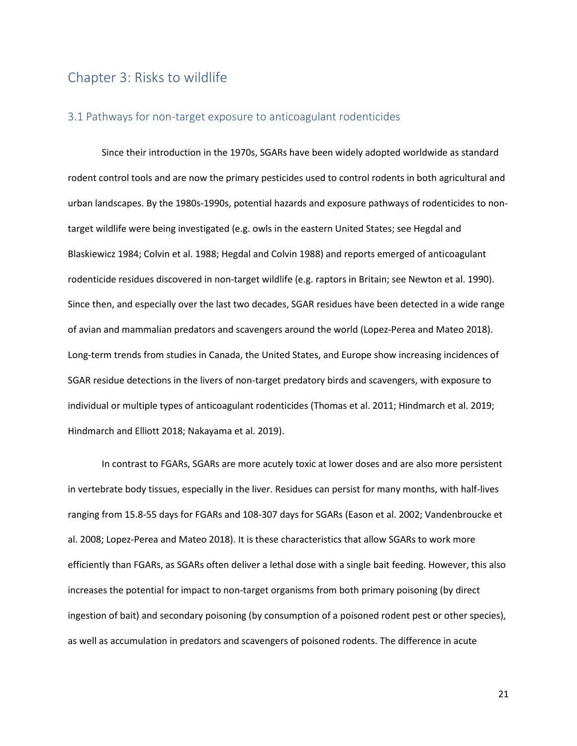## <span id="page-20-0"></span>Chapter 3: Risks to wildlife

### <span id="page-20-1"></span>3.1 Pathways for non-target exposure to anticoagulant rodenticides

Since their introduction in the 1970s, SGARs have been widely adopted worldwide as standard rodent control tools and are now the primary pesticides used to control rodents in both agricultural and urban landscapes. By the 1980s-1990s, potential hazards and exposure pathways of rodenticides to nontarget wildlife were being investigated (e.g. owls in the eastern United States; see Hegdal and Blaskiewicz 1984; Colvin et al. 1988; Hegdal and Colvin 1988) and reports emerged of anticoagulant rodenticide residues discovered in non-target wildlife (e.g. raptors in Britain; see Newton et al. 1990). Since then, and especially over the last two decades, SGAR residues have been detected in a wide range of avian and mammalian predators and scavengers around the world (Lopez-Perea and Mateo 2018). Long-term trends from studies in Canada, the United States, and Europe show increasing incidences of SGAR residue detections in the livers of non-target predatory birds and scavengers, with exposure to individual or multiple types of anticoagulant rodenticides (Thomas et al. 2011; Hindmarch et al. 2019; Hindmarch and Elliott 2018; Nakayama et al. 2019).

In contrast to FGARs, SGARs are more acutely toxic at lower doses and are also more persistent in vertebrate body tissues, especially in the liver. Residues can persist for many months, with half-lives ranging from 15.8-55 days for FGARs and 108-307 days for SGARs (Eason et al. 2002; Vandenbroucke et al. 2008; Lopez-Perea and Mateo 2018). It is these characteristics that allow SGARs to work more efficiently than FGARs, as SGARs often deliver a lethal dose with a single bait feeding. However, this also increases the potential for impact to non-target organisms from both primary poisoning (by direct ingestion of bait) and secondary poisoning (by consumption of a poisoned rodent pest or other species), as well as accumulation in predators and scavengers of poisoned rodents. The difference in acute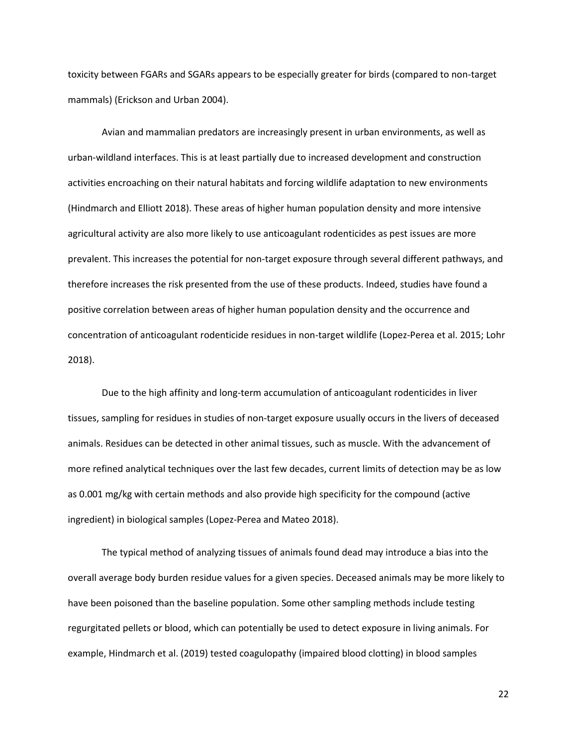toxicity between FGARs and SGARs appears to be especially greater for birds (compared to non-target mammals) (Erickson and Urban 2004).

Avian and mammalian predators are increasingly present in urban environments, as well as urban-wildland interfaces. This is at least partially due to increased development and construction activities encroaching on their natural habitats and forcing wildlife adaptation to new environments (Hindmarch and Elliott 2018). These areas of higher human population density and more intensive agricultural activity are also more likely to use anticoagulant rodenticides as pest issues are more prevalent. This increases the potential for non-target exposure through several different pathways, and therefore increases the risk presented from the use of these products. Indeed, studies have found a positive correlation between areas of higher human population density and the occurrence and concentration of anticoagulant rodenticide residues in non-target wildlife (Lopez-Perea et al. 2015; Lohr 2018).

Due to the high affinity and long-term accumulation of anticoagulant rodenticides in liver tissues, sampling for residues in studies of non-target exposure usually occurs in the livers of deceased animals. Residues can be detected in other animal tissues, such as muscle. With the advancement of more refined analytical techniques over the last few decades, current limits of detection may be as low as 0.001 mg/kg with certain methods and also provide high specificity for the compound (active ingredient) in biological samples (Lopez-Perea and Mateo 2018).

The typical method of analyzing tissues of animals found dead may introduce a bias into the overall average body burden residue values for a given species. Deceased animals may be more likely to have been poisoned than the baseline population. Some other sampling methods include testing regurgitated pellets or blood, which can potentially be used to detect exposure in living animals. For example, Hindmarch et al. (2019) tested coagulopathy (impaired blood clotting) in blood samples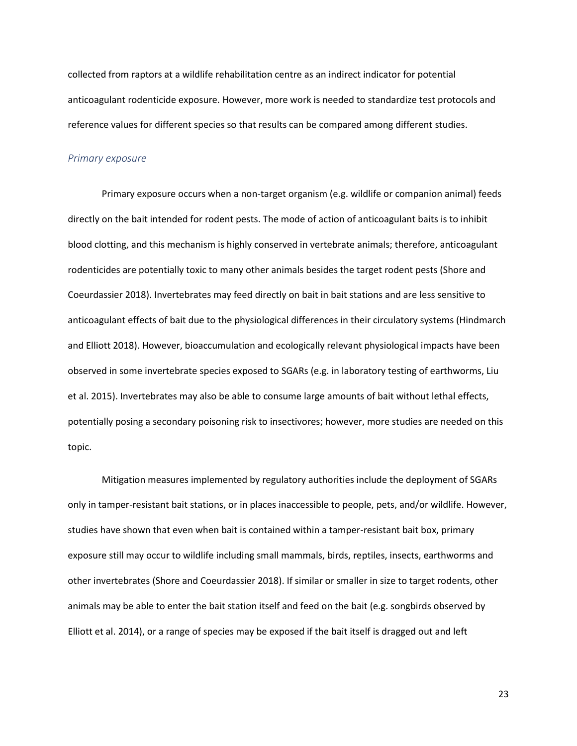collected from raptors at a wildlife rehabilitation centre as an indirect indicator for potential anticoagulant rodenticide exposure. However, more work is needed to standardize test protocols and reference values for different species so that results can be compared among different studies.

#### *Primary exposure*

Primary exposure occurs when a non-target organism (e.g. wildlife or companion animal) feeds directly on the bait intended for rodent pests. The mode of action of anticoagulant baits is to inhibit blood clotting, and this mechanism is highly conserved in vertebrate animals; therefore, anticoagulant rodenticides are potentially toxic to many other animals besides the target rodent pests (Shore and Coeurdassier 2018). Invertebrates may feed directly on bait in bait stations and are less sensitive to anticoagulant effects of bait due to the physiological differences in their circulatory systems (Hindmarch and Elliott 2018). However, bioaccumulation and ecologically relevant physiological impacts have been observed in some invertebrate species exposed to SGARs (e.g. in laboratory testing of earthworms, Liu et al. 2015). Invertebrates may also be able to consume large amounts of bait without lethal effects, potentially posing a secondary poisoning risk to insectivores; however, more studies are needed on this topic.

Mitigation measures implemented by regulatory authorities include the deployment of SGARs only in tamper-resistant bait stations, or in places inaccessible to people, pets, and/or wildlife. However, studies have shown that even when bait is contained within a tamper-resistant bait box, primary exposure still may occur to wildlife including small mammals, birds, reptiles, insects, earthworms and other invertebrates (Shore and Coeurdassier 2018). If similar or smaller in size to target rodents, other animals may be able to enter the bait station itself and feed on the bait (e.g. songbirds observed by Elliott et al. 2014), or a range of species may be exposed if the bait itself is dragged out and left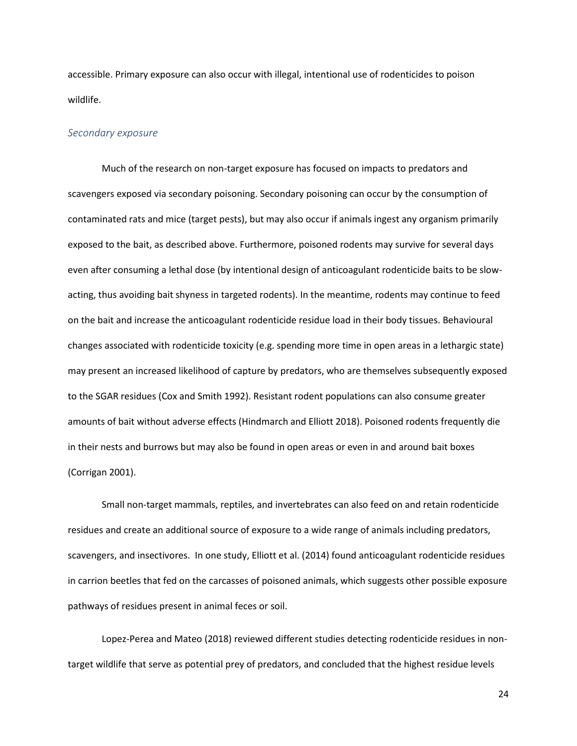accessible. Primary exposure can also occur with illegal, intentional use of rodenticides to poison wildlife.

#### *Secondary exposure*

Much of the research on non-target exposure has focused on impacts to predators and scavengers exposed via secondary poisoning. Secondary poisoning can occur by the consumption of contaminated rats and mice (target pests), but may also occur if animals ingest any organism primarily exposed to the bait, as described above. Furthermore, poisoned rodents may survive for several days even after consuming a lethal dose (by intentional design of anticoagulant rodenticide baits to be slowacting, thus avoiding bait shyness in targeted rodents). In the meantime, rodents may continue to feed on the bait and increase the anticoagulant rodenticide residue load in their body tissues. Behavioural changes associated with rodenticide toxicity (e.g. spending more time in open areas in a lethargic state) may present an increased likelihood of capture by predators, who are themselves subsequently exposed to the SGAR residues (Cox and Smith 1992). Resistant rodent populations can also consume greater amounts of bait without adverse effects (Hindmarch and Elliott 2018). Poisoned rodents frequently die in their nests and burrows but may also be found in open areas or even in and around bait boxes (Corrigan 2001).

Small non-target mammals, reptiles, and invertebrates can also feed on and retain rodenticide residues and create an additional source of exposure to a wide range of animals including predators, scavengers, and insectivores. In one study, Elliott et al. (2014) found anticoagulant rodenticide residues in carrion beetles that fed on the carcasses of poisoned animals, which suggests other possible exposure pathways of residues present in animal feces or soil.

Lopez-Perea and Mateo (2018) reviewed different studies detecting rodenticide residues in nontarget wildlife that serve as potential prey of predators, and concluded that the highest residue levels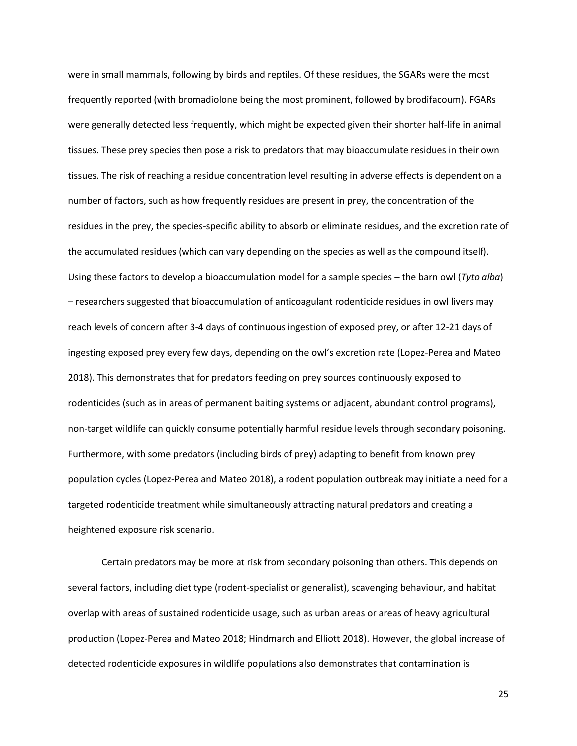were in small mammals, following by birds and reptiles. Of these residues, the SGARs were the most frequently reported (with bromadiolone being the most prominent, followed by brodifacoum). FGARs were generally detected less frequently, which might be expected given their shorter half-life in animal tissues. These prey species then pose a risk to predators that may bioaccumulate residues in their own tissues. The risk of reaching a residue concentration level resulting in adverse effects is dependent on a number of factors, such as how frequently residues are present in prey, the concentration of the residues in the prey, the species-specific ability to absorb or eliminate residues, and the excretion rate of the accumulated residues (which can vary depending on the species as well as the compound itself). Using these factors to develop a bioaccumulation model for a sample species – the barn owl (*Tyto alba*) – researchers suggested that bioaccumulation of anticoagulant rodenticide residues in owl livers may reach levels of concern after 3-4 days of continuous ingestion of exposed prey, or after 12-21 days of ingesting exposed prey every few days, depending on the owl's excretion rate (Lopez-Perea and Mateo 2018). This demonstrates that for predators feeding on prey sources continuously exposed to rodenticides (such as in areas of permanent baiting systems or adjacent, abundant control programs), non-target wildlife can quickly consume potentially harmful residue levels through secondary poisoning. Furthermore, with some predators (including birds of prey) adapting to benefit from known prey population cycles (Lopez-Perea and Mateo 2018), a rodent population outbreak may initiate a need for a targeted rodenticide treatment while simultaneously attracting natural predators and creating a heightened exposure risk scenario.

Certain predators may be more at risk from secondary poisoning than others. This depends on several factors, including diet type (rodent-specialist or generalist), scavenging behaviour, and habitat overlap with areas of sustained rodenticide usage, such as urban areas or areas of heavy agricultural production (Lopez-Perea and Mateo 2018; Hindmarch and Elliott 2018). However, the global increase of detected rodenticide exposures in wildlife populations also demonstrates that contamination is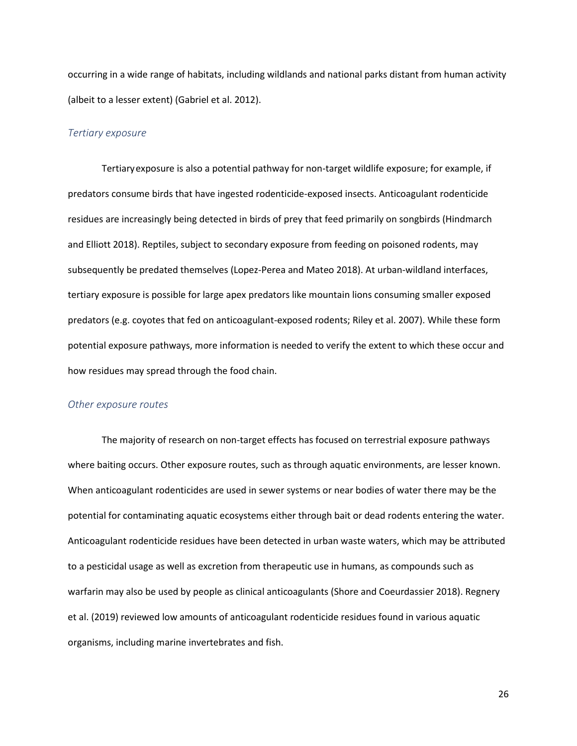occurring in a wide range of habitats, including wildlands and national parks distant from human activity (albeit to a lesser extent) (Gabriel et al. 2012).

#### *Tertiary exposure*

Tertiaryexposure is also a potential pathway for non-target wildlife exposure; for example, if predators consume birds that have ingested rodenticide-exposed insects. Anticoagulant rodenticide residues are increasingly being detected in birds of prey that feed primarily on songbirds (Hindmarch and Elliott 2018). Reptiles, subject to secondary exposure from feeding on poisoned rodents, may subsequently be predated themselves (Lopez-Perea and Mateo 2018). At urban-wildland interfaces, tertiary exposure is possible for large apex predators like mountain lions consuming smaller exposed predators (e.g. coyotes that fed on anticoagulant-exposed rodents; Riley et al. 2007). While these form potential exposure pathways, more information is needed to verify the extent to which these occur and how residues may spread through the food chain.

#### *Other exposure routes*

The majority of research on non-target effects has focused on terrestrial exposure pathways where baiting occurs. Other exposure routes, such as through aquatic environments, are lesser known. When anticoagulant rodenticides are used in sewer systems or near bodies of water there may be the potential for contaminating aquatic ecosystems either through bait or dead rodents entering the water. Anticoagulant rodenticide residues have been detected in urban waste waters, which may be attributed to a pesticidal usage as well as excretion from therapeutic use in humans, as compounds such as warfarin may also be used by people as clinical anticoagulants (Shore and Coeurdassier 2018). Regnery et al. (2019) reviewed low amounts of anticoagulant rodenticide residues found in various aquatic organisms, including marine invertebrates and fish.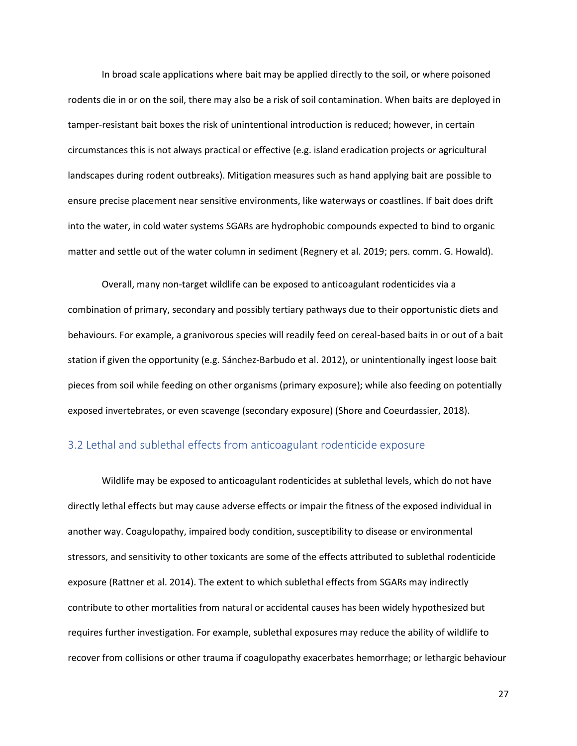In broad scale applications where bait may be applied directly to the soil, or where poisoned rodents die in or on the soil, there may also be a risk of soil contamination. When baits are deployed in tamper-resistant bait boxes the risk of unintentional introduction is reduced; however, in certain circumstances this is not always practical or effective (e.g. island eradication projects or agricultural landscapes during rodent outbreaks). Mitigation measures such as hand applying bait are possible to ensure precise placement near sensitive environments, like waterways or coastlines. If bait does drift into the water, in cold water systems SGARs are hydrophobic compounds expected to bind to organic matter and settle out of the water column in sediment (Regnery et al. 2019; pers. comm. G. Howald).

Overall, many non-target wildlife can be exposed to anticoagulant rodenticides via a combination of primary, secondary and possibly tertiary pathways due to their opportunistic diets and behaviours. For example, a granivorous species will readily feed on cereal-based baits in or out of a bait station if given the opportunity (e.g. Sánchez-Barbudo et al. 2012), or unintentionally ingest loose bait pieces from soil while feeding on other organisms (primary exposure); while also feeding on potentially exposed invertebrates, or even scavenge (secondary exposure) (Shore and Coeurdassier, 2018).

### <span id="page-26-0"></span>3.2 Lethal and sublethal effects from anticoagulant rodenticide exposure

Wildlife may be exposed to anticoagulant rodenticides at sublethal levels, which do not have directly lethal effects but may cause adverse effects or impair the fitness of the exposed individual in another way. Coagulopathy, impaired body condition, susceptibility to disease or environmental stressors, and sensitivity to other toxicants are some of the effects attributed to sublethal rodenticide exposure (Rattner et al. 2014). The extent to which sublethal effects from SGARs may indirectly contribute to other mortalities from natural or accidental causes has been widely hypothesized but requires further investigation. For example, sublethal exposures may reduce the ability of wildlife to recover from collisions or other trauma if coagulopathy exacerbates hemorrhage; or lethargic behaviour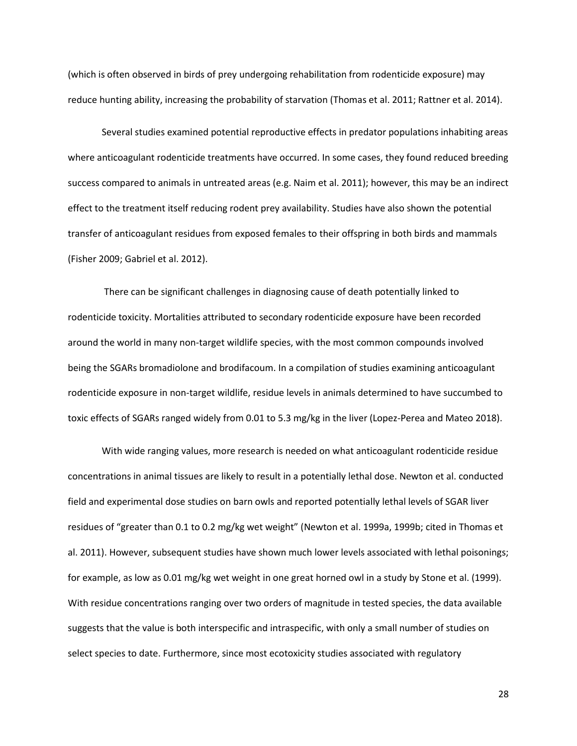(which is often observed in birds of prey undergoing rehabilitation from rodenticide exposure) may reduce hunting ability, increasing the probability of starvation (Thomas et al. 2011; Rattner et al. 2014).

Several studies examined potential reproductive effects in predator populations inhabiting areas where anticoagulant rodenticide treatments have occurred. In some cases, they found reduced breeding success compared to animals in untreated areas (e.g. Naim et al. 2011); however, this may be an indirect effect to the treatment itself reducing rodent prey availability. Studies have also shown the potential transfer of anticoagulant residues from exposed females to their offspring in both birds and mammals (Fisher 2009; Gabriel et al. 2012).

There can be significant challenges in diagnosing cause of death potentially linked to rodenticide toxicity. Mortalities attributed to secondary rodenticide exposure have been recorded around the world in many non-target wildlife species, with the most common compounds involved being the SGARs bromadiolone and brodifacoum. In a compilation of studies examining anticoagulant rodenticide exposure in non-target wildlife, residue levels in animals determined to have succumbed to toxic effects of SGARs ranged widely from 0.01 to 5.3 mg/kg in the liver (Lopez-Perea and Mateo 2018).

With wide ranging values, more research is needed on what anticoagulant rodenticide residue concentrations in animal tissues are likely to result in a potentially lethal dose. Newton et al. conducted field and experimental dose studies on barn owls and reported potentially lethal levels of SGAR liver residues of "greater than 0.1 to 0.2 mg/kg wet weight" (Newton et al. 1999a, 1999b; cited in Thomas et al. 2011). However, subsequent studies have shown much lower levels associated with lethal poisonings; for example, as low as 0.01 mg/kg wet weight in one great horned owl in a study by Stone et al. (1999). With residue concentrations ranging over two orders of magnitude in tested species, the data available suggests that the value is both interspecific and intraspecific, with only a small number of studies on select species to date. Furthermore, since most ecotoxicity studies associated with regulatory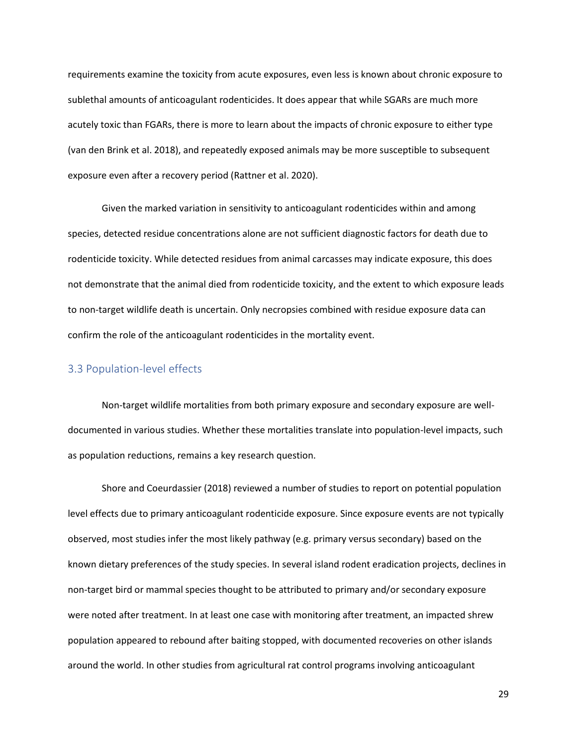requirements examine the toxicity from acute exposures, even less is known about chronic exposure to sublethal amounts of anticoagulant rodenticides. It does appear that while SGARs are much more acutely toxic than FGARs, there is more to learn about the impacts of chronic exposure to either type (van den Brink et al. 2018), and repeatedly exposed animals may be more susceptible to subsequent exposure even after a recovery period (Rattner et al. 2020).

Given the marked variation in sensitivity to anticoagulant rodenticides within and among species, detected residue concentrations alone are not sufficient diagnostic factors for death due to rodenticide toxicity. While detected residues from animal carcasses may indicate exposure, this does not demonstrate that the animal died from rodenticide toxicity, and the extent to which exposure leads to non-target wildlife death is uncertain. Only necropsies combined with residue exposure data can confirm the role of the anticoagulant rodenticides in the mortality event.

## <span id="page-28-0"></span>3.3 Population-level effects

Non-target wildlife mortalities from both primary exposure and secondary exposure are welldocumented in various studies. Whether these mortalities translate into population-level impacts, such as population reductions, remains a key research question.

Shore and Coeurdassier (2018) reviewed a number of studies to report on potential population level effects due to primary anticoagulant rodenticide exposure. Since exposure events are not typically observed, most studies infer the most likely pathway (e.g. primary versus secondary) based on the known dietary preferences of the study species. In several island rodent eradication projects, declines in non-target bird or mammal species thought to be attributed to primary and/or secondary exposure were noted after treatment. In at least one case with monitoring after treatment, an impacted shrew population appeared to rebound after baiting stopped, with documented recoveries on other islands around the world. In other studies from agricultural rat control programs involving anticoagulant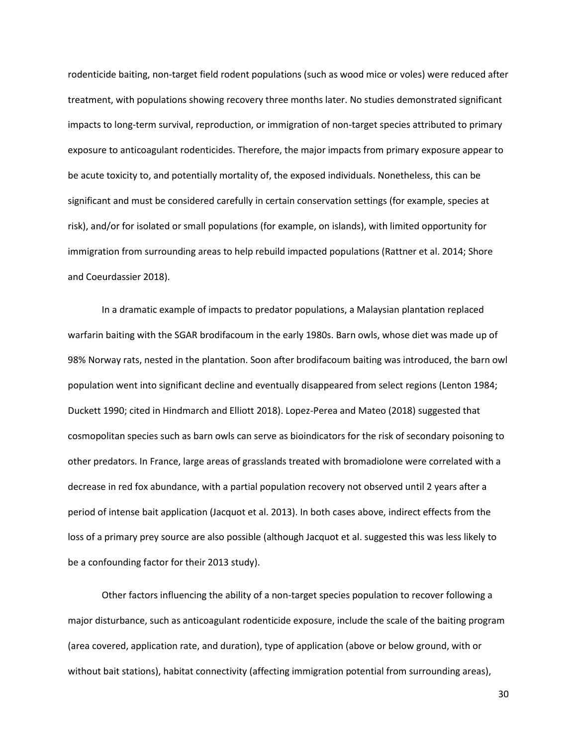rodenticide baiting, non-target field rodent populations (such as wood mice or voles) were reduced after treatment, with populations showing recovery three months later. No studies demonstrated significant impacts to long-term survival, reproduction, or immigration of non-target species attributed to primary exposure to anticoagulant rodenticides. Therefore, the major impacts from primary exposure appear to be acute toxicity to, and potentially mortality of, the exposed individuals. Nonetheless, this can be significant and must be considered carefully in certain conservation settings (for example, species at risk), and/or for isolated or small populations (for example, on islands), with limited opportunity for immigration from surrounding areas to help rebuild impacted populations (Rattner et al. 2014; Shore and Coeurdassier 2018).

In a dramatic example of impacts to predator populations, a Malaysian plantation replaced warfarin baiting with the SGAR brodifacoum in the early 1980s. Barn owls, whose diet was made up of 98% Norway rats, nested in the plantation. Soon after brodifacoum baiting was introduced, the barn owl population went into significant decline and eventually disappeared from select regions (Lenton 1984; Duckett 1990; cited in Hindmarch and Elliott 2018). Lopez-Perea and Mateo (2018) suggested that cosmopolitan species such as barn owls can serve as bioindicators for the risk of secondary poisoning to other predators. In France, large areas of grasslands treated with bromadiolone were correlated with a decrease in red fox abundance, with a partial population recovery not observed until 2 years after a period of intense bait application (Jacquot et al. 2013). In both cases above, indirect effects from the loss of a primary prey source are also possible (although Jacquot et al. suggested this was less likely to be a confounding factor for their 2013 study).

Other factors influencing the ability of a non-target species population to recover following a major disturbance, such as anticoagulant rodenticide exposure, include the scale of the baiting program (area covered, application rate, and duration), type of application (above or below ground, with or without bait stations), habitat connectivity (affecting immigration potential from surrounding areas),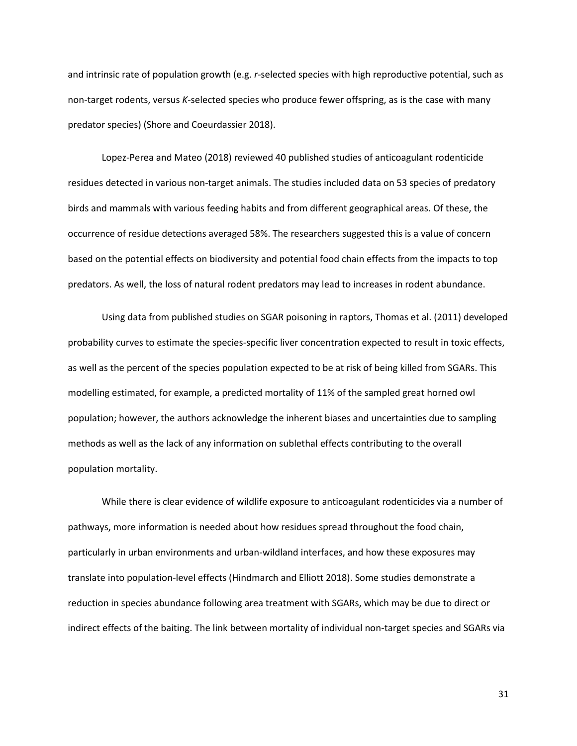and intrinsic rate of population growth (e.g. *r*-selected species with high reproductive potential, such as non-target rodents, versus *K*-selected species who produce fewer offspring, as is the case with many predator species) (Shore and Coeurdassier 2018).

Lopez-Perea and Mateo (2018) reviewed 40 published studies of anticoagulant rodenticide residues detected in various non-target animals. The studies included data on 53 species of predatory birds and mammals with various feeding habits and from different geographical areas. Of these, the occurrence of residue detections averaged 58%. The researchers suggested this is a value of concern based on the potential effects on biodiversity and potential food chain effects from the impacts to top predators. As well, the loss of natural rodent predators may lead to increases in rodent abundance.

Using data from published studies on SGAR poisoning in raptors, Thomas et al. (2011) developed probability curves to estimate the species-specific liver concentration expected to result in toxic effects, as well as the percent of the species population expected to be at risk of being killed from SGARs. This modelling estimated, for example, a predicted mortality of 11% of the sampled great horned owl population; however, the authors acknowledge the inherent biases and uncertainties due to sampling methods as well as the lack of any information on sublethal effects contributing to the overall population mortality.

While there is clear evidence of wildlife exposure to anticoagulant rodenticides via a number of pathways, more information is needed about how residues spread throughout the food chain, particularly in urban environments and urban-wildland interfaces, and how these exposures may translate into population-level effects (Hindmarch and Elliott 2018). Some studies demonstrate a reduction in species abundance following area treatment with SGARs, which may be due to direct or indirect effects of the baiting. The link between mortality of individual non-target species and SGARs via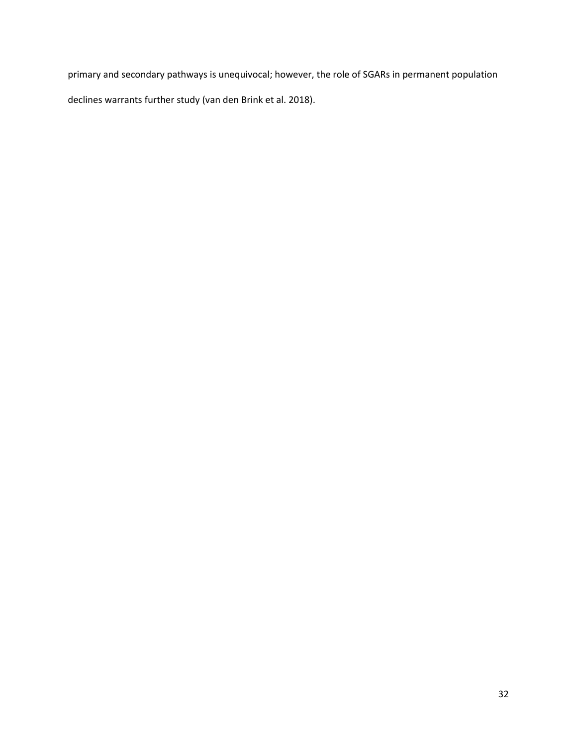primary and secondary pathways is unequivocal; however, the role of SGARs in permanent population declines warrants further study (van den Brink et al. 2018).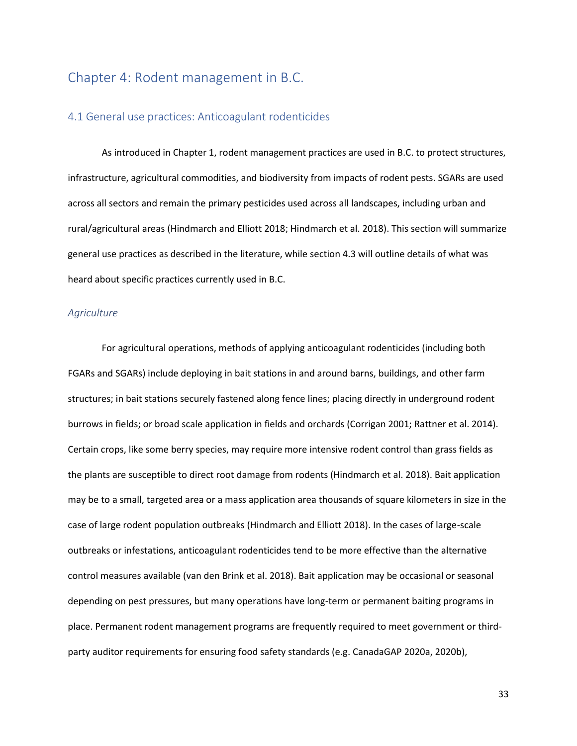## <span id="page-32-0"></span>Chapter 4: Rodent management in B.C.

### <span id="page-32-1"></span>4.1 General use practices: Anticoagulant rodenticides

As introduced in Chapter 1, rodent management practices are used in B.C. to protect structures, infrastructure, agricultural commodities, and biodiversity from impacts of rodent pests. SGARs are used across all sectors and remain the primary pesticides used across all landscapes, including urban and rural/agricultural areas (Hindmarch and Elliott 2018; Hindmarch et al. 2018). This section will summarize general use practices as described in the literature, while section 4.3 will outline details of what was heard about specific practices currently used in B.C.

#### *Agriculture*

For agricultural operations, methods of applying anticoagulant rodenticides (including both FGARs and SGARs) include deploying in bait stations in and around barns, buildings, and other farm structures; in bait stations securely fastened along fence lines; placing directly in underground rodent burrows in fields; or broad scale application in fields and orchards (Corrigan 2001; Rattner et al. 2014). Certain crops, like some berry species, may require more intensive rodent control than grass fields as the plants are susceptible to direct root damage from rodents (Hindmarch et al. 2018). Bait application may be to a small, targeted area or a mass application area thousands of square kilometers in size in the case of large rodent population outbreaks (Hindmarch and Elliott 2018). In the cases of large-scale outbreaks or infestations, anticoagulant rodenticides tend to be more effective than the alternative control measures available (van den Brink et al. 2018). Bait application may be occasional or seasonal depending on pest pressures, but many operations have long-term or permanent baiting programs in place. Permanent rodent management programs are frequently required to meet government or thirdparty auditor requirements for ensuring food safety standards (e.g. CanadaGAP 2020a, 2020b),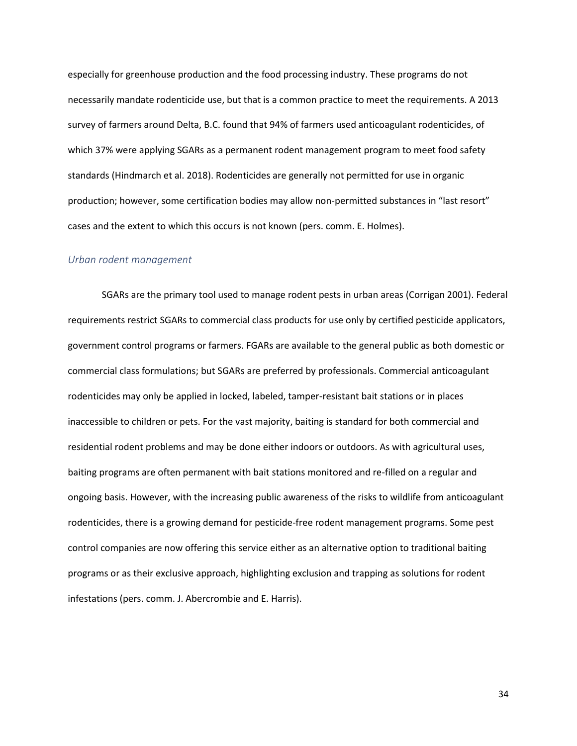especially for greenhouse production and the food processing industry. These programs do not necessarily mandate rodenticide use, but that is a common practice to meet the requirements. A 2013 survey of farmers around Delta, B.C. found that 94% of farmers used anticoagulant rodenticides, of which 37% were applying SGARs as a permanent rodent management program to meet food safety standards (Hindmarch et al. 2018). Rodenticides are generally not permitted for use in organic production; however, some certification bodies may allow non-permitted substances in "last resort" cases and the extent to which this occurs is not known (pers. comm. E. Holmes).

#### *Urban rodent management*

SGARs are the primary tool used to manage rodent pests in urban areas (Corrigan 2001). Federal requirements restrict SGARs to commercial class products for use only by certified pesticide applicators, government control programs or farmers. FGARs are available to the general public as both domestic or commercial class formulations; but SGARs are preferred by professionals. Commercial anticoagulant rodenticides may only be applied in locked, labeled, tamper-resistant bait stations or in places inaccessible to children or pets. For the vast majority, baiting is standard for both commercial and residential rodent problems and may be done either indoors or outdoors. As with agricultural uses, baiting programs are often permanent with bait stations monitored and re-filled on a regular and ongoing basis. However, with the increasing public awareness of the risks to wildlife from anticoagulant rodenticides, there is a growing demand for pesticide-free rodent management programs. Some pest control companies are now offering this service either as an alternative option to traditional baiting programs or as their exclusive approach, highlighting exclusion and trapping as solutions for rodent infestations (pers. comm. J. Abercrombie and E. Harris).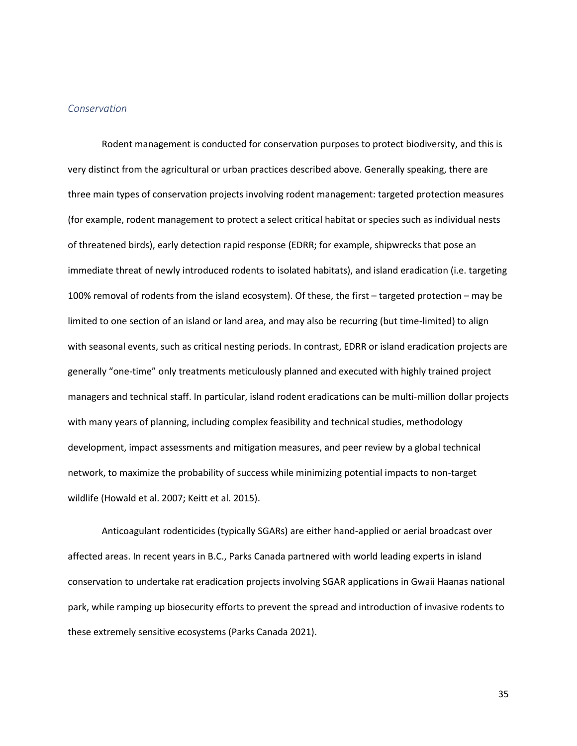#### *Conservation*

Rodent management is conducted for conservation purposes to protect biodiversity, and this is very distinct from the agricultural or urban practices described above. Generally speaking, there are three main types of conservation projects involving rodent management: targeted protection measures (for example, rodent management to protect a select critical habitat or species such as individual nests of threatened birds), early detection rapid response (EDRR; for example, shipwrecks that pose an immediate threat of newly introduced rodents to isolated habitats), and island eradication (i.e. targeting 100% removal of rodents from the island ecosystem). Of these, the first – targeted protection – may be limited to one section of an island or land area, and may also be recurring (but time-limited) to align with seasonal events, such as critical nesting periods. In contrast, EDRR or island eradication projects are generally "one-time" only treatments meticulously planned and executed with highly trained project managers and technical staff. In particular, island rodent eradications can be multi-million dollar projects with many years of planning, including complex feasibility and technical studies, methodology development, impact assessments and mitigation measures, and peer review by a global technical network, to maximize the probability of success while minimizing potential impacts to non-target wildlife (Howald et al. 2007; Keitt et al. 2015).

Anticoagulant rodenticides (typically SGARs) are either hand-applied or aerial broadcast over affected areas. In recent years in B.C., Parks Canada partnered with world leading experts in island conservation to undertake rat eradication projects involving SGAR applications in Gwaii Haanas national park, while ramping up biosecurity efforts to prevent the spread and introduction of invasive rodents to these extremely sensitive ecosystems (Parks Canada 2021).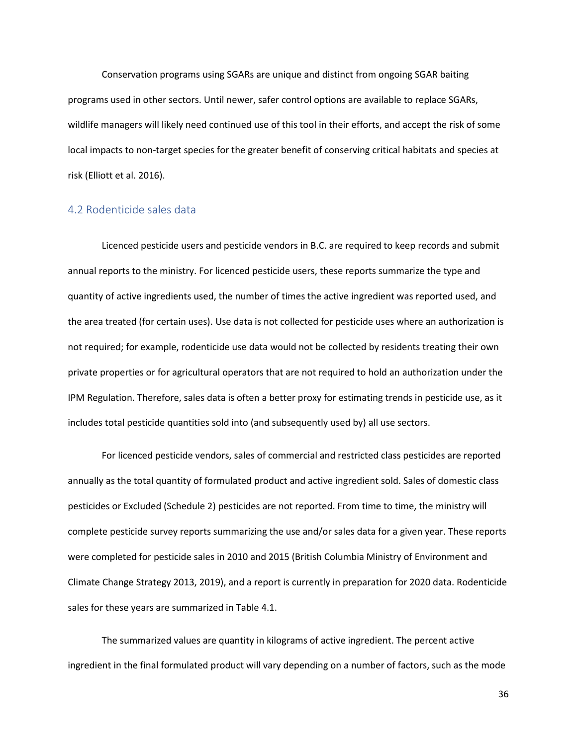Conservation programs using SGARs are unique and distinct from ongoing SGAR baiting programs used in other sectors. Until newer, safer control options are available to replace SGARs, wildlife managers will likely need continued use of this tool in their efforts, and accept the risk of some local impacts to non-target species for the greater benefit of conserving critical habitats and species at risk (Elliott et al. 2016).

### <span id="page-35-0"></span>4.2 Rodenticide sales data

Licenced pesticide users and pesticide vendors in B.C. are required to keep records and submit annual reports to the ministry. For licenced pesticide users, these reports summarize the type and quantity of active ingredients used, the number of times the active ingredient was reported used, and the area treated (for certain uses). Use data is not collected for pesticide uses where an authorization is not required; for example, rodenticide use data would not be collected by residents treating their own private properties or for agricultural operators that are not required to hold an authorization under the IPM Regulation. Therefore, sales data is often a better proxy for estimating trends in pesticide use, as it includes total pesticide quantities sold into (and subsequently used by) all use sectors.

For licenced pesticide vendors, sales of commercial and restricted class pesticides are reported annually as the total quantity of formulated product and active ingredient sold. Sales of domestic class pesticides or Excluded (Schedule 2) pesticides are not reported. From time to time, the ministry will complete pesticide survey reports summarizing the use and/or sales data for a given year. These reports were completed for pesticide sales in 2010 and 2015 (British Columbia Ministry of Environment and Climate Change Strategy 2013, 2019), and a report is currently in preparation for 2020 data. Rodenticide sales for these years are summarized in Table 4.1.

The summarized values are quantity in kilograms of active ingredient. The percent active ingredient in the final formulated product will vary depending on a number of factors, such as the mode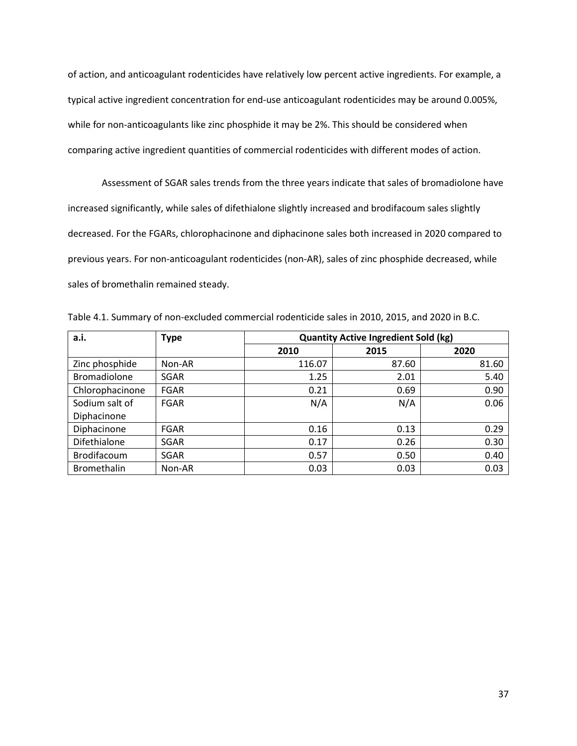of action, and anticoagulant rodenticides have relatively low percent active ingredients. For example, a typical active ingredient concentration for end-use anticoagulant rodenticides may be around 0.005%, while for non-anticoagulants like zinc phosphide it may be 2%. This should be considered when comparing active ingredient quantities of commercial rodenticides with different modes of action.

Assessment of SGAR sales trends from the three years indicate that sales of bromadiolone have increased significantly, while sales of difethialone slightly increased and brodifacoum sales slightly decreased. For the FGARs, chlorophacinone and diphacinone sales both increased in 2020 compared to previous years. For non-anticoagulant rodenticides (non-AR), sales of zinc phosphide decreased, while sales of bromethalin remained steady.

Table 4.1. Summary of non-excluded commercial rodenticide sales in 2010, 2015, and 2020 in B.C.

| a.i.                | <b>Type</b> | <b>Quantity Active Ingredient Sold (kg)</b> |       |       |  |  |
|---------------------|-------------|---------------------------------------------|-------|-------|--|--|
|                     |             | 2010                                        | 2015  | 2020  |  |  |
| Zinc phosphide      | Non-AR      | 116.07                                      | 87.60 | 81.60 |  |  |
| <b>Bromadiolone</b> | SGAR        | 1.25                                        | 2.01  | 5.40  |  |  |
| Chlorophacinone     | <b>FGAR</b> | 0.21                                        | 0.69  | 0.90  |  |  |
| Sodium salt of      | <b>FGAR</b> | N/A                                         | N/A   | 0.06  |  |  |
| Diphacinone         |             |                                             |       |       |  |  |
| Diphacinone         | <b>FGAR</b> | 0.16                                        | 0.13  | 0.29  |  |  |
| Difethialone        | SGAR        | 0.17                                        | 0.26  | 0.30  |  |  |
| Brodifacoum         | SGAR        | 0.57                                        | 0.50  | 0.40  |  |  |
| <b>Bromethalin</b>  | Non-AR      | 0.03                                        | 0.03  | 0.03  |  |  |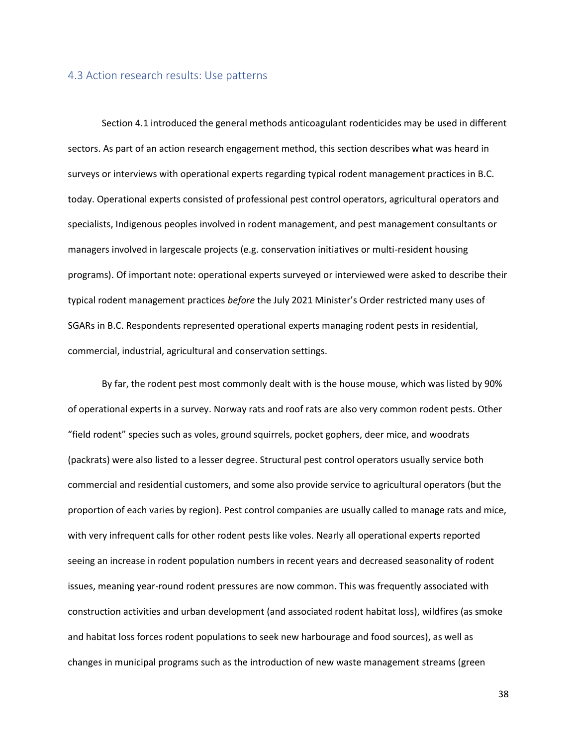#### 4.3 Action research results: Use patterns

Section 4.1 introduced the general methods anticoagulant rodenticides may be used in different sectors. As part of an action research engagement method, this section describes what was heard in surveys or interviews with operational experts regarding typical rodent management practices in B.C. today. Operational experts consisted of professional pest control operators, agricultural operators and specialists, Indigenous peoples involved in rodent management, and pest management consultants or managers involved in largescale projects (e.g. conservation initiatives or multi-resident housing programs). Of important note: operational experts surveyed or interviewed were asked to describe their typical rodent management practices *before* the July 2021 Minister's Order restricted many uses of SGARs in B.C. Respondents represented operational experts managing rodent pests in residential, commercial, industrial, agricultural and conservation settings.

By far, the rodent pest most commonly dealt with is the house mouse, which was listed by 90% of operational experts in a survey. Norway rats and roof rats are also very common rodent pests. Other "field rodent" species such as voles, ground squirrels, pocket gophers, deer mice, and woodrats (packrats) were also listed to a lesser degree. Structural pest control operators usually service both commercial and residential customers, and some also provide service to agricultural operators (but the proportion of each varies by region). Pest control companies are usually called to manage rats and mice, with very infrequent calls for other rodent pests like voles. Nearly all operational experts reported seeing an increase in rodent population numbers in recent years and decreased seasonality of rodent issues, meaning year-round rodent pressures are now common. This was frequently associated with construction activities and urban development (and associated rodent habitat loss), wildfires (as smoke and habitat loss forces rodent populations to seek new harbourage and food sources), as well as changes in municipal programs such as the introduction of new waste management streams (green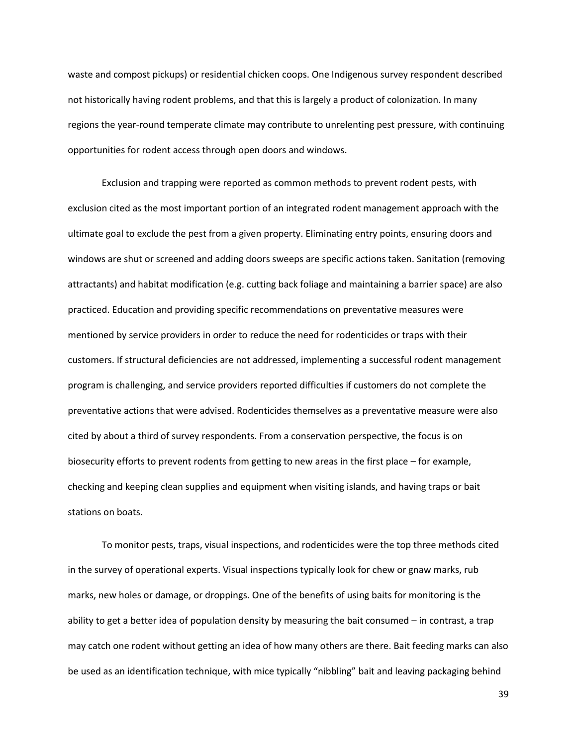waste and compost pickups) or residential chicken coops. One Indigenous survey respondent described not historically having rodent problems, and that this is largely a product of colonization. In many regions the year-round temperate climate may contribute to unrelenting pest pressure, with continuing opportunities for rodent access through open doors and windows.

Exclusion and trapping were reported as common methods to prevent rodent pests, with exclusion cited as the most important portion of an integrated rodent management approach with the ultimate goal to exclude the pest from a given property. Eliminating entry points, ensuring doors and windows are shut or screened and adding doors sweeps are specific actions taken. Sanitation (removing attractants) and habitat modification (e.g. cutting back foliage and maintaining a barrier space) are also practiced. Education and providing specific recommendations on preventative measures were mentioned by service providers in order to reduce the need for rodenticides or traps with their customers. If structural deficiencies are not addressed, implementing a successful rodent management program is challenging, and service providers reported difficulties if customers do not complete the preventative actions that were advised. Rodenticides themselves as a preventative measure were also cited by about a third of survey respondents. From a conservation perspective, the focus is on biosecurity efforts to prevent rodents from getting to new areas in the first place – for example, checking and keeping clean supplies and equipment when visiting islands, and having traps or bait stations on boats.

To monitor pests, traps, visual inspections, and rodenticides were the top three methods cited in the survey of operational experts. Visual inspections typically look for chew or gnaw marks, rub marks, new holes or damage, or droppings. One of the benefits of using baits for monitoring is the ability to get a better idea of population density by measuring the bait consumed – in contrast, a trap may catch one rodent without getting an idea of how many others are there. Bait feeding marks can also be used as an identification technique, with mice typically "nibbling" bait and leaving packaging behind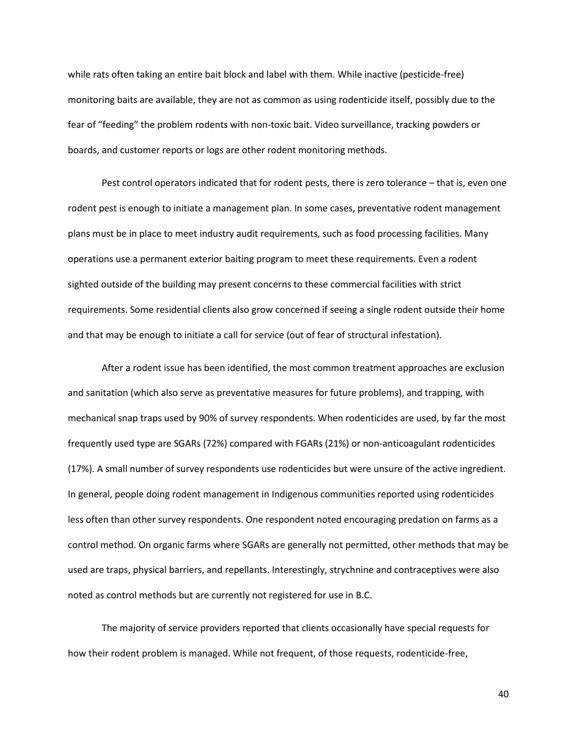while rats often taking an entire bait block and label with them. While inactive (pesticide-free) monitoring baits are available, they are not as common as using rodenticide itself, possibly due to the fear of "feeding" the problem rodents with non-toxic bait. Video surveillance, tracking powders or boards, and customer reports or logs are other rodent monitoring methods.

Pest control operators indicated that for rodent pests, there is zero tolerance – that is, even one rodent pest is enough to initiate a management plan. In some cases, preventative rodent management plans must be in place to meet industry audit requirements, such as food processing facilities. Many operations use a permanent exterior baiting program to meet these requirements. Even a rodent sighted outside of the building may present concerns to these commercial facilities with strict requirements. Some residential clients also grow concerned if seeing a single rodent outside their home and that may be enough to initiate a call for service (out of fear of structural infestation).

After a rodent issue has been identified, the most common treatment approaches are exclusion and sanitation (which also serve as preventative measures for future problems), and trapping, with mechanical snap traps used by 90% of survey respondents. When rodenticides are used, by far the most frequently used type are SGARs (72%) compared with FGARs (21%) or non-anticoagulant rodenticides (17%). A small number of survey respondents use rodenticides but were unsure of the active ingredient. In general, people doing rodent management in Indigenous communities reported using rodenticides less often than other survey respondents. One respondent noted encouraging predation on farms as a control method. On organic farms where SGARs are generally not permitted, other methods that may be used are traps, physical barriers, and repellants. Interestingly, strychnine and contraceptives were also noted as control methods but are currently not registered for use in B.C.

The majority of service providers reported that clients occasionally have special requests for how their rodent problem is managed. While not frequent, of those requests, rodenticide-free,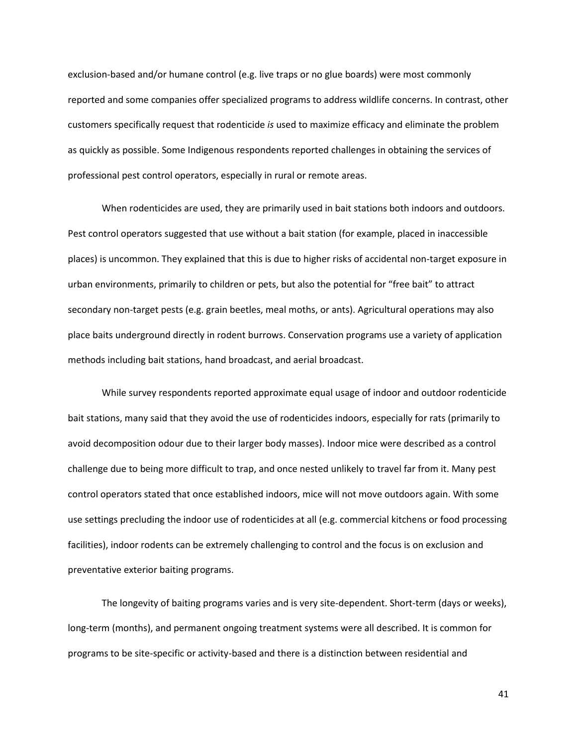exclusion-based and/or humane control (e.g. live traps or no glue boards) were most commonly reported and some companies offer specialized programs to address wildlife concerns. In contrast, other customers specifically request that rodenticide *is* used to maximize efficacy and eliminate the problem as quickly as possible. Some Indigenous respondents reported challenges in obtaining the services of professional pest control operators, especially in rural or remote areas.

When rodenticides are used, they are primarily used in bait stations both indoors and outdoors. Pest control operators suggested that use without a bait station (for example, placed in inaccessible places) is uncommon. They explained that this is due to higher risks of accidental non-target exposure in urban environments, primarily to children or pets, but also the potential for "free bait" to attract secondary non-target pests (e.g. grain beetles, meal moths, or ants). Agricultural operations may also place baits underground directly in rodent burrows. Conservation programs use a variety of application methods including bait stations, hand broadcast, and aerial broadcast.

While survey respondents reported approximate equal usage of indoor and outdoor rodenticide bait stations, many said that they avoid the use of rodenticides indoors, especially for rats (primarily to avoid decomposition odour due to their larger body masses). Indoor mice were described as a control challenge due to being more difficult to trap, and once nested unlikely to travel far from it. Many pest control operators stated that once established indoors, mice will not move outdoors again. With some use settings precluding the indoor use of rodenticides at all (e.g. commercial kitchens or food processing facilities), indoor rodents can be extremely challenging to control and the focus is on exclusion and preventative exterior baiting programs.

The longevity of baiting programs varies and is very site-dependent. Short-term (days or weeks), long-term (months), and permanent ongoing treatment systems were all described. It is common for programs to be site-specific or activity-based and there is a distinction between residential and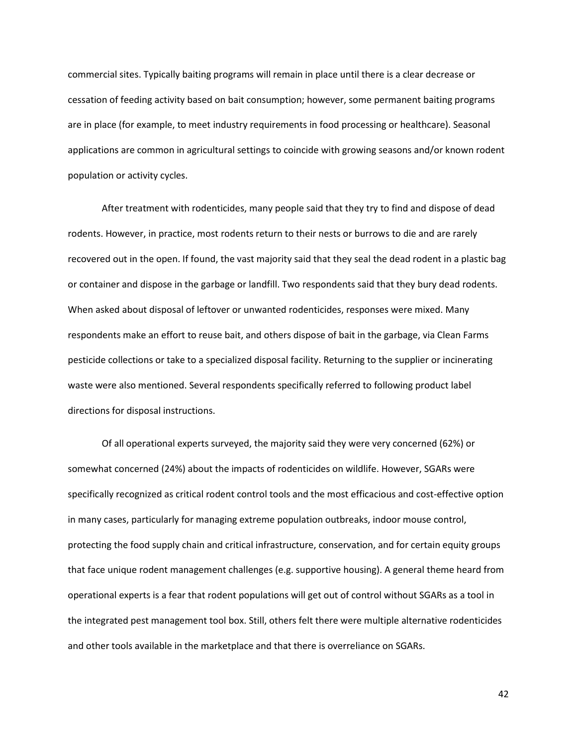commercial sites. Typically baiting programs will remain in place until there is a clear decrease or cessation of feeding activity based on bait consumption; however, some permanent baiting programs are in place (for example, to meet industry requirements in food processing or healthcare). Seasonal applications are common in agricultural settings to coincide with growing seasons and/or known rodent population or activity cycles.

After treatment with rodenticides, many people said that they try to find and dispose of dead rodents. However, in practice, most rodents return to their nests or burrows to die and are rarely recovered out in the open. If found, the vast majority said that they seal the dead rodent in a plastic bag or container and dispose in the garbage or landfill. Two respondents said that they bury dead rodents. When asked about disposal of leftover or unwanted rodenticides, responses were mixed. Many respondents make an effort to reuse bait, and others dispose of bait in the garbage, via Clean Farms pesticide collections or take to a specialized disposal facility. Returning to the supplier or incinerating waste were also mentioned. Several respondents specifically referred to following product label directions for disposal instructions.

Of all operational experts surveyed, the majority said they were very concerned (62%) or somewhat concerned (24%) about the impacts of rodenticides on wildlife. However, SGARs were specifically recognized as critical rodent control tools and the most efficacious and cost-effective option in many cases, particularly for managing extreme population outbreaks, indoor mouse control, protecting the food supply chain and critical infrastructure, conservation, and for certain equity groups that face unique rodent management challenges (e.g. supportive housing). A general theme heard from operational experts is a fear that rodent populations will get out of control without SGARs as a tool in the integrated pest management tool box. Still, others felt there were multiple alternative rodenticides and other tools available in the marketplace and that there is overreliance on SGARs.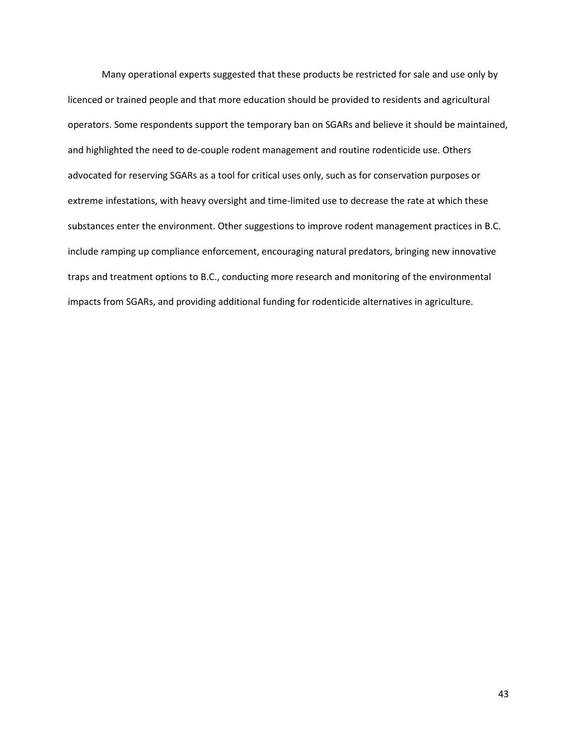Many operational experts suggested that these products be restricted for sale and use only by licenced or trained people and that more education should be provided to residents and agricultural operators. Some respondents support the temporary ban on SGARs and believe it should be maintained, and highlighted the need to de-couple rodent management and routine rodenticide use. Others advocated for reserving SGARs as a tool for critical uses only, such as for conservation purposes or extreme infestations, with heavy oversight and time-limited use to decrease the rate at which these substances enter the environment. Other suggestions to improve rodent management practices in B.C. include ramping up compliance enforcement, encouraging natural predators, bringing new innovative traps and treatment options to B.C., conducting more research and monitoring of the environmental impacts from SGARs, and providing additional funding for rodenticide alternatives in agriculture.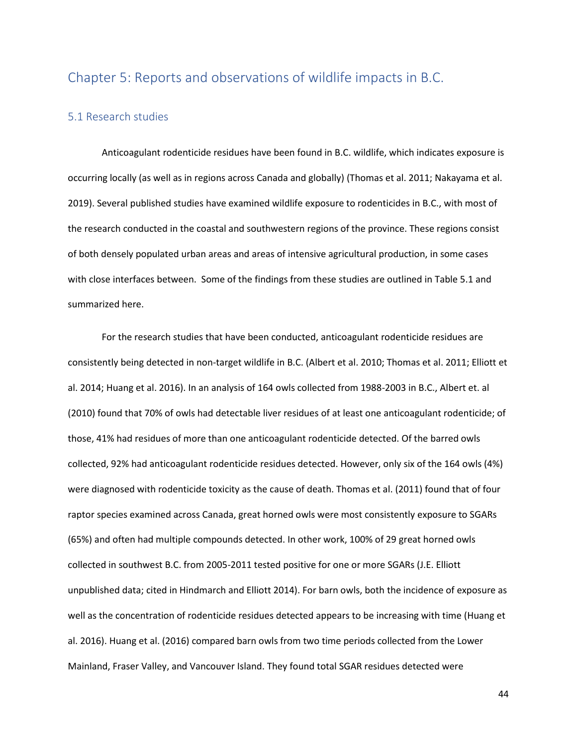## Chapter 5: Reports and observations of wildlife impacts in B.C.

## 5.1 Research studies

Anticoagulant rodenticide residues have been found in B.C. wildlife, which indicates exposure is occurring locally (as well as in regions across Canada and globally) (Thomas et al. 2011; Nakayama et al. 2019). Several published studies have examined wildlife exposure to rodenticides in B.C., with most of the research conducted in the coastal and southwestern regions of the province. These regions consist of both densely populated urban areas and areas of intensive agricultural production, in some cases with close interfaces between. Some of the findings from these studies are outlined in Table 5.1 and summarized here.

For the research studies that have been conducted, anticoagulant rodenticide residues are consistently being detected in non-target wildlife in B.C. (Albert et al. 2010; Thomas et al. 2011; Elliott et al. 2014; Huang et al. 2016). In an analysis of 164 owls collected from 1988-2003 in B.C., Albert et. al (2010) found that 70% of owls had detectable liver residues of at least one anticoagulant rodenticide; of those, 41% had residues of more than one anticoagulant rodenticide detected. Of the barred owls collected, 92% had anticoagulant rodenticide residues detected. However, only six of the 164 owls (4%) were diagnosed with rodenticide toxicity as the cause of death. Thomas et al. (2011) found that of four raptor species examined across Canada, great horned owls were most consistently exposure to SGARs (65%) and often had multiple compounds detected. In other work, 100% of 29 great horned owls collected in southwest B.C. from 2005-2011 tested positive for one or more SGARs (J.E. Elliott unpublished data; cited in Hindmarch and Elliott 2014). For barn owls, both the incidence of exposure as well as the concentration of rodenticide residues detected appears to be increasing with time (Huang et al. 2016). Huang et al. (2016) compared barn owls from two time periods collected from the Lower Mainland, Fraser Valley, and Vancouver Island. They found total SGAR residues detected were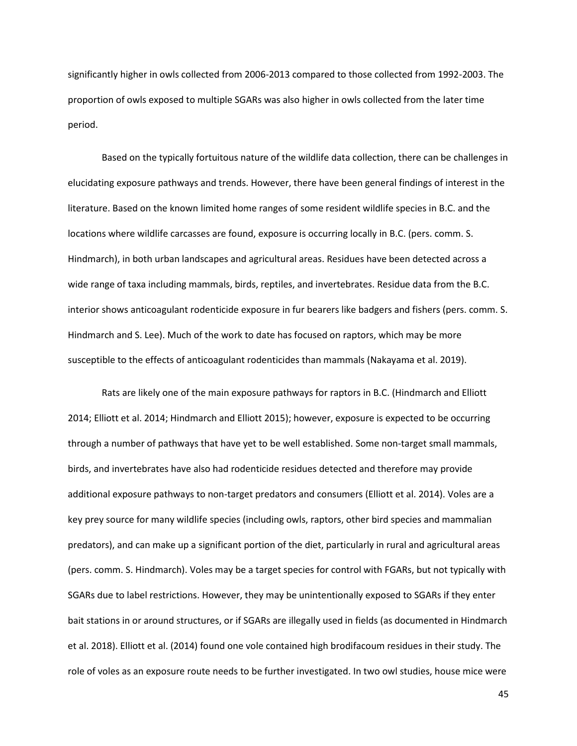significantly higher in owls collected from 2006-2013 compared to those collected from 1992-2003. The proportion of owls exposed to multiple SGARs was also higher in owls collected from the later time period.

Based on the typically fortuitous nature of the wildlife data collection, there can be challenges in elucidating exposure pathways and trends. However, there have been general findings of interest in the literature. Based on the known limited home ranges of some resident wildlife species in B.C. and the locations where wildlife carcasses are found, exposure is occurring locally in B.C. (pers. comm. S. Hindmarch), in both urban landscapes and agricultural areas. Residues have been detected across a wide range of taxa including mammals, birds, reptiles, and invertebrates. Residue data from the B.C. interior shows anticoagulant rodenticide exposure in fur bearers like badgers and fishers (pers. comm. S. Hindmarch and S. Lee). Much of the work to date has focused on raptors, which may be more susceptible to the effects of anticoagulant rodenticides than mammals (Nakayama et al. 2019).

Rats are likely one of the main exposure pathways for raptors in B.C. (Hindmarch and Elliott 2014; Elliott et al. 2014; Hindmarch and Elliott 2015); however, exposure is expected to be occurring through a number of pathways that have yet to be well established. Some non-target small mammals, birds, and invertebrates have also had rodenticide residues detected and therefore may provide additional exposure pathways to non-target predators and consumers (Elliott et al. 2014). Voles are a key prey source for many wildlife species (including owls, raptors, other bird species and mammalian predators), and can make up a significant portion of the diet, particularly in rural and agricultural areas (pers. comm. S. Hindmarch). Voles may be a target species for control with FGARs, but not typically with SGARs due to label restrictions. However, they may be unintentionally exposed to SGARs if they enter bait stations in or around structures, or if SGARs are illegally used in fields (as documented in Hindmarch et al. 2018). Elliott et al. (2014) found one vole contained high brodifacoum residues in their study. The role of voles as an exposure route needs to be further investigated. In two owl studies, house mice were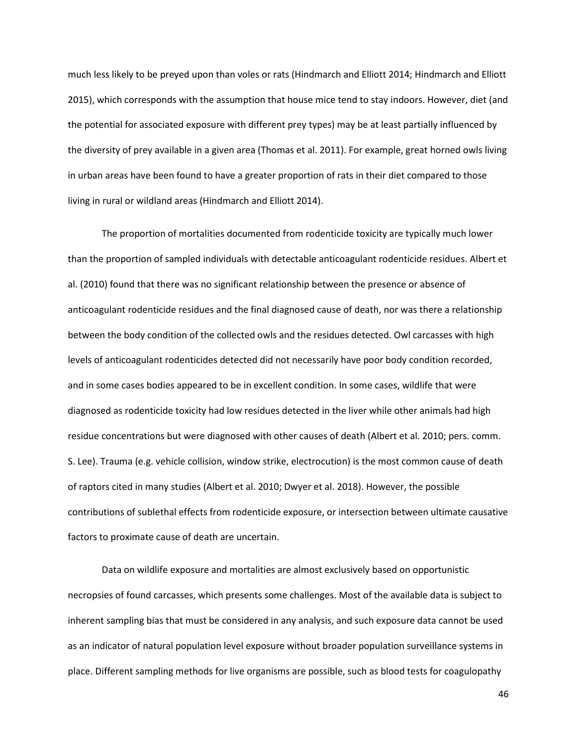much less likely to be preyed upon than voles or rats (Hindmarch and Elliott 2014; Hindmarch and Elliott 2015), which corresponds with the assumption that house mice tend to stay indoors. However, diet (and the potential for associated exposure with different prey types) may be at least partially influenced by the diversity of prey available in a given area (Thomas et al. 2011). For example, great horned owls living in urban areas have been found to have a greater proportion of rats in their diet compared to those living in rural or wildland areas (Hindmarch and Elliott 2014).

The proportion of mortalities documented from rodenticide toxicity are typically much lower than the proportion of sampled individuals with detectable anticoagulant rodenticide residues. Albert et al. (2010) found that there was no significant relationship between the presence or absence of anticoagulant rodenticide residues and the final diagnosed cause of death, nor was there a relationship between the body condition of the collected owls and the residues detected. Owl carcasses with high levels of anticoagulant rodenticides detected did not necessarily have poor body condition recorded, and in some cases bodies appeared to be in excellent condition. In some cases, wildlife that were diagnosed as rodenticide toxicity had low residues detected in the liver while other animals had high residue concentrations but were diagnosed with other causes of death (Albert et al. 2010; pers. comm. S. Lee). Trauma (e.g. vehicle collision, window strike, electrocution) is the most common cause of death of raptors cited in many studies (Albert et al. 2010; Dwyer et al. 2018). However, the possible contributions of sublethal effects from rodenticide exposure, or intersection between ultimate causative factors to proximate cause of death are uncertain.

Data on wildlife exposure and mortalities are almost exclusively based on opportunistic necropsies of found carcasses, which presents some challenges. Most of the available data is subject to inherent sampling bias that must be considered in any analysis, and such exposure data cannot be used as an indicator of natural population level exposure without broader population surveillance systems in place. Different sampling methods for live organisms are possible, such as blood tests for coagulopathy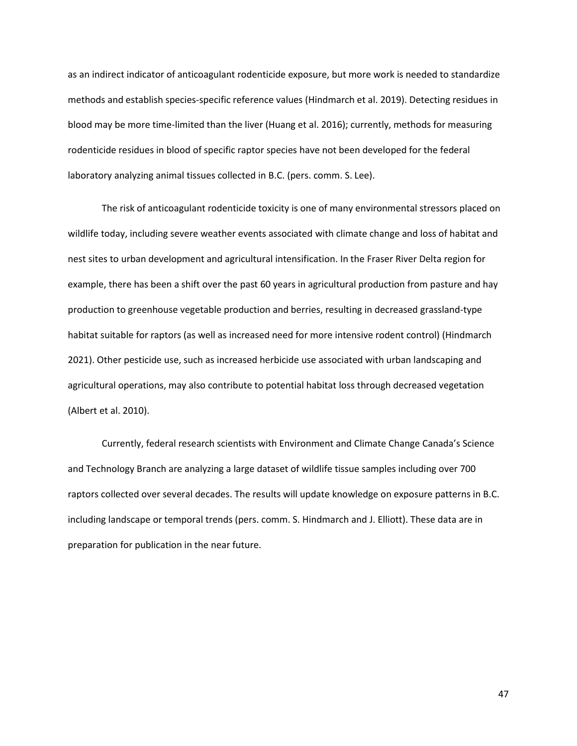as an indirect indicator of anticoagulant rodenticide exposure, but more work is needed to standardize methods and establish species-specific reference values (Hindmarch et al. 2019). Detecting residues in blood may be more time-limited than the liver (Huang et al. 2016); currently, methods for measuring rodenticide residues in blood of specific raptor species have not been developed for the federal laboratory analyzing animal tissues collected in B.C. (pers. comm. S. Lee).

The risk of anticoagulant rodenticide toxicity is one of many environmental stressors placed on wildlife today, including severe weather events associated with climate change and loss of habitat and nest sites to urban development and agricultural intensification. In the Fraser River Delta region for example, there has been a shift over the past 60 years in agricultural production from pasture and hay production to greenhouse vegetable production and berries, resulting in decreased grassland-type habitat suitable for raptors (as well as increased need for more intensive rodent control) (Hindmarch 2021). Other pesticide use, such as increased herbicide use associated with urban landscaping and agricultural operations, may also contribute to potential habitat loss through decreased vegetation (Albert et al. 2010).

Currently, federal research scientists with Environment and Climate Change Canada's Science and Technology Branch are analyzing a large dataset of wildlife tissue samples including over 700 raptors collected over several decades. The results will update knowledge on exposure patterns in B.C. including landscape or temporal trends (pers. comm. S. Hindmarch and J. Elliott). These data are in preparation for publication in the near future.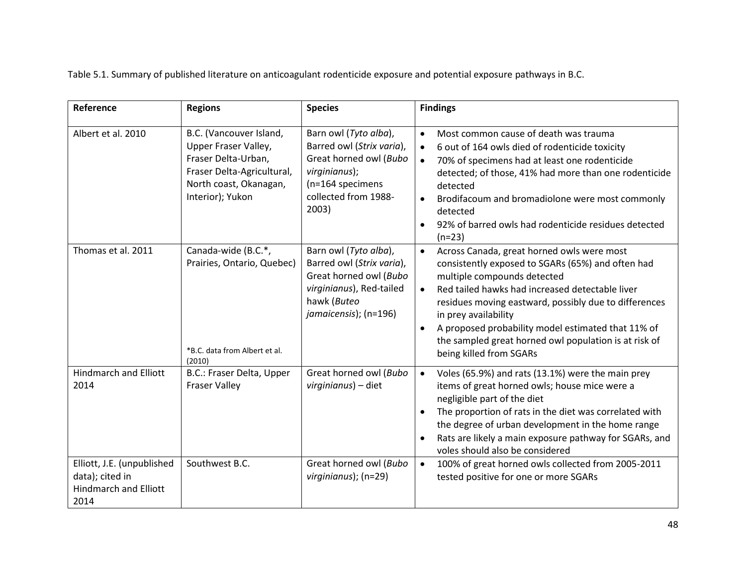Table 5.1. Summary of published literature on anticoagulant rodenticide exposure and potential exposure pathways in B.C.

| Reference                                                                             | <b>Regions</b>                                                                                                                                     | <b>Species</b>                                                                                                                                     | <b>Findings</b>                                                                                                                                                                                                                                                                                                                                                                                                                        |
|---------------------------------------------------------------------------------------|----------------------------------------------------------------------------------------------------------------------------------------------------|----------------------------------------------------------------------------------------------------------------------------------------------------|----------------------------------------------------------------------------------------------------------------------------------------------------------------------------------------------------------------------------------------------------------------------------------------------------------------------------------------------------------------------------------------------------------------------------------------|
| Albert et al. 2010                                                                    | B.C. (Vancouver Island,<br>Upper Fraser Valley,<br>Fraser Delta-Urban,<br>Fraser Delta-Agricultural,<br>North coast, Okanagan,<br>Interior); Yukon | Barn owl (Tyto alba),<br>Barred owl (Strix varia),<br>Great horned owl (Bubo<br>virginianus);<br>(n=164 specimens<br>collected from 1988-<br>2003) | Most common cause of death was trauma<br>$\bullet$<br>6 out of 164 owls died of rodenticide toxicity<br>$\bullet$<br>70% of specimens had at least one rodenticide<br>$\bullet$<br>detected; of those, 41% had more than one rodenticide<br>detected<br>Brodifacoum and bromadiolone were most commonly<br>$\bullet$<br>detected<br>92% of barred owls had rodenticide residues detected<br>$(n=23)$                                   |
| Thomas et al. 2011                                                                    | Canada-wide (B.C.*,<br>Prairies, Ontario, Quebec)<br>*B.C. data from Albert et al.<br>(2010)                                                       | Barn owl (Tyto alba),<br>Barred owl (Strix varia),<br>Great horned owl (Bubo<br>virginianus), Red-tailed<br>hawk (Buteo<br>jamaicensis); (n=196)   | Across Canada, great horned owls were most<br>$\bullet$<br>consistently exposed to SGARs (65%) and often had<br>multiple compounds detected<br>Red tailed hawks had increased detectable liver<br>residues moving eastward, possibly due to differences<br>in prey availability<br>A proposed probability model estimated that 11% of<br>$\bullet$<br>the sampled great horned owl population is at risk of<br>being killed from SGARs |
| <b>Hindmarch and Elliott</b><br>2014                                                  | B.C.: Fraser Delta, Upper<br><b>Fraser Valley</b>                                                                                                  | Great horned owl (Bubo<br>virginianus) - diet                                                                                                      | Voles (65.9%) and rats (13.1%) were the main prey<br>$\bullet$<br>items of great horned owls; house mice were a<br>negligible part of the diet<br>The proportion of rats in the diet was correlated with<br>$\bullet$<br>the degree of urban development in the home range<br>Rats are likely a main exposure pathway for SGARs, and<br>$\bullet$<br>voles should also be considered                                                   |
| Elliott, J.E. (unpublished<br>data); cited in<br><b>Hindmarch and Elliott</b><br>2014 | Southwest B.C.                                                                                                                                     | Great horned owl (Bubo<br>virginianus); (n=29)                                                                                                     | 100% of great horned owls collected from 2005-2011<br>$\bullet$<br>tested positive for one or more SGARs                                                                                                                                                                                                                                                                                                                               |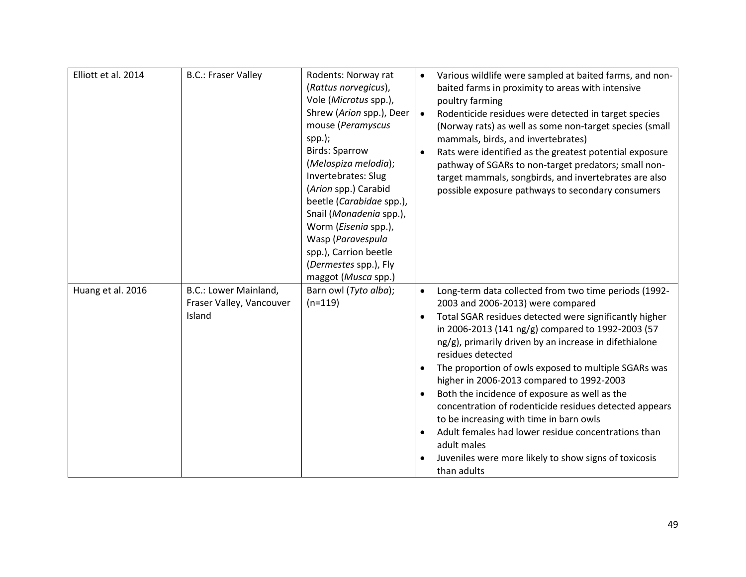| Elliott et al. 2014 | <b>B.C.: Fraser Valley</b>                                  | Rodents: Norway rat<br>(Rattus norvegicus),<br>Vole (Microtus spp.),<br>Shrew (Arion spp.), Deer<br>mouse (Peramyscus<br>$spp.$ );<br><b>Birds: Sparrow</b><br>(Melospiza melodia);<br>Invertebrates: Slug<br>(Arion spp.) Carabid<br>beetle (Carabidae spp.),<br>Snail (Monadenia spp.),<br>Worm (Eisenia spp.),<br>Wasp (Paravespula<br>spp.), Carrion beetle<br>(Dermestes spp.), Fly<br>maggot (Musca spp.) | $\bullet$                           | Various wildlife were sampled at baited farms, and non-<br>baited farms in proximity to areas with intensive<br>poultry farming<br>Rodenticide residues were detected in target species<br>(Norway rats) as well as some non-target species (small<br>mammals, birds, and invertebrates)<br>Rats were identified as the greatest potential exposure<br>pathway of SGARs to non-target predators; small non-<br>target mammals, songbirds, and invertebrates are also<br>possible exposure pathways to secondary consumers                                                                                                                                                                         |
|---------------------|-------------------------------------------------------------|-----------------------------------------------------------------------------------------------------------------------------------------------------------------------------------------------------------------------------------------------------------------------------------------------------------------------------------------------------------------------------------------------------------------|-------------------------------------|---------------------------------------------------------------------------------------------------------------------------------------------------------------------------------------------------------------------------------------------------------------------------------------------------------------------------------------------------------------------------------------------------------------------------------------------------------------------------------------------------------------------------------------------------------------------------------------------------------------------------------------------------------------------------------------------------|
| Huang et al. 2016   | B.C.: Lower Mainland,<br>Fraser Valley, Vancouver<br>Island | Barn owl (Tyto alba);<br>$(n=119)$                                                                                                                                                                                                                                                                                                                                                                              | $\bullet$<br>$\bullet$<br>$\bullet$ | Long-term data collected from two time periods (1992-<br>2003 and 2006-2013) were compared<br>Total SGAR residues detected were significantly higher<br>in 2006-2013 (141 ng/g) compared to 1992-2003 (57<br>ng/g), primarily driven by an increase in difethialone<br>residues detected<br>The proportion of owls exposed to multiple SGARs was<br>higher in 2006-2013 compared to 1992-2003<br>Both the incidence of exposure as well as the<br>concentration of rodenticide residues detected appears<br>to be increasing with time in barn owls<br>Adult females had lower residue concentrations than<br>adult males<br>Juveniles were more likely to show signs of toxicosis<br>than adults |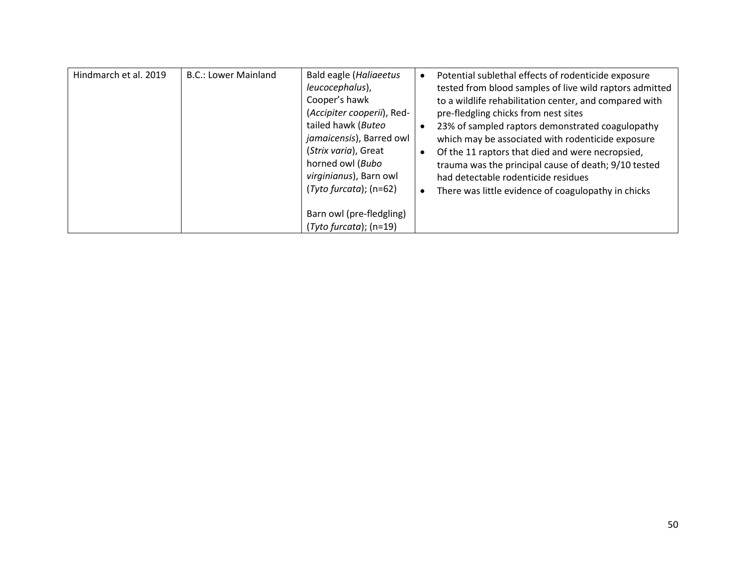| Hindmarch et al. 2019 | <b>B.C.: Lower Mainland</b> | Bald eagle (Haliaeetus<br>leucocephalus),<br>Cooper's hawk<br>(Accipiter cooperii), Red-<br>tailed hawk (Buteo<br>jamaicensis), Barred owl<br>(Strix varia), Great<br>horned owl (Bubo<br>virginianus), Barn owl<br>$(Tyto furcata)$ ; (n=62) | $\bullet$<br>$\bullet$ | Potential sublethal effects of rodenticide exposure<br>tested from blood samples of live wild raptors admitted<br>to a wildlife rehabilitation center, and compared with<br>pre-fledgling chicks from nest sites<br>23% of sampled raptors demonstrated coagulopathy<br>which may be associated with rodenticide exposure<br>Of the 11 raptors that died and were necropsied,<br>trauma was the principal cause of death; 9/10 tested<br>had detectable rodenticide residues<br>There was little evidence of coagulopathy in chicks |
|-----------------------|-----------------------------|-----------------------------------------------------------------------------------------------------------------------------------------------------------------------------------------------------------------------------------------------|------------------------|-------------------------------------------------------------------------------------------------------------------------------------------------------------------------------------------------------------------------------------------------------------------------------------------------------------------------------------------------------------------------------------------------------------------------------------------------------------------------------------------------------------------------------------|
|                       |                             | Barn owl (pre-fledgling)<br>$(Tyto furcata)$ ; (n=19)                                                                                                                                                                                         |                        |                                                                                                                                                                                                                                                                                                                                                                                                                                                                                                                                     |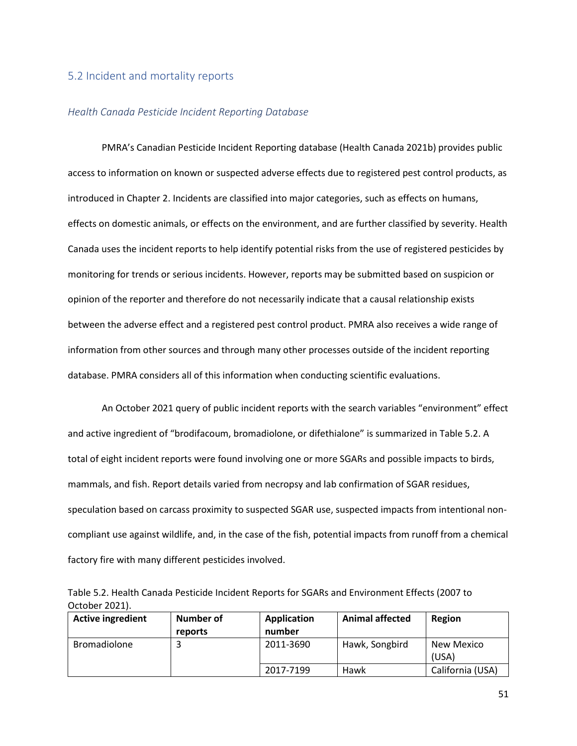### 5.2 Incident and mortality reports

#### *Health Canada Pesticide Incident Reporting Database*

PMRA's Canadian Pesticide Incident Reporting database (Health Canada 2021b) provides public access to information on known or suspected adverse effects due to registered pest control products, as introduced in Chapter 2. Incidents are classified into major categories, such as effects on humans, effects on domestic animals, or effects on the environment, and are further classified by severity. Health Canada uses the incident reports to help identify potential risks from the use of registered pesticides by monitoring for trends or serious incidents. However, reports may be submitted based on suspicion or opinion of the reporter and therefore do not necessarily indicate that a causal relationship exists between the adverse effect and a registered pest control product. PMRA also receives a wide range of information from other sources and through many other processes outside of the incident reporting database. PMRA considers all of this information when conducting scientific evaluations.

An October 2021 query of public incident reports with the search variables "environment" effect and active ingredient of "brodifacoum, bromadiolone, or difethialone" is summarized in Table 5.2. A total of eight incident reports were found involving one or more SGARs and possible impacts to birds, mammals, and fish. Report details varied from necropsy and lab confirmation of SGAR residues, speculation based on carcass proximity to suspected SGAR use, suspected impacts from intentional noncompliant use against wildlife, and, in the case of the fish, potential impacts from runoff from a chemical factory fire with many different pesticides involved.

Table 5.2. Health Canada Pesticide Incident Reports for SGARs and Environment Effects (2007 to October 2021).

| <b>Active ingredient</b> | Number of<br>reports | <b>Application</b><br>number | <b>Animal affected</b> | Region              |
|--------------------------|----------------------|------------------------------|------------------------|---------------------|
| Bromadiolone             |                      | 2011-3690                    | Hawk, Songbird         | New Mexico<br>(USA) |
|                          |                      | 2017-7199                    | Hawk                   | California (USA)    |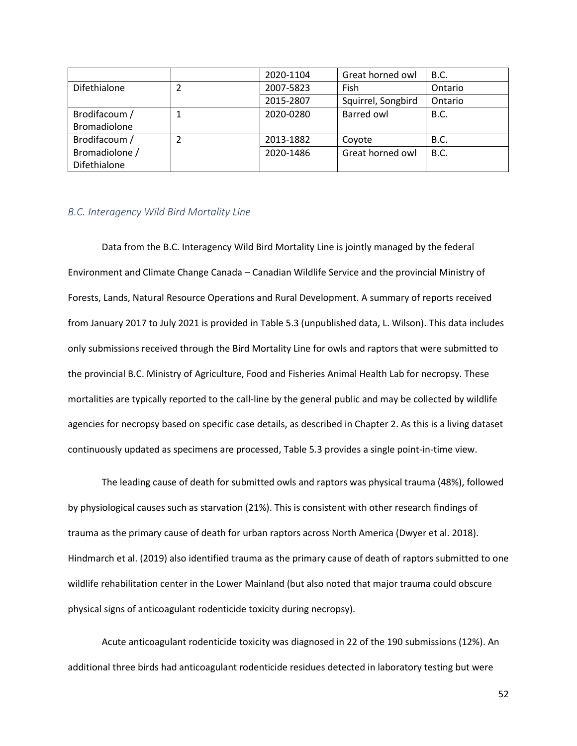|                |                   | 2020-1104 | Great horned owl   | <b>B.C.</b> |
|----------------|-------------------|-----------|--------------------|-------------|
| Difethialone   | 2007-5823<br>Fish |           |                    | Ontario     |
|                |                   | 2015-2807 | Squirrel, Songbird | Ontario     |
| Brodifacoum /  |                   | 2020-0280 | Barred owl         | <b>B.C.</b> |
| Bromadiolone   |                   |           |                    |             |
| Brodifacoum /  |                   | 2013-1882 | Coyote             | <b>B.C.</b> |
| Bromadiolone / |                   | 2020-1486 | Great horned owl   | <b>B.C.</b> |
| Difethialone   |                   |           |                    |             |

### *B.C. Interagency Wild Bird Mortality Line*

Data from the B.C. Interagency Wild Bird Mortality Line is jointly managed by the federal Environment and Climate Change Canada – Canadian Wildlife Service and the provincial Ministry of Forests, Lands, Natural Resource Operations and Rural Development. A summary of reports received from January 2017 to July 2021 is provided in Table 5.3 (unpublished data, L. Wilson). This data includes only submissions received through the Bird Mortality Line for owls and raptors that were submitted to the provincial B.C. Ministry of Agriculture, Food and Fisheries Animal Health Lab for necropsy. These mortalities are typically reported to the call-line by the general public and may be collected by wildlife agencies for necropsy based on specific case details, as described in Chapter 2. As this is a living dataset continuously updated as specimens are processed, Table 5.3 provides a single point-in-time view.

The leading cause of death for submitted owls and raptors was physical trauma (48%), followed by physiological causes such as starvation (21%). This is consistent with other research findings of trauma as the primary cause of death for urban raptors across North America (Dwyer et al. 2018). Hindmarch et al. (2019) also identified trauma as the primary cause of death of raptors submitted to one wildlife rehabilitation center in the Lower Mainland (but also noted that major trauma could obscure physical signs of anticoagulant rodenticide toxicity during necropsy).

Acute anticoagulant rodenticide toxicity was diagnosed in 22 of the 190 submissions (12%). An additional three birds had anticoagulant rodenticide residues detected in laboratory testing but were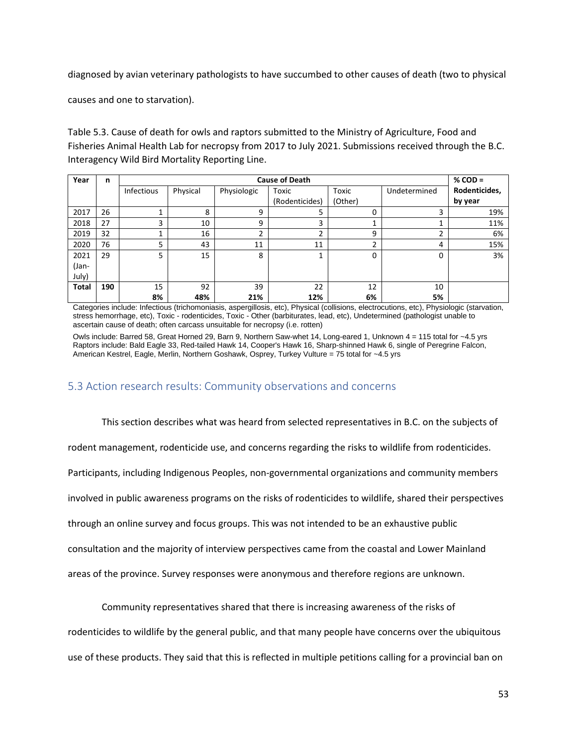diagnosed by avian veterinary pathologists to have succumbed to other causes of death (two to physical

causes and one to starvation).

Table 5.3. Cause of death for owls and raptors submitted to the Ministry of Agriculture, Food and Fisheries Animal Health Lab for necropsy from 2017 to July 2021. Submissions received through the B.C. Interagency Wild Bird Mortality Reporting Line.

| Year         | n   | <b>Cause of Death</b> |          |             |                |         | $%$ COD =    |               |
|--------------|-----|-----------------------|----------|-------------|----------------|---------|--------------|---------------|
|              |     | Infectious            | Physical | Physiologic | Toxic          | Toxic   | Undetermined | Rodenticides, |
|              |     |                       |          |             | (Rodenticides) | (Other) |              | by year       |
| 2017         | 26  |                       | 8        | 9           |                | 0       | 3            | 19%           |
| 2018         | 27  | 3                     | 10       | 9           | 3              | ┻       |              | 11%           |
| 2019         | 32  |                       | 16       | ີ           |                | 9       | ∍            | 6%            |
| 2020         | 76  | 5                     | 43       | 11          | 11             | C.<br>ے | 4            | 15%           |
| 2021         | 29  | 5                     | 15       | 8           |                | 0       | 0            | 3%            |
| (Jan-        |     |                       |          |             |                |         |              |               |
| July)        |     |                       |          |             |                |         |              |               |
| <b>Total</b> | 190 | 15                    | 92       | 39          | 22             | 12      | 10           |               |
|              |     | 8%                    | 48%      | 21%         | 12%            | 6%      | 5%           |               |

Categories include: Infectious (trichomoniasis, aspergillosis, etc), Physical (collisions, electrocutions, etc), Physiologic (starvation, stress hemorrhage, etc), Toxic - rodenticides, Toxic - Other (barbiturates, lead, etc), Undetermined (pathologist unable to ascertain cause of death; often carcass unsuitable for necropsy (i.e. rotten)

Owls include: Barred 58, Great Horned 29, Barn 9, Northern Saw-whet 14, Long-eared 1, Unknown 4 = 115 total for ~4.5 yrs Raptors include: Bald Eagle 33, Red-tailed Hawk 14, Cooper's Hawk 16, Sharp-shinned Hawk 6, single of Peregrine Falcon, American Kestrel, Eagle, Merlin, Northern Goshawk, Osprey, Turkey Vulture = 75 total for ~4.5 yrs

## 5.3 Action research results: Community observations and concerns

This section describes what was heard from selected representatives in B.C. on the subjects of rodent management, rodenticide use, and concerns regarding the risks to wildlife from rodenticides. Participants, including Indigenous Peoples, non-governmental organizations and community members involved in public awareness programs on the risks of rodenticides to wildlife, shared their perspectives through an online survey and focus groups. This was not intended to be an exhaustive public consultation and the majority of interview perspectives came from the coastal and Lower Mainland areas of the province. Survey responses were anonymous and therefore regions are unknown.

Community representatives shared that there is increasing awareness of the risks of

rodenticides to wildlife by the general public, and that many people have concerns over the ubiquitous

use of these products. They said that this is reflected in multiple petitions calling for a provincial ban on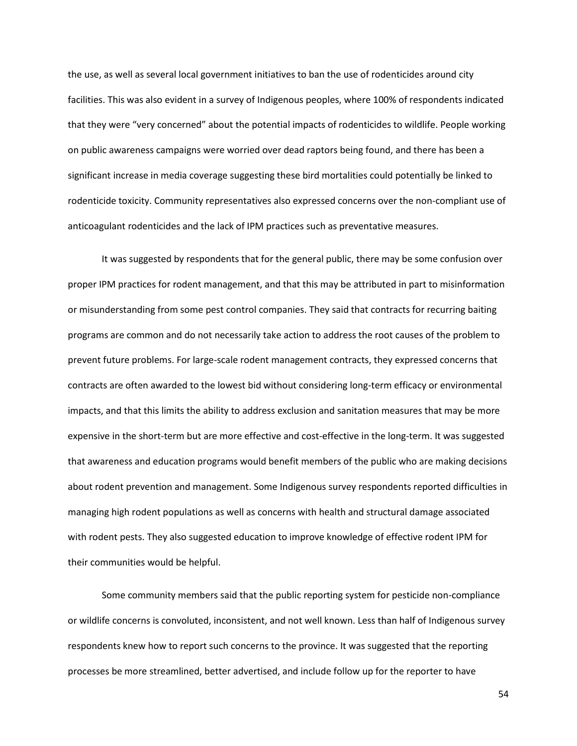the use, as well as several local government initiatives to ban the use of rodenticides around city facilities. This was also evident in a survey of Indigenous peoples, where 100% of respondents indicated that they were "very concerned" about the potential impacts of rodenticides to wildlife. People working on public awareness campaigns were worried over dead raptors being found, and there has been a significant increase in media coverage suggesting these bird mortalities could potentially be linked to rodenticide toxicity. Community representatives also expressed concerns over the non-compliant use of anticoagulant rodenticides and the lack of IPM practices such as preventative measures.

It was suggested by respondents that for the general public, there may be some confusion over proper IPM practices for rodent management, and that this may be attributed in part to misinformation or misunderstanding from some pest control companies. They said that contracts for recurring baiting programs are common and do not necessarily take action to address the root causes of the problem to prevent future problems. For large-scale rodent management contracts, they expressed concerns that contracts are often awarded to the lowest bid without considering long-term efficacy or environmental impacts, and that this limits the ability to address exclusion and sanitation measures that may be more expensive in the short-term but are more effective and cost-effective in the long-term. It was suggested that awareness and education programs would benefit members of the public who are making decisions about rodent prevention and management. Some Indigenous survey respondents reported difficulties in managing high rodent populations as well as concerns with health and structural damage associated with rodent pests. They also suggested education to improve knowledge of effective rodent IPM for their communities would be helpful.

Some community members said that the public reporting system for pesticide non-compliance or wildlife concerns is convoluted, inconsistent, and not well known. Less than half of Indigenous survey respondents knew how to report such concerns to the province. It was suggested that the reporting processes be more streamlined, better advertised, and include follow up for the reporter to have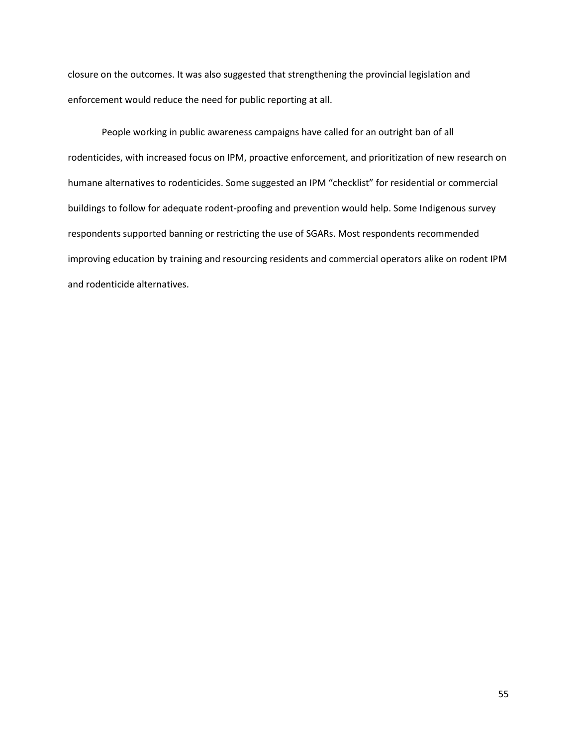closure on the outcomes. It was also suggested that strengthening the provincial legislation and enforcement would reduce the need for public reporting at all.

People working in public awareness campaigns have called for an outright ban of all rodenticides, with increased focus on IPM, proactive enforcement, and prioritization of new research on humane alternatives to rodenticides. Some suggested an IPM "checklist" for residential or commercial buildings to follow for adequate rodent-proofing and prevention would help. Some Indigenous survey respondents supported banning or restricting the use of SGARs. Most respondents recommended improving education by training and resourcing residents and commercial operators alike on rodent IPM and rodenticide alternatives.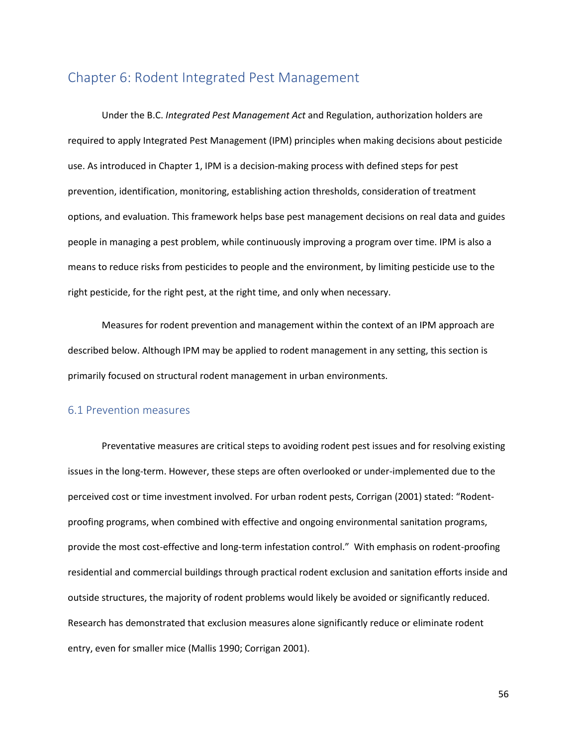## Chapter 6: Rodent Integrated Pest Management

Under the B.C. *Integrated Pest Management Act* and Regulation, authorization holders are required to apply Integrated Pest Management (IPM) principles when making decisions about pesticide use. As introduced in Chapter 1, IPM is a decision-making process with defined steps for pest prevention, identification, monitoring, establishing action thresholds, consideration of treatment options, and evaluation. This framework helps base pest management decisions on real data and guides people in managing a pest problem, while continuously improving a program over time. IPM is also a means to reduce risks from pesticides to people and the environment, by limiting pesticide use to the right pesticide, for the right pest, at the right time, and only when necessary.

Measures for rodent prevention and management within the context of an IPM approach are described below. Although IPM may be applied to rodent management in any setting, this section is primarily focused on structural rodent management in urban environments.

#### 6.1 Prevention measures

Preventative measures are critical steps to avoiding rodent pest issues and for resolving existing issues in the long-term. However, these steps are often overlooked or under-implemented due to the perceived cost or time investment involved. For urban rodent pests, Corrigan (2001) stated: "Rodentproofing programs, when combined with effective and ongoing environmental sanitation programs, provide the most cost-effective and long-term infestation control." With emphasis on rodent-proofing residential and commercial buildings through practical rodent exclusion and sanitation efforts inside and outside structures, the majority of rodent problems would likely be avoided or significantly reduced. Research has demonstrated that exclusion measures alone significantly reduce or eliminate rodent entry, even for smaller mice (Mallis 1990; Corrigan 2001).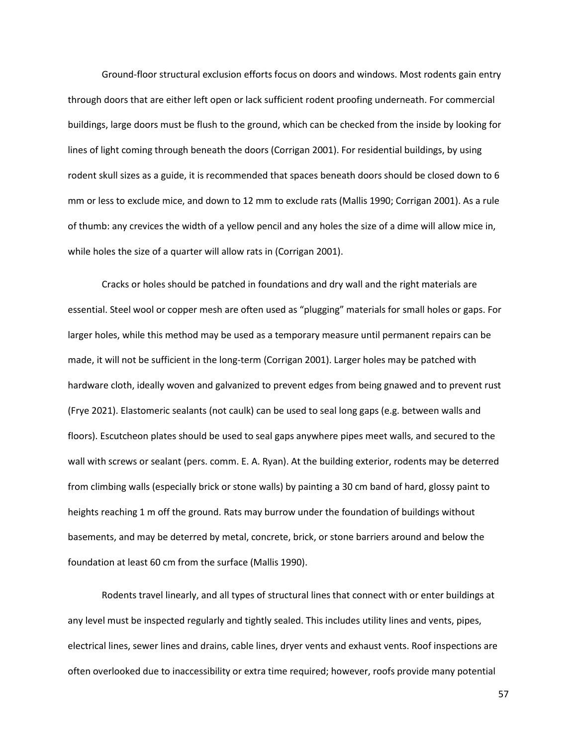Ground-floor structural exclusion efforts focus on doors and windows. Most rodents gain entry through doors that are either left open or lack sufficient rodent proofing underneath. For commercial buildings, large doors must be flush to the ground, which can be checked from the inside by looking for lines of light coming through beneath the doors (Corrigan 2001). For residential buildings, by using rodent skull sizes as a guide, it is recommended that spaces beneath doors should be closed down to 6 mm or less to exclude mice, and down to 12 mm to exclude rats (Mallis 1990; Corrigan 2001). As a rule of thumb: any crevices the width of a yellow pencil and any holes the size of a dime will allow mice in, while holes the size of a quarter will allow rats in (Corrigan 2001).

Cracks or holes should be patched in foundations and dry wall and the right materials are essential. Steel wool or copper mesh are often used as "plugging" materials for small holes or gaps. For larger holes, while this method may be used as a temporary measure until permanent repairs can be made, it will not be sufficient in the long-term (Corrigan 2001). Larger holes may be patched with hardware cloth, ideally woven and galvanized to prevent edges from being gnawed and to prevent rust (Frye 2021). Elastomeric sealants (not caulk) can be used to seal long gaps (e.g. between walls and floors). Escutcheon plates should be used to seal gaps anywhere pipes meet walls, and secured to the wall with screws or sealant (pers. comm. E. A. Ryan). At the building exterior, rodents may be deterred from climbing walls (especially brick or stone walls) by painting a 30 cm band of hard, glossy paint to heights reaching 1 m off the ground. Rats may burrow under the foundation of buildings without basements, and may be deterred by metal, concrete, brick, or stone barriers around and below the foundation at least 60 cm from the surface (Mallis 1990).

Rodents travel linearly, and all types of structural lines that connect with or enter buildings at any level must be inspected regularly and tightly sealed. This includes utility lines and vents, pipes, electrical lines, sewer lines and drains, cable lines, dryer vents and exhaust vents. Roof inspections are often overlooked due to inaccessibility or extra time required; however, roofs provide many potential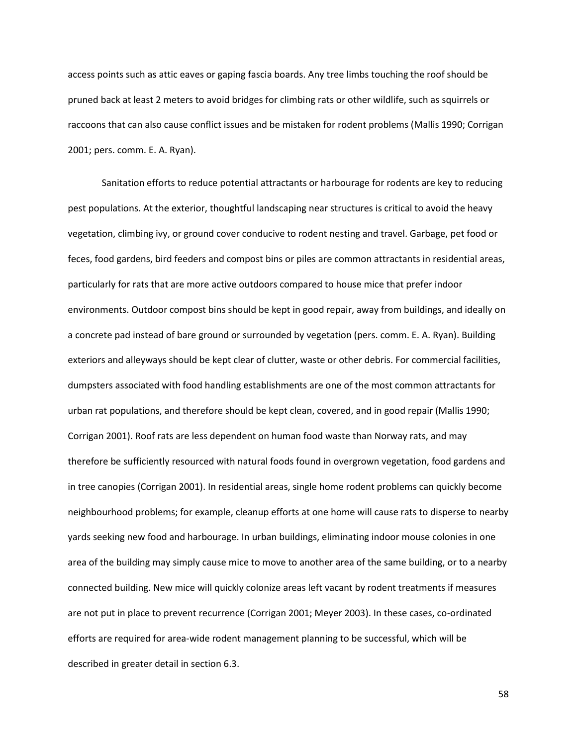access points such as attic eaves or gaping fascia boards. Any tree limbs touching the roof should be pruned back at least 2 meters to avoid bridges for climbing rats or other wildlife, such as squirrels or raccoons that can also cause conflict issues and be mistaken for rodent problems (Mallis 1990; Corrigan 2001; pers. comm. E. A. Ryan).

Sanitation efforts to reduce potential attractants or harbourage for rodents are key to reducing pest populations. At the exterior, thoughtful landscaping near structures is critical to avoid the heavy vegetation, climbing ivy, or ground cover conducive to rodent nesting and travel. Garbage, pet food or feces, food gardens, bird feeders and compost bins or piles are common attractants in residential areas, particularly for rats that are more active outdoors compared to house mice that prefer indoor environments. Outdoor compost bins should be kept in good repair, away from buildings, and ideally on a concrete pad instead of bare ground or surrounded by vegetation (pers. comm. E. A. Ryan). Building exteriors and alleyways should be kept clear of clutter, waste or other debris. For commercial facilities, dumpsters associated with food handling establishments are one of the most common attractants for urban rat populations, and therefore should be kept clean, covered, and in good repair (Mallis 1990; Corrigan 2001). Roof rats are less dependent on human food waste than Norway rats, and may therefore be sufficiently resourced with natural foods found in overgrown vegetation, food gardens and in tree canopies (Corrigan 2001). In residential areas, single home rodent problems can quickly become neighbourhood problems; for example, cleanup efforts at one home will cause rats to disperse to nearby yards seeking new food and harbourage. In urban buildings, eliminating indoor mouse colonies in one area of the building may simply cause mice to move to another area of the same building, or to a nearby connected building. New mice will quickly colonize areas left vacant by rodent treatments if measures are not put in place to prevent recurrence (Corrigan 2001; Meyer 2003). In these cases, co-ordinated efforts are required for area-wide rodent management planning to be successful, which will be described in greater detail in section 6.3.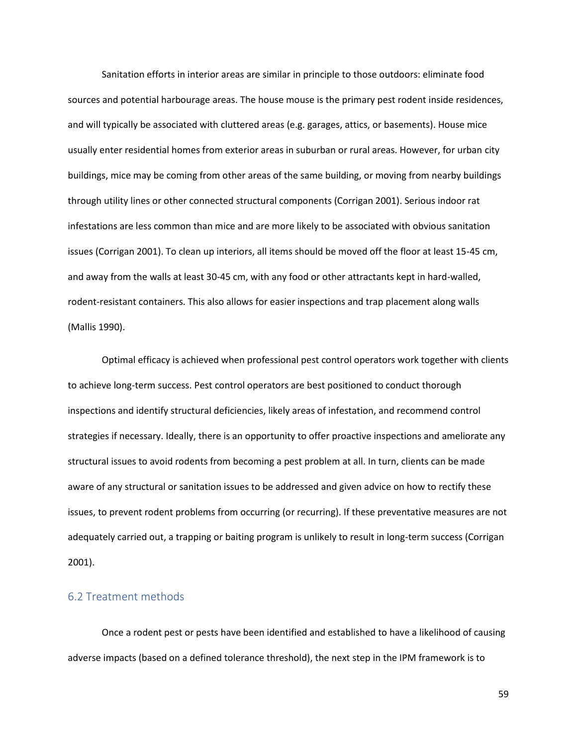Sanitation efforts in interior areas are similar in principle to those outdoors: eliminate food sources and potential harbourage areas. The house mouse is the primary pest rodent inside residences, and will typically be associated with cluttered areas (e.g. garages, attics, or basements). House mice usually enter residential homes from exterior areas in suburban or rural areas. However, for urban city buildings, mice may be coming from other areas of the same building, or moving from nearby buildings through utility lines or other connected structural components (Corrigan 2001). Serious indoor rat infestations are less common than mice and are more likely to be associated with obvious sanitation issues (Corrigan 2001). To clean up interiors, all items should be moved off the floor at least 15-45 cm, and away from the walls at least 30-45 cm, with any food or other attractants kept in hard-walled, rodent-resistant containers. This also allows for easier inspections and trap placement along walls (Mallis 1990).

Optimal efficacy is achieved when professional pest control operators work together with clients to achieve long-term success. Pest control operators are best positioned to conduct thorough inspections and identify structural deficiencies, likely areas of infestation, and recommend control strategies if necessary. Ideally, there is an opportunity to offer proactive inspections and ameliorate any structural issues to avoid rodents from becoming a pest problem at all. In turn, clients can be made aware of any structural or sanitation issues to be addressed and given advice on how to rectify these issues, to prevent rodent problems from occurring (or recurring). If these preventative measures are not adequately carried out, a trapping or baiting program is unlikely to result in long-term success (Corrigan 2001).

### 6.2 Treatment methods

Once a rodent pest or pests have been identified and established to have a likelihood of causing adverse impacts (based on a defined tolerance threshold), the next step in the IPM framework is to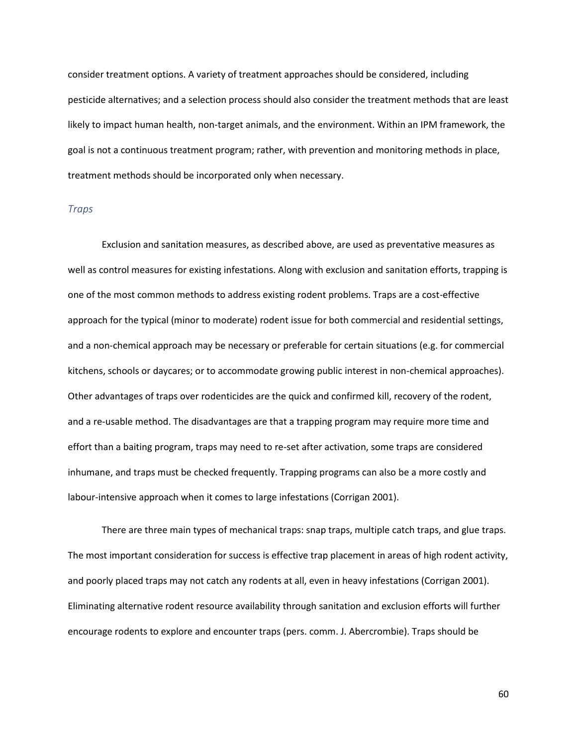consider treatment options. A variety of treatment approaches should be considered, including pesticide alternatives; and a selection process should also consider the treatment methods that are least likely to impact human health, non-target animals, and the environment. Within an IPM framework, the goal is not a continuous treatment program; rather, with prevention and monitoring methods in place, treatment methods should be incorporated only when necessary.

#### *Traps*

Exclusion and sanitation measures, as described above, are used as preventative measures as well as control measures for existing infestations. Along with exclusion and sanitation efforts, trapping is one of the most common methods to address existing rodent problems. Traps are a cost-effective approach for the typical (minor to moderate) rodent issue for both commercial and residential settings, and a non-chemical approach may be necessary or preferable for certain situations (e.g. for commercial kitchens, schools or daycares; or to accommodate growing public interest in non-chemical approaches). Other advantages of traps over rodenticides are the quick and confirmed kill, recovery of the rodent, and a re-usable method. The disadvantages are that a trapping program may require more time and effort than a baiting program, traps may need to re-set after activation, some traps are considered inhumane, and traps must be checked frequently. Trapping programs can also be a more costly and labour-intensive approach when it comes to large infestations (Corrigan 2001).

There are three main types of mechanical traps: snap traps, multiple catch traps, and glue traps. The most important consideration for success is effective trap placement in areas of high rodent activity, and poorly placed traps may not catch any rodents at all, even in heavy infestations (Corrigan 2001). Eliminating alternative rodent resource availability through sanitation and exclusion efforts will further encourage rodents to explore and encounter traps (pers. comm. J. Abercrombie). Traps should be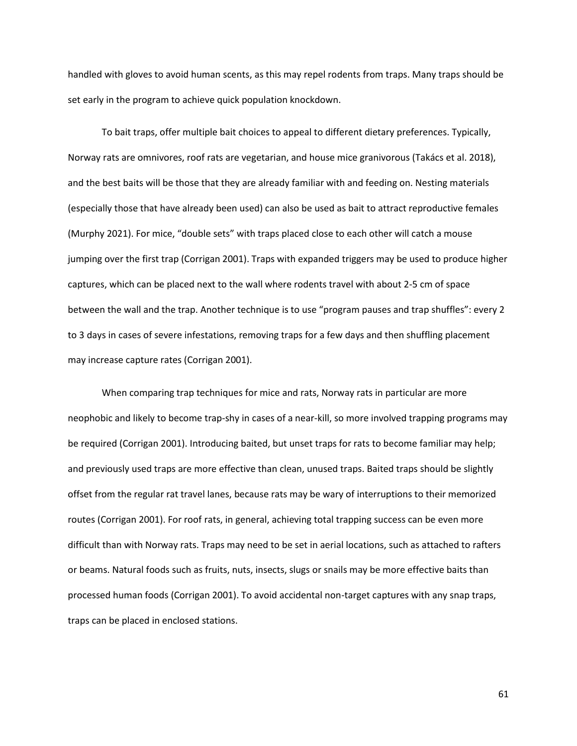handled with gloves to avoid human scents, as this may repel rodents from traps. Many traps should be set early in the program to achieve quick population knockdown.

To bait traps, offer multiple bait choices to appeal to different dietary preferences. Typically, Norway rats are omnivores, roof rats are vegetarian, and house mice granivorous (Takács et al. 2018), and the best baits will be those that they are already familiar with and feeding on. Nesting materials (especially those that have already been used) can also be used as bait to attract reproductive females (Murphy 2021). For mice, "double sets" with traps placed close to each other will catch a mouse jumping over the first trap (Corrigan 2001). Traps with expanded triggers may be used to produce higher captures, which can be placed next to the wall where rodents travel with about 2-5 cm of space between the wall and the trap. Another technique is to use "program pauses and trap shuffles": every 2 to 3 days in cases of severe infestations, removing traps for a few days and then shuffling placement may increase capture rates (Corrigan 2001).

When comparing trap techniques for mice and rats, Norway rats in particular are more neophobic and likely to become trap-shy in cases of a near-kill, so more involved trapping programs may be required (Corrigan 2001). Introducing baited, but unset traps for rats to become familiar may help; and previously used traps are more effective than clean, unused traps. Baited traps should be slightly offset from the regular rat travel lanes, because rats may be wary of interruptions to their memorized routes (Corrigan 2001). For roof rats, in general, achieving total trapping success can be even more difficult than with Norway rats. Traps may need to be set in aerial locations, such as attached to rafters or beams. Natural foods such as fruits, nuts, insects, slugs or snails may be more effective baits than processed human foods (Corrigan 2001). To avoid accidental non-target captures with any snap traps, traps can be placed in enclosed stations.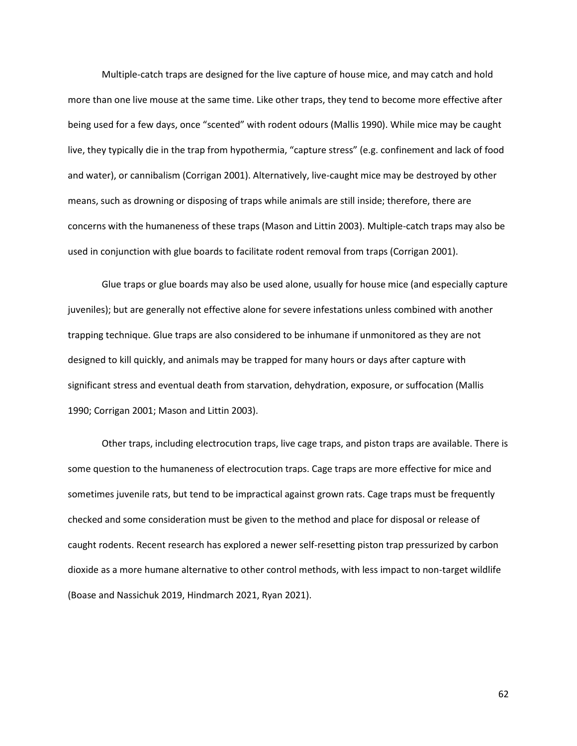Multiple-catch traps are designed for the live capture of house mice, and may catch and hold more than one live mouse at the same time. Like other traps, they tend to become more effective after being used for a few days, once "scented" with rodent odours (Mallis 1990). While mice may be caught live, they typically die in the trap from hypothermia, "capture stress" (e.g. confinement and lack of food and water), or cannibalism (Corrigan 2001). Alternatively, live-caught mice may be destroyed by other means, such as drowning or disposing of traps while animals are still inside; therefore, there are concerns with the humaneness of these traps (Mason and Littin 2003). Multiple-catch traps may also be used in conjunction with glue boards to facilitate rodent removal from traps (Corrigan 2001).

Glue traps or glue boards may also be used alone, usually for house mice (and especially capture juveniles); but are generally not effective alone for severe infestations unless combined with another trapping technique. Glue traps are also considered to be inhumane if unmonitored as they are not designed to kill quickly, and animals may be trapped for many hours or days after capture with significant stress and eventual death from starvation, dehydration, exposure, or suffocation (Mallis 1990; Corrigan 2001; Mason and Littin 2003).

Other traps, including electrocution traps, live cage traps, and piston traps are available. There is some question to the humaneness of electrocution traps. Cage traps are more effective for mice and sometimes juvenile rats, but tend to be impractical against grown rats. Cage traps must be frequently checked and some consideration must be given to the method and place for disposal or release of caught rodents. Recent research has explored a newer self-resetting piston trap pressurized by carbon dioxide as a more humane alternative to other control methods, with less impact to non-target wildlife (Boase and Nassichuk 2019, Hindmarch 2021, Ryan 2021).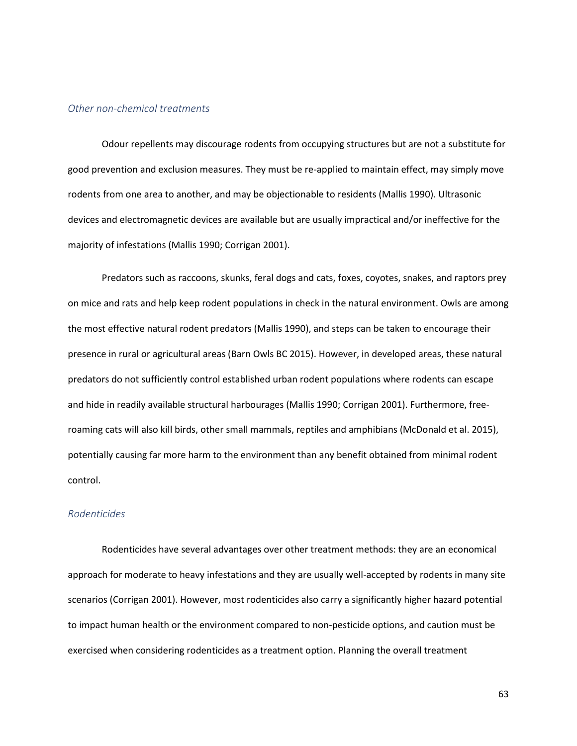#### *Other non-chemical treatments*

Odour repellents may discourage rodents from occupying structures but are not a substitute for good prevention and exclusion measures. They must be re-applied to maintain effect, may simply move rodents from one area to another, and may be objectionable to residents (Mallis 1990). Ultrasonic devices and electromagnetic devices are available but are usually impractical and/or ineffective for the majority of infestations (Mallis 1990; Corrigan 2001).

Predators such as raccoons, skunks, feral dogs and cats, foxes, coyotes, snakes, and raptors prey on mice and rats and help keep rodent populations in check in the natural environment. Owls are among the most effective natural rodent predators (Mallis 1990), and steps can be taken to encourage their presence in rural or agricultural areas (Barn Owls BC 2015). However, in developed areas, these natural predators do not sufficiently control established urban rodent populations where rodents can escape and hide in readily available structural harbourages (Mallis 1990; Corrigan 2001). Furthermore, freeroaming cats will also kill birds, other small mammals, reptiles and amphibians (McDonald et al. 2015), potentially causing far more harm to the environment than any benefit obtained from minimal rodent control.

#### *Rodenticides*

Rodenticides have several advantages over other treatment methods: they are an economical approach for moderate to heavy infestations and they are usually well-accepted by rodents in many site scenarios (Corrigan 2001). However, most rodenticides also carry a significantly higher hazard potential to impact human health or the environment compared to non-pesticide options, and caution must be exercised when considering rodenticides as a treatment option. Planning the overall treatment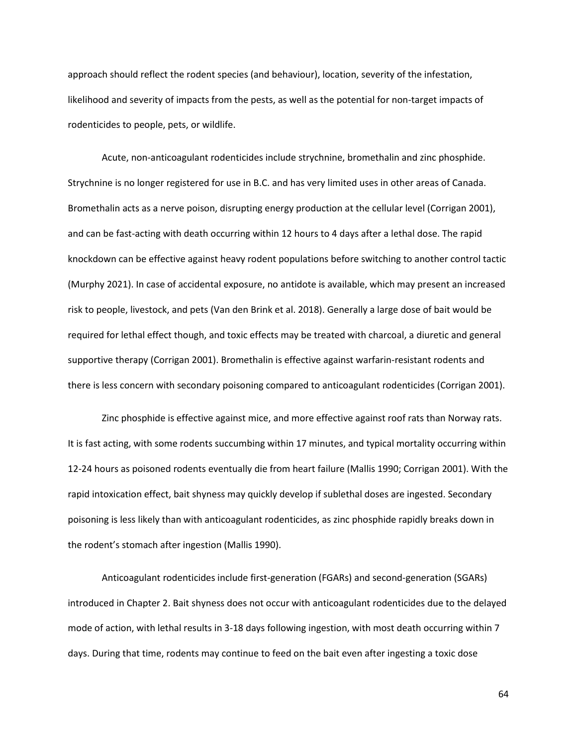approach should reflect the rodent species (and behaviour), location, severity of the infestation, likelihood and severity of impacts from the pests, as well as the potential for non-target impacts of rodenticides to people, pets, or wildlife.

Acute, non-anticoagulant rodenticides include strychnine, bromethalin and zinc phosphide. Strychnine is no longer registered for use in B.C. and has very limited uses in other areas of Canada. Bromethalin acts as a nerve poison, disrupting energy production at the cellular level (Corrigan 2001), and can be fast-acting with death occurring within 12 hours to 4 days after a lethal dose. The rapid knockdown can be effective against heavy rodent populations before switching to another control tactic (Murphy 2021). In case of accidental exposure, no antidote is available, which may present an increased risk to people, livestock, and pets (Van den Brink et al. 2018). Generally a large dose of bait would be required for lethal effect though, and toxic effects may be treated with charcoal, a diuretic and general supportive therapy (Corrigan 2001). Bromethalin is effective against warfarin-resistant rodents and there is less concern with secondary poisoning compared to anticoagulant rodenticides (Corrigan 2001).

Zinc phosphide is effective against mice, and more effective against roof rats than Norway rats. It is fast acting, with some rodents succumbing within 17 minutes, and typical mortality occurring within 12-24 hours as poisoned rodents eventually die from heart failure (Mallis 1990; Corrigan 2001). With the rapid intoxication effect, bait shyness may quickly develop if sublethal doses are ingested. Secondary poisoning is less likely than with anticoagulant rodenticides, as zinc phosphide rapidly breaks down in the rodent's stomach after ingestion (Mallis 1990).

Anticoagulant rodenticides include first-generation (FGARs) and second-generation (SGARs) introduced in Chapter 2. Bait shyness does not occur with anticoagulant rodenticides due to the delayed mode of action, with lethal results in 3-18 days following ingestion, with most death occurring within 7 days. During that time, rodents may continue to feed on the bait even after ingesting a toxic dose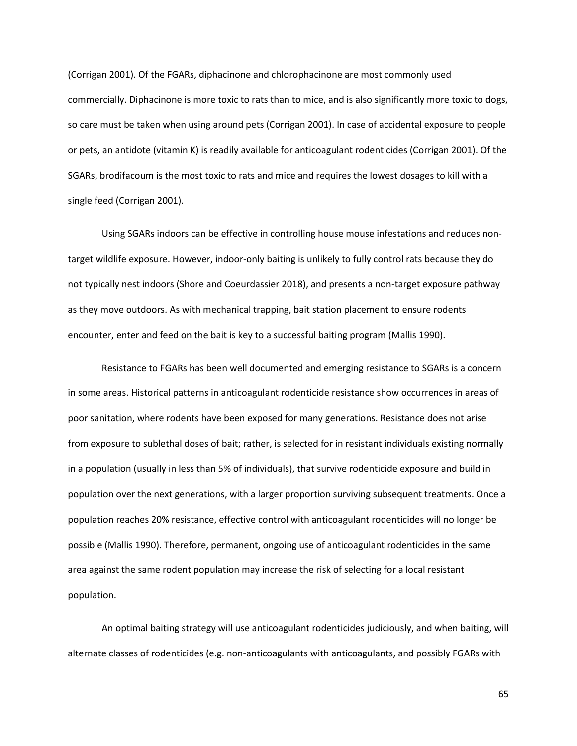(Corrigan 2001). Of the FGARs, diphacinone and chlorophacinone are most commonly used commercially. Diphacinone is more toxic to rats than to mice, and is also significantly more toxic to dogs, so care must be taken when using around pets (Corrigan 2001). In case of accidental exposure to people or pets, an antidote (vitamin K) is readily available for anticoagulant rodenticides (Corrigan 2001). Of the SGARs, brodifacoum is the most toxic to rats and mice and requires the lowest dosages to kill with a single feed (Corrigan 2001).

Using SGARs indoors can be effective in controlling house mouse infestations and reduces nontarget wildlife exposure. However, indoor-only baiting is unlikely to fully control rats because they do not typically nest indoors (Shore and Coeurdassier 2018), and presents a non-target exposure pathway as they move outdoors. As with mechanical trapping, bait station placement to ensure rodents encounter, enter and feed on the bait is key to a successful baiting program (Mallis 1990).

Resistance to FGARs has been well documented and emerging resistance to SGARs is a concern in some areas. Historical patterns in anticoagulant rodenticide resistance show occurrences in areas of poor sanitation, where rodents have been exposed for many generations. Resistance does not arise from exposure to sublethal doses of bait; rather, is selected for in resistant individuals existing normally in a population (usually in less than 5% of individuals), that survive rodenticide exposure and build in population over the next generations, with a larger proportion surviving subsequent treatments. Once a population reaches 20% resistance, effective control with anticoagulant rodenticides will no longer be possible (Mallis 1990). Therefore, permanent, ongoing use of anticoagulant rodenticides in the same area against the same rodent population may increase the risk of selecting for a local resistant population.

An optimal baiting strategy will use anticoagulant rodenticides judiciously, and when baiting, will alternate classes of rodenticides (e.g. non-anticoagulants with anticoagulants, and possibly FGARs with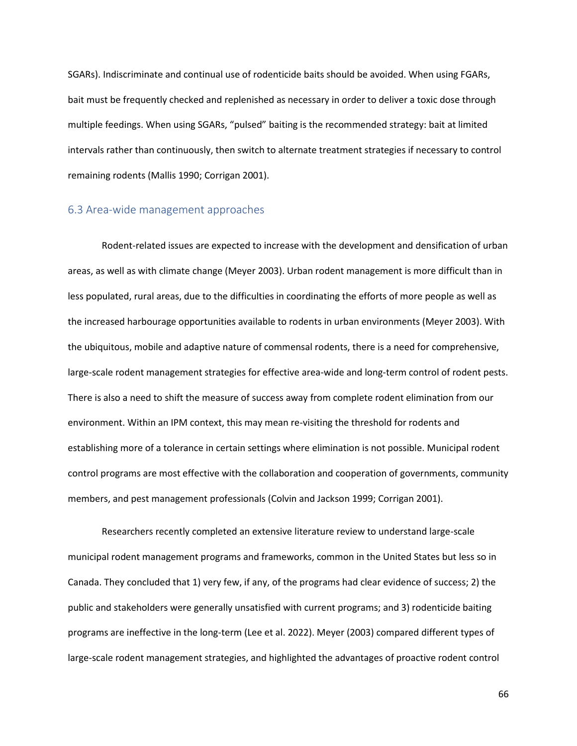SGARs). Indiscriminate and continual use of rodenticide baits should be avoided. When using FGARs, bait must be frequently checked and replenished as necessary in order to deliver a toxic dose through multiple feedings. When using SGARs, "pulsed" baiting is the recommended strategy: bait at limited intervals rather than continuously, then switch to alternate treatment strategies if necessary to control remaining rodents (Mallis 1990; Corrigan 2001).

## 6.3 Area-wide management approaches

Rodent-related issues are expected to increase with the development and densification of urban areas, as well as with climate change (Meyer 2003). Urban rodent management is more difficult than in less populated, rural areas, due to the difficulties in coordinating the efforts of more people as well as the increased harbourage opportunities available to rodents in urban environments (Meyer 2003). With the ubiquitous, mobile and adaptive nature of commensal rodents, there is a need for comprehensive, large-scale rodent management strategies for effective area-wide and long-term control of rodent pests. There is also a need to shift the measure of success away from complete rodent elimination from our environment. Within an IPM context, this may mean re-visiting the threshold for rodents and establishing more of a tolerance in certain settings where elimination is not possible. Municipal rodent control programs are most effective with the collaboration and cooperation of governments, community members, and pest management professionals (Colvin and Jackson 1999; Corrigan 2001).

Researchers recently completed an extensive literature review to understand large-scale municipal rodent management programs and frameworks, common in the United States but less so in Canada. They concluded that 1) very few, if any, of the programs had clear evidence of success; 2) the public and stakeholders were generally unsatisfied with current programs; and 3) rodenticide baiting programs are ineffective in the long-term (Lee et al. 2022). Meyer (2003) compared different types of large-scale rodent management strategies, and highlighted the advantages of proactive rodent control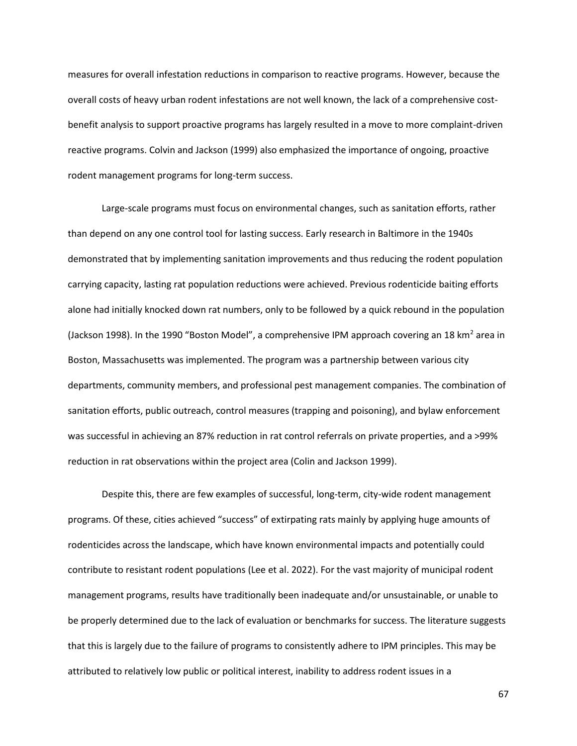measures for overall infestation reductions in comparison to reactive programs. However, because the overall costs of heavy urban rodent infestations are not well known, the lack of a comprehensive costbenefit analysis to support proactive programs has largely resulted in a move to more complaint-driven reactive programs. Colvin and Jackson (1999) also emphasized the importance of ongoing, proactive rodent management programs for long-term success.

Large-scale programs must focus on environmental changes, such as sanitation efforts, rather than depend on any one control tool for lasting success. Early research in Baltimore in the 1940s demonstrated that by implementing sanitation improvements and thus reducing the rodent population carrying capacity, lasting rat population reductions were achieved. Previous rodenticide baiting efforts alone had initially knocked down rat numbers, only to be followed by a quick rebound in the population (Jackson 1998). In the 1990 "Boston Model", a comprehensive IPM approach covering an 18 km<sup>2</sup> area in Boston, Massachusetts was implemented. The program was a partnership between various city departments, community members, and professional pest management companies. The combination of sanitation efforts, public outreach, control measures (trapping and poisoning), and bylaw enforcement was successful in achieving an 87% reduction in rat control referrals on private properties, and a >99% reduction in rat observations within the project area (Colin and Jackson 1999).

Despite this, there are few examples of successful, long-term, city-wide rodent management programs. Of these, cities achieved "success" of extirpating rats mainly by applying huge amounts of rodenticides across the landscape, which have known environmental impacts and potentially could contribute to resistant rodent populations (Lee et al. 2022). For the vast majority of municipal rodent management programs, results have traditionally been inadequate and/or unsustainable, or unable to be properly determined due to the lack of evaluation or benchmarks for success. The literature suggests that this is largely due to the failure of programs to consistently adhere to IPM principles. This may be attributed to relatively low public or political interest, inability to address rodent issues in a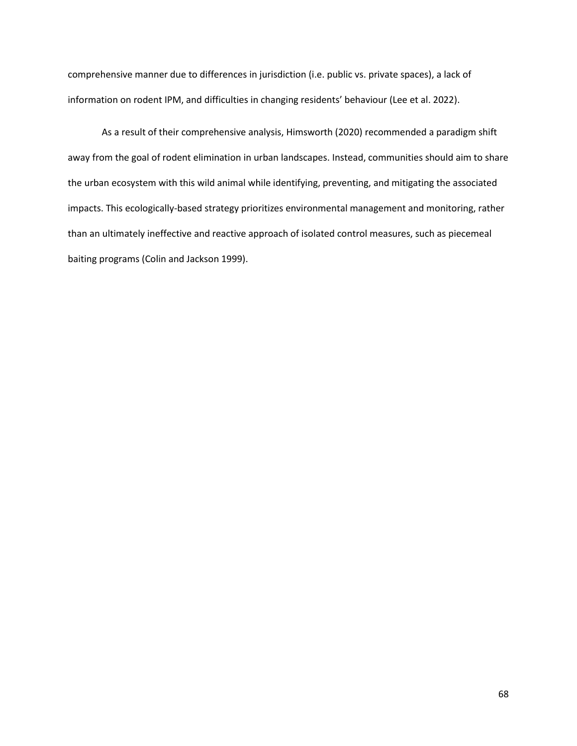comprehensive manner due to differences in jurisdiction (i.e. public vs. private spaces), a lack of information on rodent IPM, and difficulties in changing residents' behaviour (Lee et al. 2022).

As a result of their comprehensive analysis, Himsworth (2020) recommended a paradigm shift away from the goal of rodent elimination in urban landscapes. Instead, communities should aim to share the urban ecosystem with this wild animal while identifying, preventing, and mitigating the associated impacts. This ecologically-based strategy prioritizes environmental management and monitoring, rather than an ultimately ineffective and reactive approach of isolated control measures, such as piecemeal baiting programs (Colin and Jackson 1999).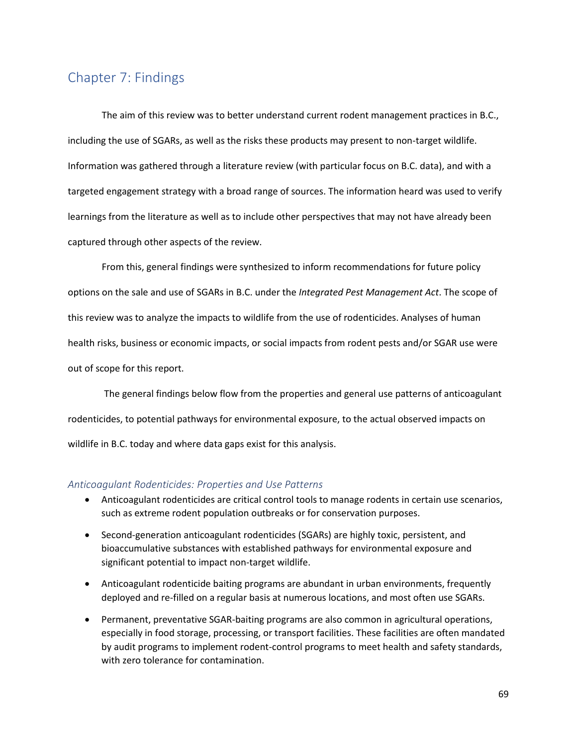## Chapter 7: Findings

The aim of this review was to better understand current rodent management practices in B.C., including the use of SGARs, as well as the risks these products may present to non-target wildlife. Information was gathered through a literature review (with particular focus on B.C. data), and with a targeted engagement strategy with a broad range of sources. The information heard was used to verify learnings from the literature as well as to include other perspectives that may not have already been captured through other aspects of the review.

From this, general findings were synthesized to inform recommendations for future policy options on the sale and use of SGARs in B.C. under the *Integrated Pest Management Act*. The scope of this review was to analyze the impacts to wildlife from the use of rodenticides. Analyses of human health risks, business or economic impacts, or social impacts from rodent pests and/or SGAR use were out of scope for this report.

The general findings below flow from the properties and general use patterns of anticoagulant rodenticides, to potential pathways for environmental exposure, to the actual observed impacts on wildlife in B.C. today and where data gaps exist for this analysis.

#### *Anticoagulant Rodenticides: Properties and Use Patterns*

- Anticoagulant rodenticides are critical control tools to manage rodents in certain use scenarios, such as extreme rodent population outbreaks or for conservation purposes.
- Second-generation anticoagulant rodenticides (SGARs) are highly toxic, persistent, and bioaccumulative substances with established pathways for environmental exposure and significant potential to impact non-target wildlife.
- Anticoagulant rodenticide baiting programs are abundant in urban environments, frequently deployed and re-filled on a regular basis at numerous locations, and most often use SGARs.
- Permanent, preventative SGAR-baiting programs are also common in agricultural operations, especially in food storage, processing, or transport facilities. These facilities are often mandated by audit programs to implement rodent-control programs to meet health and safety standards, with zero tolerance for contamination.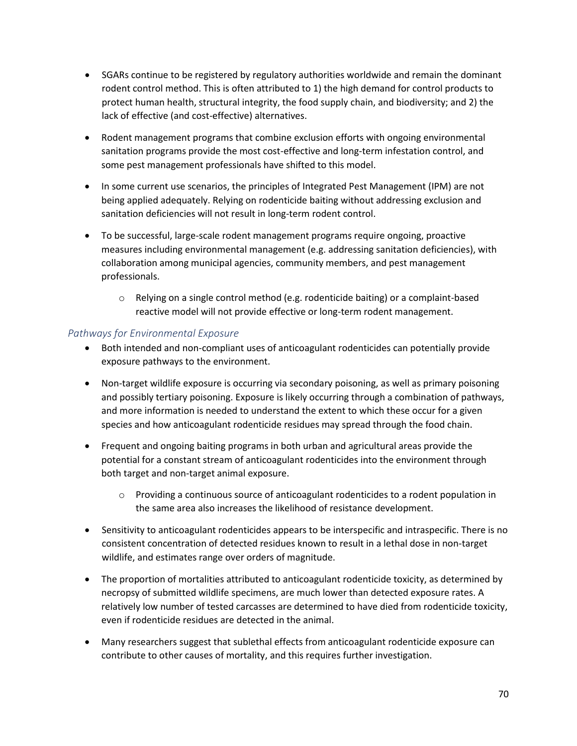- SGARs continue to be registered by regulatory authorities worldwide and remain the dominant rodent control method. This is often attributed to 1) the high demand for control products to protect human health, structural integrity, the food supply chain, and biodiversity; and 2) the lack of effective (and cost-effective) alternatives.
- Rodent management programs that combine exclusion efforts with ongoing environmental sanitation programs provide the most cost-effective and long-term infestation control, and some pest management professionals have shifted to this model.
- In some current use scenarios, the principles of Integrated Pest Management (IPM) are not being applied adequately. Relying on rodenticide baiting without addressing exclusion and sanitation deficiencies will not result in long-term rodent control.
- To be successful, large-scale rodent management programs require ongoing, proactive measures including environmental management (e.g. addressing sanitation deficiencies), with collaboration among municipal agencies, community members, and pest management professionals.
	- $\circ$  Relying on a single control method (e.g. rodenticide baiting) or a complaint-based reactive model will not provide effective or long-term rodent management.

## *Pathways for Environmental Exposure*

- Both intended and non-compliant uses of anticoagulant rodenticides can potentially provide exposure pathways to the environment.
- Non-target wildlife exposure is occurring via secondary poisoning, as well as primary poisoning and possibly tertiary poisoning. Exposure is likely occurring through a combination of pathways, and more information is needed to understand the extent to which these occur for a given species and how anticoagulant rodenticide residues may spread through the food chain.
- Frequent and ongoing baiting programs in both urban and agricultural areas provide the potential for a constant stream of anticoagulant rodenticides into the environment through both target and non-target animal exposure.
	- $\circ$  Providing a continuous source of anticoagulant rodenticides to a rodent population in the same area also increases the likelihood of resistance development.
- Sensitivity to anticoagulant rodenticides appears to be interspecific and intraspecific. There is no consistent concentration of detected residues known to result in a lethal dose in non-target wildlife, and estimates range over orders of magnitude.
- The proportion of mortalities attributed to anticoagulant rodenticide toxicity, as determined by necropsy of submitted wildlife specimens, are much lower than detected exposure rates. A relatively low number of tested carcasses are determined to have died from rodenticide toxicity, even if rodenticide residues are detected in the animal.
- Many researchers suggest that sublethal effects from anticoagulant rodenticide exposure can contribute to other causes of mortality, and this requires further investigation.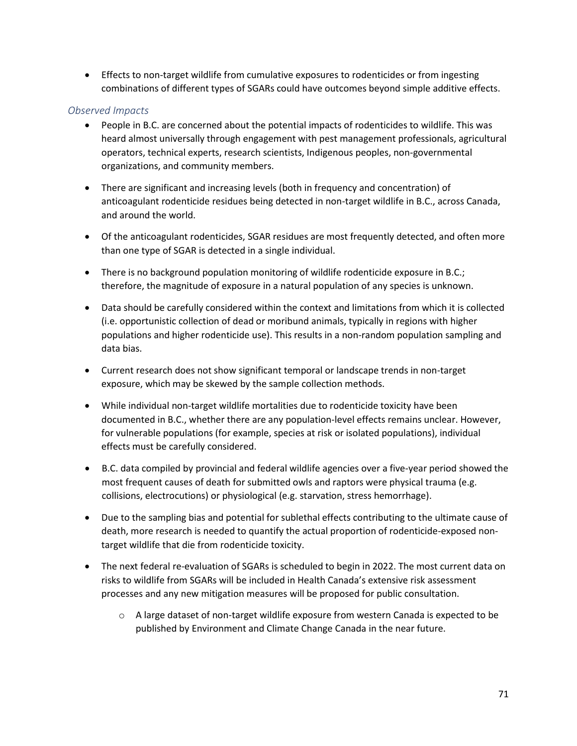• Effects to non-target wildlife from cumulative exposures to rodenticides or from ingesting combinations of different types of SGARs could have outcomes beyond simple additive effects.

## *Observed Impacts*

- People in B.C. are concerned about the potential impacts of rodenticides to wildlife. This was heard almost universally through engagement with pest management professionals, agricultural operators, technical experts, research scientists, Indigenous peoples, non-governmental organizations, and community members.
- There are significant and increasing levels (both in frequency and concentration) of anticoagulant rodenticide residues being detected in non-target wildlife in B.C., across Canada, and around the world.
- Of the anticoagulant rodenticides, SGAR residues are most frequently detected, and often more than one type of SGAR is detected in a single individual.
- There is no background population monitoring of wildlife rodenticide exposure in B.C.; therefore, the magnitude of exposure in a natural population of any species is unknown.
- Data should be carefully considered within the context and limitations from which it is collected (i.e. opportunistic collection of dead or moribund animals, typically in regions with higher populations and higher rodenticide use). This results in a non-random population sampling and data bias.
- Current research does not show significant temporal or landscape trends in non-target exposure, which may be skewed by the sample collection methods.
- While individual non-target wildlife mortalities due to rodenticide toxicity have been documented in B.C., whether there are any population-level effects remains unclear. However, for vulnerable populations (for example, species at risk or isolated populations), individual effects must be carefully considered.
- B.C. data compiled by provincial and federal wildlife agencies over a five-year period showed the most frequent causes of death for submitted owls and raptors were physical trauma (e.g. collisions, electrocutions) or physiological (e.g. starvation, stress hemorrhage).
- Due to the sampling bias and potential for sublethal effects contributing to the ultimate cause of death, more research is needed to quantify the actual proportion of rodenticide-exposed nontarget wildlife that die from rodenticide toxicity.
- The next federal re-evaluation of SGARs is scheduled to begin in 2022. The most current data on risks to wildlife from SGARs will be included in Health Canada's extensive risk assessment processes and any new mitigation measures will be proposed for public consultation.
	- o A large dataset of non-target wildlife exposure from western Canada is expected to be published by Environment and Climate Change Canada in the near future.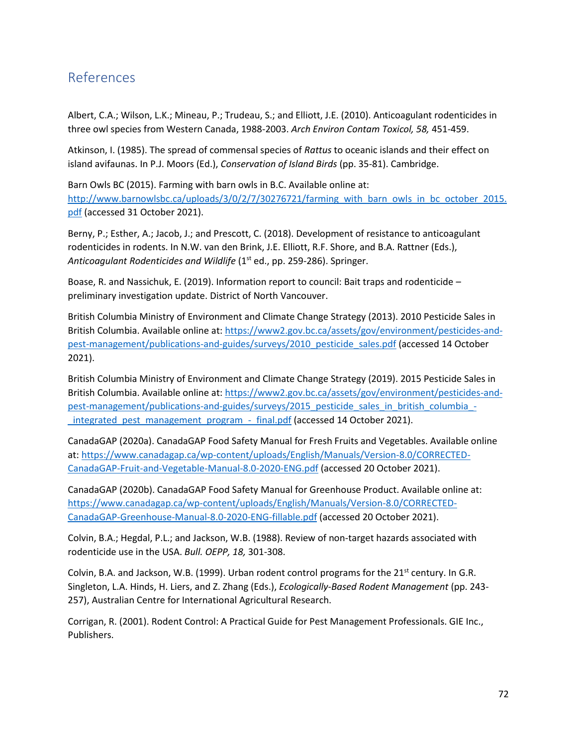# References

Albert, C.A.; Wilson, L.K.; Mineau, P.; Trudeau, S.; and Elliott, J.E. (2010). Anticoagulant rodenticides in three owl species from Western Canada, 1988-2003. *Arch Environ Contam Toxicol, 58,* 451-459.

Atkinson, I. (1985). The spread of commensal species of *Rattus* to oceanic islands and their effect on island avifaunas. In P.J. Moors (Ed.), *Conservation of Island Birds* (pp. 35-81). Cambridge.

Barn Owls BC (2015). Farming with barn owls in B.C. Available online at: [http://www.barnowlsbc.ca/uploads/3/0/2/7/30276721/farming\\_with\\_barn\\_owls\\_in\\_bc\\_october\\_2015.](http://www.barnowlsbc.ca/uploads/3/0/2/7/30276721/farming_with_barn_owls_in_bc_october_2015.pdf) [pdf](http://www.barnowlsbc.ca/uploads/3/0/2/7/30276721/farming_with_barn_owls_in_bc_october_2015.pdf) (accessed 31 October 2021).

Berny, P.; Esther, A.; Jacob, J.; and Prescott, C. (2018). Development of resistance to anticoagulant rodenticides in rodents. In N.W. van den Brink, J.E. Elliott, R.F. Shore, and B.A. Rattner (Eds.), Anticoagulant Rodenticides and Wildlife (1<sup>st</sup> ed., pp. 259-286). Springer.

Boase, R. and Nassichuk, E. (2019). Information report to council: Bait traps and rodenticide – preliminary investigation update. District of North Vancouver.

British Columbia Ministry of Environment and Climate Change Strategy (2013). 2010 Pesticide Sales in British Columbia. Available online at[: https://www2.gov.bc.ca/assets/gov/environment/pesticides-and](https://www2.gov.bc.ca/assets/gov/environment/pesticides-and-pest-management/publications-and-guides/surveys/2010_pesticide_sales.pdf)[pest-management/publications-and-guides/surveys/2010\\_pesticide\\_sales.pdf](https://www2.gov.bc.ca/assets/gov/environment/pesticides-and-pest-management/publications-and-guides/surveys/2010_pesticide_sales.pdf) (accessed 14 October 2021).

British Columbia Ministry of Environment and Climate Change Strategy (2019). 2015 Pesticide Sales in British Columbia. Available online at[: https://www2.gov.bc.ca/assets/gov/environment/pesticides-and](https://www2.gov.bc.ca/assets/gov/environment/pesticides-and-pest-management/publications-and-guides/surveys/2015_pesticide_sales_in_british_columbia_-_integrated_pest_management_program_-_final.pdf)[pest-management/publications-and-guides/surveys/2015\\_pesticide\\_sales\\_in\\_british\\_columbia\\_-](https://www2.gov.bc.ca/assets/gov/environment/pesticides-and-pest-management/publications-and-guides/surveys/2015_pesticide_sales_in_british_columbia_-_integrated_pest_management_program_-_final.pdf) [\\_integrated\\_pest\\_management\\_program\\_-\\_final.pdf](https://www2.gov.bc.ca/assets/gov/environment/pesticides-and-pest-management/publications-and-guides/surveys/2015_pesticide_sales_in_british_columbia_-_integrated_pest_management_program_-_final.pdf) (accessed 14 October 2021).

CanadaGAP (2020a). CanadaGAP Food Safety Manual for Fresh Fruits and Vegetables. Available online at: [https://www.canadagap.ca/wp-content/uploads/English/Manuals/Version-8.0/CORRECTED-](https://www.canadagap.ca/wp-content/uploads/English/Manuals/Version-8.0/CORRECTED-CanadaGAP-Fruit-and-Vegetable-Manual-8.0-2020-ENG.pdf)[CanadaGAP-Fruit-and-Vegetable-Manual-8.0-2020-ENG.pdf](https://www.canadagap.ca/wp-content/uploads/English/Manuals/Version-8.0/CORRECTED-CanadaGAP-Fruit-and-Vegetable-Manual-8.0-2020-ENG.pdf) (accessed 20 October 2021).

CanadaGAP (2020b). CanadaGAP Food Safety Manual for Greenhouse Product. Available online at: [https://www.canadagap.ca/wp-content/uploads/English/Manuals/Version-8.0/CORRECTED-](https://www.canadagap.ca/wp-content/uploads/English/Manuals/Version-8.0/CORRECTED-CanadaGAP-Greenhouse-Manual-8.0-2020-ENG-fillable.pdf)[CanadaGAP-Greenhouse-Manual-8.0-2020-ENG-fillable.pdf](https://www.canadagap.ca/wp-content/uploads/English/Manuals/Version-8.0/CORRECTED-CanadaGAP-Greenhouse-Manual-8.0-2020-ENG-fillable.pdf) (accessed 20 October 2021).

Colvin, B.A.; Hegdal, P.L.; and Jackson, W.B. (1988). Review of non-target hazards associated with rodenticide use in the USA. *Bull. OEPP, 18,* 301-308.

Colvin, B.A. and Jackson, W.B. (1999). Urban rodent control programs for the  $21<sup>st</sup>$  century. In G.R. Singleton, L.A. Hinds, H. Liers, and Z. Zhang (Eds.), *Ecologically-Based Rodent Management* (pp. 243- 257), Australian Centre for International Agricultural Research.

Corrigan, R. (2001). Rodent Control: A Practical Guide for Pest Management Professionals. GIE Inc., Publishers.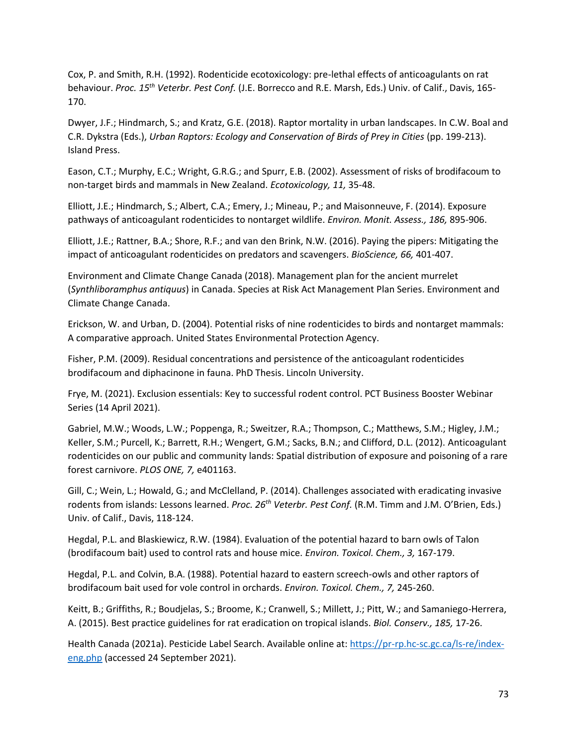Cox, P. and Smith, R.H. (1992). Rodenticide ecotoxicology: pre-lethal effects of anticoagulants on rat behaviour. *Proc. 15th Veterbr. Pest Conf.* (J.E. Borrecco and R.E. Marsh, Eds.) Univ. of Calif., Davis, 165- 170.

Dwyer, J.F.; Hindmarch, S.; and Kratz, G.E. (2018). Raptor mortality in urban landscapes. In C.W. Boal and C.R. Dykstra (Eds.), *Urban Raptors: Ecology and Conservation of Birds of Prey in Cities* (pp. 199-213). Island Press.

Eason, C.T.; Murphy, E.C.; Wright, G.R.G.; and Spurr, E.B. (2002). Assessment of risks of brodifacoum to non-target birds and mammals in New Zealand. *Ecotoxicology, 11,* 35-48.

Elliott, J.E.; Hindmarch, S.; Albert, C.A.; Emery, J.; Mineau, P.; and Maisonneuve, F. (2014). Exposure pathways of anticoagulant rodenticides to nontarget wildlife. *Environ. Monit. Assess., 186,* 895-906.

Elliott, J.E.; Rattner, B.A.; Shore, R.F.; and van den Brink, N.W. (2016). Paying the pipers: Mitigating the impact of anticoagulant rodenticides on predators and scavengers. *BioScience, 66,* 401-407.

Environment and Climate Change Canada (2018). Management plan for the ancient murrelet (*Synthliboramphus antiquus*) in Canada. Species at Risk Act Management Plan Series. Environment and Climate Change Canada.

Erickson, W. and Urban, D. (2004). Potential risks of nine rodenticides to birds and nontarget mammals: A comparative approach. United States Environmental Protection Agency.

Fisher, P.M. (2009). Residual concentrations and persistence of the anticoagulant rodenticides brodifacoum and diphacinone in fauna. PhD Thesis. Lincoln University.

Frye, M. (2021). Exclusion essentials: Key to successful rodent control. PCT Business Booster Webinar Series (14 April 2021).

Gabriel, M.W.; Woods, L.W.; Poppenga, R.; Sweitzer, R.A.; Thompson, C.; Matthews, S.M.; Higley, J.M.; Keller, S.M.; Purcell, K.; Barrett, R.H.; Wengert, G.M.; Sacks, B.N.; and Clifford, D.L. (2012). Anticoagulant rodenticides on our public and community lands: Spatial distribution of exposure and poisoning of a rare forest carnivore. *PLOS ONE, 7,* e401163.

Gill, C.; Wein, L.; Howald, G.; and McClelland, P. (2014). Challenges associated with eradicating invasive rodents from islands: Lessons learned. *Proc. 26th Veterbr. Pest Conf.* (R.M. Timm and J.M. O'Brien, Eds.) Univ. of Calif., Davis, 118-124.

Hegdal, P.L. and Blaskiewicz, R.W. (1984). Evaluation of the potential hazard to barn owls of Talon (brodifacoum bait) used to control rats and house mice. *Environ. Toxicol. Chem., 3,* 167-179.

Hegdal, P.L. and Colvin, B.A. (1988). Potential hazard to eastern screech-owls and other raptors of brodifacoum bait used for vole control in orchards. *Environ. Toxicol. Chem., 7,* 245-260.

Keitt, B.; Griffiths, R.; Boudjelas, S.; Broome, K.; Cranwell, S.; Millett, J.; Pitt, W.; and Samaniego-Herrera, A. (2015). Best practice guidelines for rat eradication on tropical islands. *Biol. Conserv., 185,* 17-26.

Health Canada (2021a). Pesticide Label Search. Available online at: [https://pr-rp.hc-sc.gc.ca/ls-re/index](https://pr-rp.hc-sc.gc.ca/ls-re/index-eng.php)[eng.php](https://pr-rp.hc-sc.gc.ca/ls-re/index-eng.php) (accessed 24 September 2021).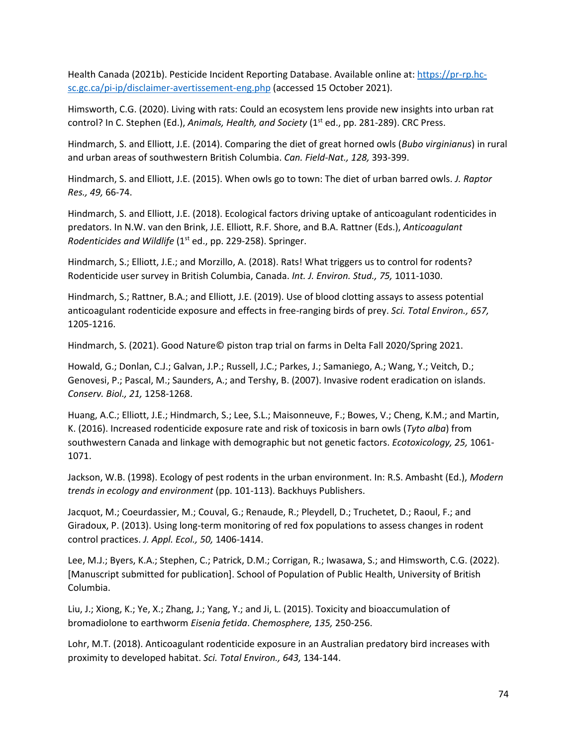Health Canada (2021b). Pesticide Incident Reporting Database. Available online at: [https://pr-rp.hc](https://pr-rp.hc-sc.gc.ca/pi-ip/disclaimer-avertissement-eng.php)[sc.gc.ca/pi-ip/disclaimer-avertissement-eng.php](https://pr-rp.hc-sc.gc.ca/pi-ip/disclaimer-avertissement-eng.php) (accessed 15 October 2021).

Himsworth, C.G. (2020). Living with rats: Could an ecosystem lens provide new insights into urban rat control? In C. Stephen (Ed.), *Animals, Health, and Society* (1<sup>st</sup> ed., pp. 281-289). CRC Press.

Hindmarch, S. and Elliott, J.E. (2014). Comparing the diet of great horned owls (*Bubo virginianus*) in rural and urban areas of southwestern British Columbia. *Can. Field-Nat., 128,* 393-399.

Hindmarch, S. and Elliott, J.E. (2015). When owls go to town: The diet of urban barred owls. *J. Raptor Res., 49,* 66-74.

Hindmarch, S. and Elliott, J.E. (2018). Ecological factors driving uptake of anticoagulant rodenticides in predators. In N.W. van den Brink, J.E. Elliott, R.F. Shore, and B.A. Rattner (Eds.), *Anticoagulant Rodenticides and Wildlife* (1<sup>st</sup> ed., pp. 229-258). Springer.

Hindmarch, S.; Elliott, J.E.; and Morzillo, A. (2018). Rats! What triggers us to control for rodents? Rodenticide user survey in British Columbia, Canada. *Int. J. Environ. Stud., 75,* 1011-1030.

Hindmarch, S.; Rattner, B.A.; and Elliott, J.E. (2019). Use of blood clotting assays to assess potential anticoagulant rodenticide exposure and effects in free-ranging birds of prey. *Sci. Total Environ., 657,*  1205-1216.

Hindmarch, S. (2021). Good Nature© piston trap trial on farms in Delta Fall 2020/Spring 2021.

Howald, G.; Donlan, C.J.; Galvan, J.P.; Russell, J.C.; Parkes, J.; Samaniego, A.; Wang, Y.; Veitch, D.; Genovesi, P.; Pascal, M.; Saunders, A.; and Tershy, B. (2007). Invasive rodent eradication on islands. *Conserv. Biol., 21,* 1258-1268.

Huang, A.C.; Elliott, J.E.; Hindmarch, S.; Lee, S.L.; Maisonneuve, F.; Bowes, V.; Cheng, K.M.; and Martin, K. (2016). Increased rodenticide exposure rate and risk of toxicosis in barn owls (*Tyto alba*) from southwestern Canada and linkage with demographic but not genetic factors. *Ecotoxicology, 25,* 1061- 1071.

Jackson, W.B. (1998). Ecology of pest rodents in the urban environment. In: R.S. Ambasht (Ed.), *Modern trends in ecology and environment* (pp. 101-113). Backhuys Publishers.

Jacquot, M.; Coeurdassier, M.; Couval, G.; Renaude, R.; Pleydell, D.; Truchetet, D.; Raoul, F.; and Giradoux, P. (2013). Using long-term monitoring of red fox populations to assess changes in rodent control practices. *J. Appl. Ecol., 50,* 1406-1414.

Lee, M.J.; Byers, K.A.; Stephen, C.; Patrick, D.M.; Corrigan, R.; Iwasawa, S.; and Himsworth, C.G. (2022). [Manuscript submitted for publication]. School of Population of Public Health, University of British Columbia.

Liu, J.; Xiong, K.; Ye, X.; Zhang, J.; Yang, Y.; and Ji, L. (2015). Toxicity and bioaccumulation of bromadiolone to earthworm *Eisenia fetida*. *Chemosphere, 135,* 250-256.

Lohr, M.T. (2018). Anticoagulant rodenticide exposure in an Australian predatory bird increases with proximity to developed habitat. *Sci. Total Environ., 643,* 134-144.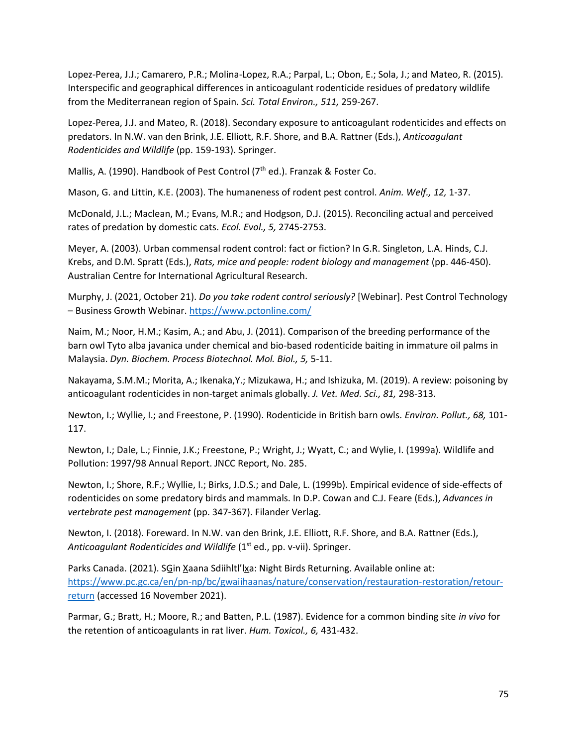Lopez-Perea, J.J.; Camarero, P.R.; Molina-Lopez, R.A.; Parpal, L.; Obon, E.; Sola, J.; and Mateo, R. (2015). Interspecific and geographical differences in anticoagulant rodenticide residues of predatory wildlife from the Mediterranean region of Spain. *Sci. Total Environ., 511,* 259-267.

Lopez-Perea, J.J. and Mateo, R. (2018). Secondary exposure to anticoagulant rodenticides and effects on predators. In N.W. van den Brink, J.E. Elliott, R.F. Shore, and B.A. Rattner (Eds.), *Anticoagulant Rodenticides and Wildlife* (pp. 159-193). Springer.

Mallis, A. (1990). Handbook of Pest Control (7<sup>th</sup> ed.). Franzak & Foster Co.

Mason, G. and Littin, K.E. (2003). The humaneness of rodent pest control. *Anim. Welf., 12,* 1-37.

McDonald, J.L.; Maclean, M.; Evans, M.R.; and Hodgson, D.J. (2015). Reconciling actual and perceived rates of predation by domestic cats. *Ecol. Evol., 5,* 2745-2753.

Meyer, A. (2003). Urban commensal rodent control: fact or fiction? In G.R. Singleton, L.A. Hinds, C.J. Krebs, and D.M. Spratt (Eds.), *Rats, mice and people: rodent biology and management* (pp. 446-450). Australian Centre for International Agricultural Research.

Murphy, J. (2021, October 21). *Do you take rodent control seriously?* [Webinar]. Pest Control Technology – Business Growth Webinar.<https://www.pctonline.com/>

Naim, M.; Noor, H.M.; Kasim, A.; and Abu, J. (2011). Comparison of the breeding performance of the barn owl Tyto alba javanica under chemical and bio-based rodenticide baiting in immature oil palms in Malaysia. *Dyn. Biochem. Process Biotechnol. Mol. Biol., 5,* 5-11.

Nakayama, S.M.M.; Morita, A.; Ikenaka,Y.; Mizukawa, H.; and Ishizuka, M. (2019). A review: poisoning by anticoagulant rodenticides in non-target animals globally. *J. Vet. Med. Sci., 81,* 298-313.

Newton, I.; Wyllie, I.; and Freestone, P. (1990). Rodenticide in British barn owls. *Environ. Pollut., 68,* 101- 117.

Newton, I.; Dale, L.; Finnie, J.K.; Freestone, P.; Wright, J.; Wyatt, C.; and Wylie, I. (1999a). Wildlife and Pollution: 1997/98 Annual Report. JNCC Report, No. 285.

Newton, I.; Shore, R.F.; Wyllie, I.; Birks, J.D.S.; and Dale, L. (1999b). Empirical evidence of side-effects of rodenticides on some predatory birds and mammals. In D.P. Cowan and C.J. Feare (Eds.), *Advances in vertebrate pest management* (pp. 347-367). Filander Verlag.

Newton, I. (2018). Foreward. In N.W. van den Brink, J.E. Elliott, R.F. Shore, and B.A. Rattner (Eds.), Anticoagulant Rodenticides and Wildlife (1<sup>st</sup> ed., pp. v-vii). Springer.

Parks Canada. (2021). SGin Xaana Sdiihltl'lxa: Night Birds Returning. Available online at: [https://www.pc.gc.ca/en/pn-np/bc/gwaiihaanas/nature/conservation/restauration-restoration/retour](https://www.pc.gc.ca/en/pn-np/bc/gwaiihaanas/nature/conservation/restauration-restoration/retour-return)[return](https://www.pc.gc.ca/en/pn-np/bc/gwaiihaanas/nature/conservation/restauration-restoration/retour-return) (accessed 16 November 2021).

Parmar, G.; Bratt, H.; Moore, R.; and Batten, P.L. (1987). Evidence for a common binding site *in vivo* for the retention of anticoagulants in rat liver. *Hum. Toxicol., 6,* 431-432.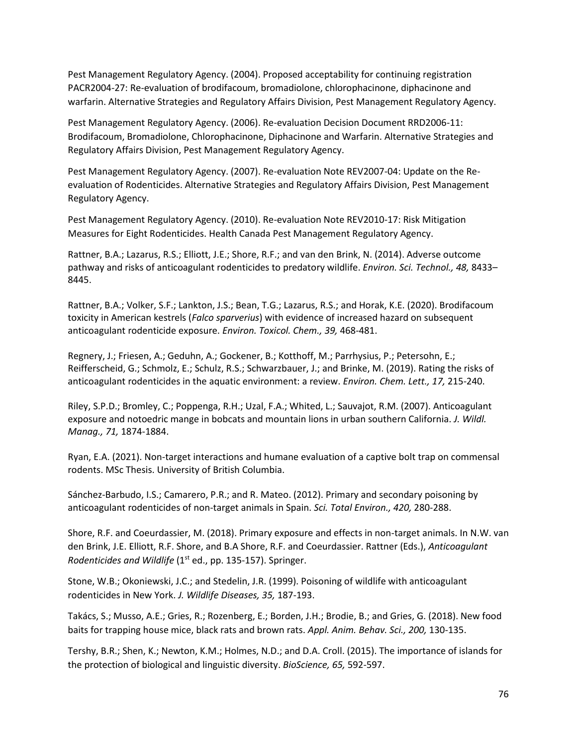Pest Management Regulatory Agency. (2004). Proposed acceptability for continuing registration PACR2004-27: Re-evaluation of brodifacoum, bromadiolone, chlorophacinone, diphacinone and warfarin. Alternative Strategies and Regulatory Affairs Division, Pest Management Regulatory Agency.

Pest Management Regulatory Agency. (2006). Re-evaluation Decision Document RRD2006-11: Brodifacoum, Bromadiolone, Chlorophacinone, Diphacinone and Warfarin. Alternative Strategies and Regulatory Affairs Division, Pest Management Regulatory Agency.

Pest Management Regulatory Agency. (2007). Re-evaluation Note REV2007-04: Update on the Reevaluation of Rodenticides. Alternative Strategies and Regulatory Affairs Division, Pest Management Regulatory Agency.

Pest Management Regulatory Agency. (2010). Re-evaluation Note REV2010-17: Risk Mitigation Measures for Eight Rodenticides. Health Canada Pest Management Regulatory Agency.

Rattner, B.A.; Lazarus, R.S.; Elliott, J.E.; Shore, R.F.; and van den Brink, N. (2014). Adverse outcome pathway and risks of anticoagulant rodenticides to predatory wildlife. *Environ. Sci. Technol., 48,* 8433– 8445.

Rattner, B.A.; Volker, S.F.; Lankton, J.S.; Bean, T.G.; Lazarus, R.S.; and Horak, K.E. (2020). Brodifacoum toxicity in American kestrels (*Falco sparverius*) with evidence of increased hazard on subsequent anticoagulant rodenticide exposure. *Environ. Toxicol. Chem., 39,* 468-481.

Regnery, J.; Friesen, A.; Geduhn, A.; Gockener, B.; Kotthoff, M.; Parrhysius, P.; Petersohn, E.; Reifferscheid, G.; Schmolz, E.; Schulz, R.S.; Schwarzbauer, J.; and Brinke, M. (2019). Rating the risks of anticoagulant rodenticides in the aquatic environment: a review. *Environ. Chem. Lett., 17,* 215-240.

Riley, S.P.D.; Bromley, C.; Poppenga, R.H.; Uzal, F.A.; Whited, L.; Sauvajot, R.M. (2007). Anticoagulant exposure and notoedric mange in bobcats and mountain lions in urban southern California. *J. Wildl. Manag., 71,* 1874-1884.

Ryan, E.A. (2021). Non-target interactions and humane evaluation of a captive bolt trap on commensal rodents. MSc Thesis. University of British Columbia.

Sánchez-Barbudo, I.S.; Camarero, P.R.; and R. Mateo. (2012). Primary and secondary poisoning by anticoagulant rodenticides of non-target animals in Spain. *Sci. Total Environ., 420,* 280-288.

Shore, R.F. and Coeurdassier, M. (2018). Primary exposure and effects in non-target animals. In N.W. van den Brink, J.E. Elliott, R.F. Shore, and B.A Shore, R.F. and Coeurdassier. Rattner (Eds.), *Anticoagulant Rodenticides and Wildlife* (1<sup>st</sup> ed., pp. 135-157). Springer.

Stone, W.B.; Okoniewski, J.C.; and Stedelin, J.R. (1999). Poisoning of wildlife with anticoagulant rodenticides in New York. *J. Wildlife Diseases, 35,* 187-193.

Takács, S.; Musso, A.E.; Gries, R.; Rozenberg, E.; Borden, J.H.; Brodie, B.; and Gries, G. (2018). New food baits for trapping house mice, black rats and brown rats. *Appl. Anim. Behav. Sci., 200,* 130-135.

Tershy, B.R.; Shen, K.; Newton, K.M.; Holmes, N.D.; and D.A. Croll. (2015). The importance of islands for the protection of biological and linguistic diversity. *BioScience, 65,* 592-597.